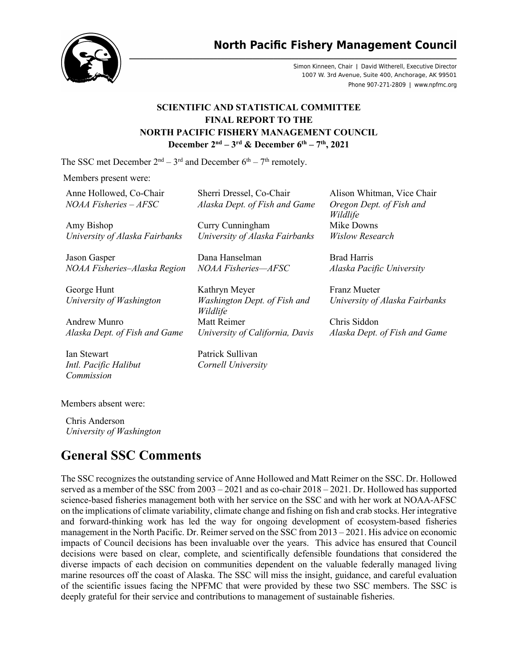# **North Pacific Fishery Management Council**



Simon Kinneen, Chair | David Witherell, Executive Director 1007 W. 3rd Avenue, Suite 400, Anchorage, AK 99501 Phone 907-271-2809 | www.npfmc.org

## **SCIENTIFIC AND STATISTICAL COMMITTEE FINAL REPORT TO THE NORTH PACIFIC FISHERY MANAGEMENT COUNCIL December 2nd – 3rd & December 6th – 7th, 2021**

The SSC met December  $2<sup>nd</sup> - 3<sup>rd</sup>$  and December  $6<sup>th</sup> - 7<sup>th</sup>$  remotely.

Members present were:

Anne Hollowed, Co-Chair *NOAA Fisheries – AFSC*

Amy Bishop *University of Alaska Fairbanks*

Jason Gasper *NOAA Fisheries–Alaska Region*

George Hunt *University of Washington*

Andrew Munro *Alaska Dept. of Fish and Game*

Ian Stewart *Intl. Pacific Halibut Commission*

Members absent were:

Chris Anderson *University of Washington*

# **General SSC Comments**

The SSC recognizes the outstanding service of Anne Hollowed and Matt Reimer on the SSC. Dr. Hollowed served as a member of the SSC from 2003 – 2021 and as co-chair 2018 – 2021. Dr. Hollowed has supported science-based fisheries management both with her service on the SSC and with her work at NOAA-AFSC on the implications of climate variability, climate change and fishing on fish and crab stocks. Her integrative and forward-thinking work has led the way for ongoing development of ecosystem-based fisheries management in the North Pacific. Dr. Reimer served on the SSC from 2013 – 2021. His advice on economic impacts of Council decisions has been invaluable over the years. This advice has ensured that Council decisions were based on clear, complete, and scientifically defensible foundations that considered the diverse impacts of each decision on communities dependent on the valuable federally managed living marine resources off the coast of Alaska. The SSC will miss the insight, guidance, and careful evaluation of the scientific issues facing the NPFMC that were provided by these two SSC members. The SSC is deeply grateful for their service and contributions to management of sustainable fisheries.

| Sherri Dressel, Co-Chair      |  |
|-------------------------------|--|
| Alaska Dept. of Fish and Game |  |

Curry Cunningham *University of Alaska Fairbanks*

Dana Hanselman *NOAA Fisheries—AFSC*

Kathryn Meyer *Washington Dept. of Fish and Wildlife* Matt Reimer *University of California, Davis*

Patrick Sullivan *Cornell University* Alison Whitman, Vice Chair *Oregon Dept. of Fish and Wildlife* Mike Downs *Wislow Research*

Brad Harris *Alaska Pacific University*

Franz Mueter *University of Alaska Fairbanks*

Chris Siddon *Alaska Dept. of Fish and Game*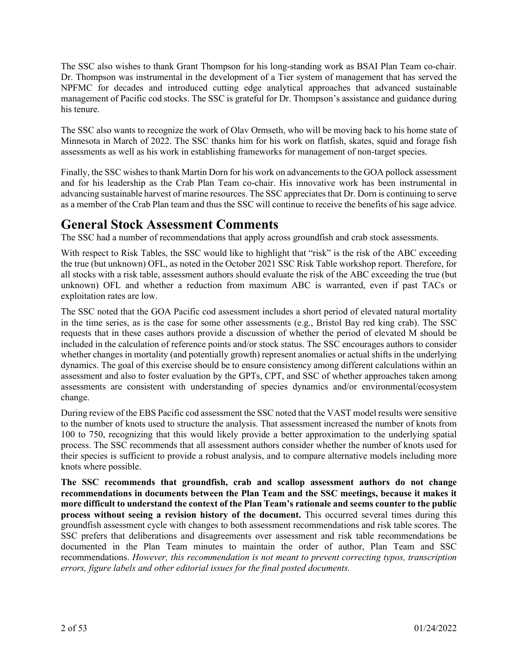The SSC also wishes to thank Grant Thompson for his long-standing work as BSAI Plan Team co-chair. Dr. Thompson was instrumental in the development of a Tier system of management that has served the NPFMC for decades and introduced cutting edge analytical approaches that advanced sustainable management of Pacific cod stocks. The SSC is grateful for Dr. Thompson's assistance and guidance during his tenure.

The SSC also wants to recognize the work of Olav Ormseth, who will be moving back to his home state of Minnesota in March of 2022. The SSC thanks him for his work on flatfish, skates, squid and forage fish assessments as well as his work in establishing frameworks for management of non-target species.

Finally, the SSC wishes to thank Martin Dorn for his work on advancements to the GOA pollock assessment and for his leadership as the Crab Plan Team co-chair. His innovative work has been instrumental in advancing sustainable harvest of marine resources. The SSC appreciates that Dr. Dorn is continuing to serve as a member of the Crab Plan team and thus the SSC will continue to receive the benefits of his sage advice.

# **General Stock Assessment Comments**

The SSC had a number of recommendations that apply across groundfish and crab stock assessments.

With respect to Risk Tables, the SSC would like to highlight that "risk" is the risk of the ABC exceeding the true (but unknown) OFL, as noted in the October 2021 SSC Risk Table workshop report. Therefore, for all stocks with a risk table, assessment authors should evaluate the risk of the ABC exceeding the true (but unknown) OFL and whether a reduction from maximum ABC is warranted, even if past TACs or exploitation rates are low.

The SSC noted that the GOA Pacific cod assessment includes a short period of elevated natural mortality in the time series, as is the case for some other assessments (e.g., Bristol Bay red king crab). The SSC requests that in these cases authors provide a discussion of whether the period of elevated M should be included in the calculation of reference points and/or stock status. The SSC encourages authors to consider whether changes in mortality (and potentially growth) represent anomalies or actual shifts in the underlying dynamics. The goal of this exercise should be to ensure consistency among different calculations within an assessment and also to foster evaluation by the GPTs, CPT, and SSC of whether approaches taken among assessments are consistent with understanding of species dynamics and/or environmental/ecosystem change.

During review of the EBS Pacific cod assessment the SSC noted that the VAST model results were sensitive to the number of knots used to structure the analysis. That assessment increased the number of knots from 100 to 750, recognizing that this would likely provide a better approximation to the underlying spatial process. The SSC recommends that all assessment authors consider whether the number of knots used for their species is sufficient to provide a robust analysis, and to compare alternative models including more knots where possible.

**The SSC recommends that groundfish, crab and scallop assessment authors do not change recommendations in documents between the Plan Team and the SSC meetings, because it makes it more difficult to understand the context of the Plan Team's rationale and seems counter to the public process without seeing a revision history of the document.** This occurred several times during this groundfish assessment cycle with changes to both assessment recommendations and risk table scores. The SSC prefers that deliberations and disagreements over assessment and risk table recommendations be documented in the Plan Team minutes to maintain the order of author, Plan Team and SSC recommendations. *However, this recommendation is not meant to prevent correcting typos, transcription errors, figure labels and other editorial issues for the final posted documents.*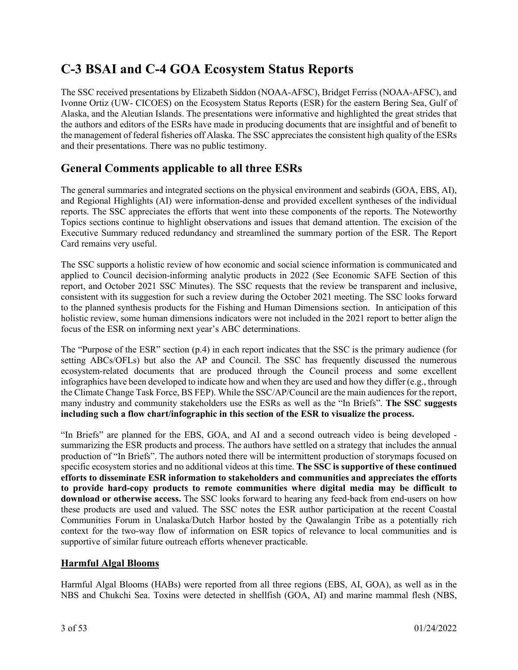# **C-3 BSAI and C-4 GOA Ecosystem Status Reports**

The SSC received presentations by Elizabeth Siddon (NOAA-AFSC), Bridget Ferriss (NOAA-AFSC), and Ivonne Ortiz (UW- CICOES) on the Ecosystem Status Reports (ESR) for the eastern Bering Sea, Gulf of Alaska, and the Aleutian Islands. The presentations were informative and highlighted the great strides that the authors and editors of the ESRs have made in producing documents that are insightful and of benefit to the management of federal fisheries off Alaska. The SSC appreciates the consistent high quality of the ESRs and their presentations. There was no public testimony.

# **General Comments applicable to all three ESRs**

The general summaries and integrated sections on the physical environment and seabirds (GOA, EBS, AI), and Regional Highlights (AI) were information-dense and provided excellent syntheses of the individual reports. The SSC appreciates the efforts that went into these components of the reports. The Noteworthy Topics sections continue to highlight observations and issues that demand attention. The excision of the Executive Summary reduced redundancy and streamlined the summary portion of the ESR. The Report Card remains very useful.

The SSC supports a holistic review of how economic and social science information is communicated and applied to Council decision-informing analytic products in 2022 (See Economic SAFE Section of this report, and October 2021 SSC Minutes). The SSC requests that the review be transparent and inclusive, consistent with its suggestion for such a review during the October 2021 meeting. The SSC looks forward to the planned synthesis products for the Fishing and Human Dimensions section. In anticipation of this holistic review, some human dimensions indicators were not included in the 2021 report to better align the focus of the ESR on informing next year's ABC determinations.

The "Purpose of the ESR" section (p.4) in each report indicates that the SSC is the primary audience (for setting ABCs/OFLs) but also the AP and Council. The SSC has frequently discussed the numerous ecosystem-related documents that are produced through the Council process and some excellent infographics have been developed to indicate how and when they are used and how they differ (e.g., through the Climate Change Task Force, BS FEP). While the SSC/AP/Council are the main audiences for the report, many industry and community stakeholders use the ESRs as well as the "In Briefs". **The SSC suggests including such a flow chart/infographic in this section of the ESR to visualize the process.**

"In Briefs" are planned for the EBS, GOA, and AI and a second outreach video is being developed summarizing the ESR products and process. The authors have settled on a strategy that includes the annual production of "In Briefs". The authors noted there will be intermittent production of storymaps focused on specific ecosystem stories and no additional videos at this time. **The SSC is supportive of these continued efforts to disseminate ESR information to stakeholders and communities and appreciates the efforts to provide hard-copy products to remote communities where digital media may be difficult to download or otherwise access.** The SSC looks forward to hearing any feed-back from end-users on how these products are used and valued. The SSC notes the ESR author participation at the recent Coastal Communities Forum in Unalaska/Dutch Harbor hosted by the Qawalangin Tribe as a potentially rich context for the two-way flow of information on ESR topics of relevance to local communities and is supportive of similar future outreach efforts whenever practicable.

## **Harmful Algal Blooms**

Harmful Algal Blooms (HABs) were reported from all three regions (EBS, AI, GOA), as well as in the NBS and Chukchi Sea. Toxins were detected in shellfish (GOA, AI) and marine mammal flesh (NBS,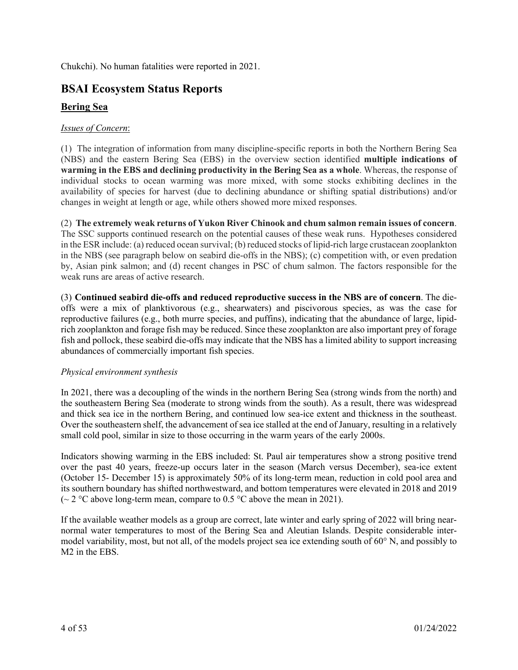Chukchi). No human fatalities were reported in 2021.

# **BSAI Ecosystem Status Reports**

# **Bering Sea**

#### *Issues of Concern*:

(1) The integration of information from many discipline-specific reports in both the Northern Bering Sea (NBS) and the eastern Bering Sea (EBS) in the overview section identified **multiple indications of warming in the EBS and declining productivity in the Bering Sea as a whole**. Whereas, the response of individual stocks to ocean warming was more mixed, with some stocks exhibiting declines in the availability of species for harvest (due to declining abundance or shifting spatial distributions) and/or changes in weight at length or age, while others showed more mixed responses.

(2) **The extremely weak returns of Yukon River Chinook and chum salmon remain issues of concern**. The SSC supports continued research on the potential causes of these weak runs. Hypotheses considered in the ESR include: (a) reduced ocean survival; (b) reduced stocks of lipid-rich large crustacean zooplankton in the NBS (see paragraph below on seabird die-offs in the NBS); (c) competition with, or even predation by, Asian pink salmon; and (d) recent changes in PSC of chum salmon. The factors responsible for the weak runs are areas of active research.

(3) **Continued seabird die-offs and reduced reproductive success in the NBS are of concern**. The dieoffs were a mix of planktivorous (e.g., shearwaters) and piscivorous species, as was the case for reproductive failures (e.g., both murre species, and puffins), indicating that the abundance of large, lipidrich zooplankton and forage fish may be reduced. Since these zooplankton are also important prey of forage fish and pollock, these seabird die-offs may indicate that the NBS has a limited ability to support increasing abundances of commercially important fish species.

#### *Physical environment synthesis*

In 2021, there was a decoupling of the winds in the northern Bering Sea (strong winds from the north) and the southeastern Bering Sea (moderate to strong winds from the south). As a result, there was widespread and thick sea ice in the northern Bering, and continued low sea-ice extent and thickness in the southeast. Over the southeastern shelf, the advancement of sea ice stalled at the end of January, resulting in a relatively small cold pool, similar in size to those occurring in the warm years of the early 2000s.

Indicators showing warming in the EBS included: St. Paul air temperatures show a strong positive trend over the past 40 years, freeze-up occurs later in the season (March versus December), sea-ice extent (October 15- December 15) is approximately 50% of its long-term mean, reduction in cold pool area and its southern boundary has shifted northwestward, and bottom temperatures were elevated in 2018 and 2019 ( $\sim$  2 °C above long-term mean, compare to 0.5 °C above the mean in 2021).

If the available weather models as a group are correct, late winter and early spring of 2022 will bring nearnormal water temperatures to most of the Bering Sea and Aleutian Islands. Despite considerable intermodel variability, most, but not all, of the models project sea ice extending south of 60° N, and possibly to M2 in the EBS.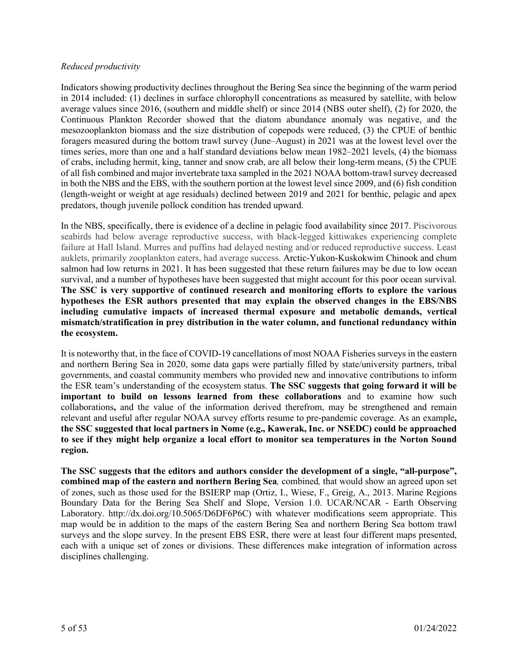#### *Reduced productivity*

Indicators showing productivity declines throughout the Bering Sea since the beginning of the warm period in 2014 included: (1) declines in surface chlorophyll concentrations as measured by satellite, with below average values since 2016, (southern and middle shelf) or since 2014 (NBS outer shelf), (2) for 2020, the Continuous Plankton Recorder showed that the diatom abundance anomaly was negative, and the mesozooplankton biomass and the size distribution of copepods were reduced, (3) the CPUE of benthic foragers measured during the bottom trawl survey (June–August) in 2021 was at the lowest level over the times series, more than one and a half standard deviations below mean 1982–2021 levels, (4) the biomass of crabs, including hermit, king, tanner and snow crab, are all below their long-term means, (5) the CPUE of all fish combined and major invertebrate taxa sampled in the 2021 NOAA bottom-trawl survey decreased in both the NBS and the EBS, with the southern portion at the lowest level since 2009, and (6) fish condition (length-weight or weight at age residuals) declined between 2019 and 2021 for benthic, pelagic and apex predators, though juvenile pollock condition has trended upward.

In the NBS, specifically, there is evidence of a decline in pelagic food availability since 2017. Piscivorous seabirds had below average reproductive success, with black-legged kittiwakes experiencing complete failure at Hall Island. Murres and puffins had delayed nesting and/or reduced reproductive success. Least auklets, primarily zooplankton eaters, had average success. Arctic-Yukon-Kuskokwim Chinook and chum salmon had low returns in 2021. It has been suggested that these return failures may be due to low ocean survival, and a number of hypotheses have been suggested that might account for this poor ocean survival. **The SSC is very supportive of continued research and monitoring efforts to explore the various hypotheses the ESR authors presented that may explain the observed changes in the EBS/NBS including cumulative impacts of increased thermal exposure and metabolic demands, vertical mismatch/stratification in prey distribution in the water column, and functional redundancy within the ecosystem.**

It is noteworthy that, in the face of COVID-19 cancellations of most NOAA Fisheries surveys in the eastern and northern Bering Sea in 2020, some data gaps were partially filled by state/university partners, tribal governments, and coastal community members who provided new and innovative contributions to inform the ESR team's understanding of the ecosystem status. **The SSC suggests that going forward it will be important to build on lessons learned from these collaborations** and to examine how such collaborations**,** and the value of the information derived therefrom, may be strengthened and remain relevant and useful after regular NOAA survey efforts resume to pre-pandemic coverage. As an example**, the SSC suggested that local partners in Nome (e.g., Kawerak, Inc. or NSEDC) could be approached to see if they might help organize a local effort to monitor sea temperatures in the Norton Sound region.**

**The SSC suggests that the editors and authors consider the development of a single, "all-purpose", combined map of the eastern and northern Bering Sea***,* combined*,* that would show an agreed upon set of zones, such as those used for the BSIERP map (Ortiz, I., Wiese, F., Greig, A., 2013. Marine Regions Boundary Data for the Bering Sea Shelf and Slope, Version 1.0. UCAR/NCAR - Earth Observing Laboratory. http://dx.doi.org/10.5065/D6DF6P6C) with whatever modifications seem appropriate. This map would be in addition to the maps of the eastern Bering Sea and northern Bering Sea bottom trawl surveys and the slope survey. In the present EBS ESR, there were at least four different maps presented, each with a unique set of zones or divisions. These differences make integration of information across disciplines challenging.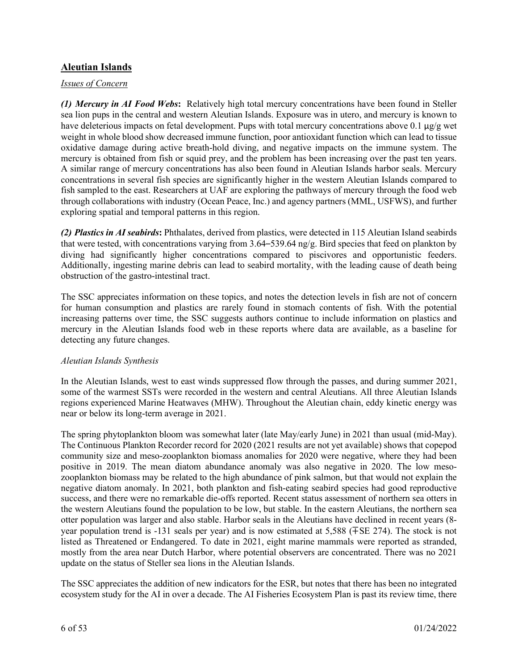## **Aleutian Islands**

#### *Issues of Concern*

*(1)**Mercury in AI Food Webs***:** Relatively high total mercury concentrations have been found in Steller sea lion pups in the central and western Aleutian Islands. Exposure was in utero, and mercury is known to have deleterious impacts on fetal development. Pups with total mercury concentrations above 0.1 μg/g wet weight in whole blood show decreased immune function, poor antioxidant function which can lead to tissue oxidative damage during active breath-hold diving, and negative impacts on the immune system. The mercury is obtained from fish or squid prey, and the problem has been increasing over the past ten years. A similar range of mercury concentrations has also been found in Aleutian Islands harbor seals. Mercury concentrations in several fish species are significantly higher in the western Aleutian Islands compared to fish sampled to the east. Researchers at UAF are exploring the pathways of mercury through the food web through collaborations with industry (Ocean Peace, Inc.) and agency partners (MML, USFWS), and further exploring spatial and temporal patterns in this region.

*(2)**Plastics in AI seabirds***:** Phthalates, derived from plastics, were detected in 115 Aleutian Island seabirds that were tested, with concentrations varying from 3.64–539.64 ng/g. Bird species that feed on plankton by diving had significantly higher concentrations compared to piscivores and opportunistic feeders. Additionally, ingesting marine debris can lead to seabird mortality, with the leading cause of death being obstruction of the gastro-intestinal tract.

The SSC appreciates information on these topics, and notes the detection levels in fish are not of concern for human consumption and plastics are rarely found in stomach contents of fish. With the potential increasing patterns over time, the SSC suggests authors continue to include information on plastics and mercury in the Aleutian Islands food web in these reports where data are available, as a baseline for detecting any future changes.

#### *Aleutian Islands Synthesis*

In the Aleutian Islands, west to east winds suppressed flow through the passes, and during summer 2021, some of the warmest SSTs were recorded in the western and central Aleutians. All three Aleutian Islands regions experienced Marine Heatwaves (MHW). Throughout the Aleutian chain, eddy kinetic energy was near or below its long-term average in 2021.

The spring phytoplankton bloom was somewhat later (late May/early June) in 2021 than usual (mid-May). The Continuous Plankton Recorder record for 2020 (2021 results are not yet available) shows that copepod community size and meso-zooplankton biomass anomalies for 2020 were negative, where they had been positive in 2019. The mean diatom abundance anomaly was also negative in 2020. The low mesozooplankton biomass may be related to the high abundance of pink salmon, but that would not explain the negative diatom anomaly. In 2021, both plankton and fish-eating seabird species had good reproductive success, and there were no remarkable die-offs reported. Recent status assessment of northern sea otters in the western Aleutians found the population to be low, but stable. In the eastern Aleutians, the northern sea otter population was larger and also stable. Harbor seals in the Aleutians have declined in recent years (8 year population trend is -131 seals per year) and is now estimated at 5,588 (∓SE 274). The stock is not listed as Threatened or Endangered. To date in 2021, eight marine mammals were reported as stranded, mostly from the area near Dutch Harbor, where potential observers are concentrated. There was no 2021 update on the status of Steller sea lions in the Aleutian Islands.

The SSC appreciates the addition of new indicators for the ESR, but notes that there has been no integrated ecosystem study for the AI in over a decade. The AI Fisheries Ecosystem Plan is past its review time, there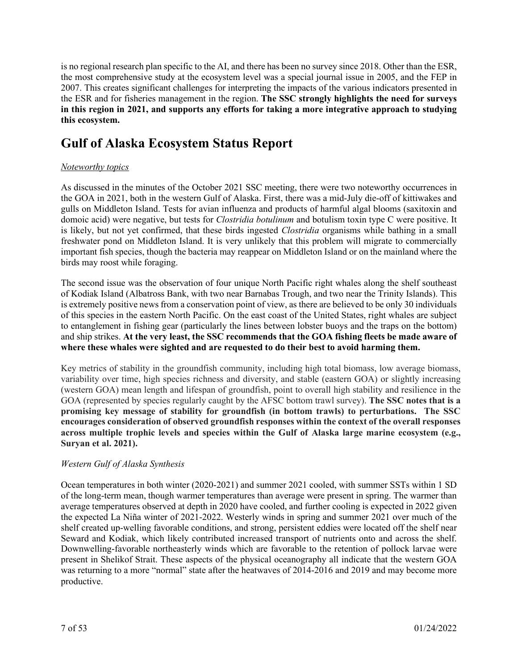is no regional research plan specific to the AI, and there has been no survey since 2018. Other than the ESR, the most comprehensive study at the ecosystem level was a special journal issue in 2005, and the FEP in 2007. This creates significant challenges for interpreting the impacts of the various indicators presented in the ESR and for fisheries management in the region. **The SSC strongly highlights the need for surveys in this region in 2021, and supports any efforts for taking a more integrative approach to studying this ecosystem.**

# **Gulf of Alaska Ecosystem Status Report**

## *Noteworthy topics*

As discussed in the minutes of the October 2021 SSC meeting, there were two noteworthy occurrences in the GOA in 2021, both in the western Gulf of Alaska. First, there was a mid-July die-off of kittiwakes and gulls on Middleton Island. Tests for avian influenza and products of harmful algal blooms (saxitoxin and domoic acid) were negative, but tests for *Clostridia botulinum* and botulism toxin type C were positive. It is likely, but not yet confirmed, that these birds ingested *Clostridia* organisms while bathing in a small freshwater pond on Middleton Island. It is very unlikely that this problem will migrate to commercially important fish species, though the bacteria may reappear on Middleton Island or on the mainland where the birds may roost while foraging.

The second issue was the observation of four unique North Pacific right whales along the shelf southeast of Kodiak Island (Albatross Bank, with two near Barnabas Trough, and two near the Trinity Islands). This is extremely positive news from a conservation point of view, as there are believed to be only 30 individuals of this species in the eastern North Pacific. On the east coast of the United States, right whales are subject to entanglement in fishing gear (particularly the lines between lobster buoys and the traps on the bottom) and ship strikes. **At the very least, the SSC recommends that the GOA fishing fleets be made aware of where these whales were sighted and are requested to do their best to avoid harming them.**

Key metrics of stability in the groundfish community, including high total biomass, low average biomass, variability over time, high species richness and diversity, and stable (eastern GOA) or slightly increasing (western GOA) mean length and lifespan of groundfish, point to overall high stability and resilience in the GOA (represented by species regularly caught by the AFSC bottom trawl survey). **The SSC notes that is a promising key message of stability for groundfish (in bottom trawls) to perturbations. The SSC encourages consideration of observed groundfish responses within the context of the overall responses across multiple trophic levels and species within the Gulf of Alaska large marine ecosystem (e.g., Suryan et al. 2021).**

#### *Western Gulf of Alaska Synthesis*

Ocean temperatures in both winter (2020-2021) and summer 2021 cooled, with summer SSTs within 1 SD of the long-term mean, though warmer temperatures than average were present in spring. The warmer than average temperatures observed at depth in 2020 have cooled, and further cooling is expected in 2022 given the expected La Niña winter of 2021-2022. Westerly winds in spring and summer 2021 over much of the shelf created up-welling favorable conditions, and strong, persistent eddies were located off the shelf near Seward and Kodiak, which likely contributed increased transport of nutrients onto and across the shelf. Downwelling-favorable northeasterly winds which are favorable to the retention of pollock larvae were present in Shelikof Strait. These aspects of the physical oceanography all indicate that the western GOA was returning to a more "normal" state after the heatwaves of 2014-2016 and 2019 and may become more productive.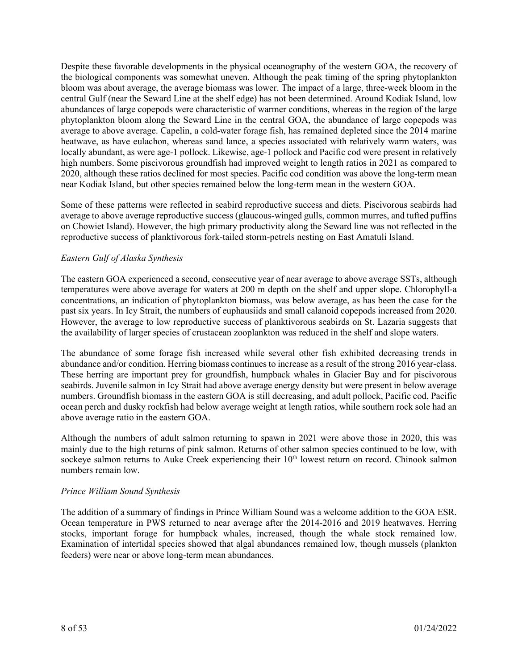Despite these favorable developments in the physical oceanography of the western GOA, the recovery of the biological components was somewhat uneven. Although the peak timing of the spring phytoplankton bloom was about average, the average biomass was lower. The impact of a large, three-week bloom in the central Gulf (near the Seward Line at the shelf edge) has not been determined. Around Kodiak Island, low abundances of large copepods were characteristic of warmer conditions, whereas in the region of the large phytoplankton bloom along the Seward Line in the central GOA, the abundance of large copepods was average to above average. Capelin, a cold-water forage fish, has remained depleted since the 2014 marine heatwave, as have eulachon, whereas sand lance, a species associated with relatively warm waters, was locally abundant, as were age-1 pollock. Likewise, age-1 pollock and Pacific cod were present in relatively high numbers. Some piscivorous groundfish had improved weight to length ratios in 2021 as compared to 2020, although these ratios declined for most species. Pacific cod condition was above the long-term mean near Kodiak Island, but other species remained below the long-term mean in the western GOA.

Some of these patterns were reflected in seabird reproductive success and diets. Piscivorous seabirds had average to above average reproductive success (glaucous-winged gulls, common murres, and tufted puffins on Chowiet Island). However, the high primary productivity along the Seward line was not reflected in the reproductive success of planktivorous fork-tailed storm-petrels nesting on East Amatuli Island.

#### *Eastern Gulf of Alaska Synthesis*

The eastern GOA experienced a second, consecutive year of near average to above average SSTs, although temperatures were above average for waters at 200 m depth on the shelf and upper slope. Chlorophyll-a concentrations, an indication of phytoplankton biomass, was below average, as has been the case for the past six years. In Icy Strait, the numbers of euphausiids and small calanoid copepods increased from 2020. However, the average to low reproductive success of planktivorous seabirds on St. Lazaria suggests that the availability of larger species of crustacean zooplankton was reduced in the shelf and slope waters.

The abundance of some forage fish increased while several other fish exhibited decreasing trends in abundance and/or condition. Herring biomass continues to increase as a result of the strong 2016 year-class. These herring are important prey for groundfish, humpback whales in Glacier Bay and for piscivorous seabirds. Juvenile salmon in Icy Strait had above average energy density but were present in below average numbers. Groundfish biomass in the eastern GOA is still decreasing, and adult pollock, Pacific cod, Pacific ocean perch and dusky rockfish had below average weight at length ratios, while southern rock sole had an above average ratio in the eastern GOA.

Although the numbers of adult salmon returning to spawn in 2021 were above those in 2020, this was mainly due to the high returns of pink salmon. Returns of other salmon species continued to be low, with sockeye salmon returns to Auke Creek experiencing their 10<sup>th</sup> lowest return on record. Chinook salmon numbers remain low.

#### *Prince William Sound Synthesis*

The addition of a summary of findings in Prince William Sound was a welcome addition to the GOA ESR. Ocean temperature in PWS returned to near average after the 2014-2016 and 2019 heatwaves. Herring stocks, important forage for humpback whales, increased, though the whale stock remained low. Examination of intertidal species showed that algal abundances remained low, though mussels (plankton feeders) were near or above long-term mean abundances.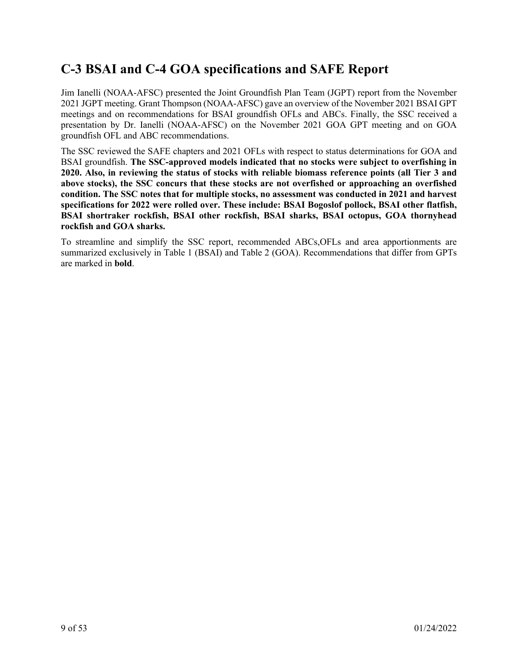# **C-3 BSAI and C-4 GOA specifications and SAFE Report**

Jim Ianelli (NOAA-AFSC) presented the Joint Groundfish Plan Team (JGPT) report from the November 2021 JGPT meeting. Grant Thompson (NOAA-AFSC) gave an overview of the November 2021 BSAI GPT meetings and on recommendations for BSAI groundfish OFLs and ABCs. Finally, the SSC received a presentation by Dr. Ianelli (NOAA-AFSC) on the November 2021 GOA GPT meeting and on GOA groundfish OFL and ABC recommendations.

The SSC reviewed the SAFE chapters and 2021 OFLs with respect to status determinations for GOA and BSAI groundfish. **The SSC-approved models indicated that no stocks were subject to overfishing in 2020. Also, in reviewing the status of stocks with reliable biomass reference points (all Tier 3 and above stocks), the SSC concurs that these stocks are not overfished or approaching an overfished condition. The SSC notes that for multiple stocks, no assessment was conducted in 2021 and harvest specifications for 2022 were rolled over. These include: BSAI Bogoslof pollock, BSAI other flatfish, BSAI shortraker rockfish, BSAI other rockfish, BSAI sharks, BSAI octopus, GOA thornyhead rockfish and GOA sharks.** 

To streamline and simplify the SSC report, recommended ABCs,OFLs and area apportionments are summarized exclusively in Table 1 (BSAI) and Table 2 (GOA). Recommendations that differ from GPTs are marked in **bold**.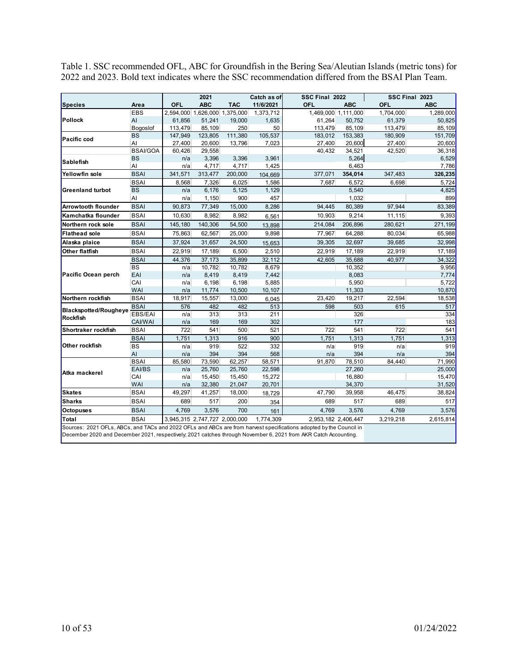Table 1. SSC recommended OFL, ABC for Groundfish in the Bering Sea/Aleutian Islands (metric tons) for 2022 and 2023. Bold text indicates where the SSC recommendation differed from the BSAI Plan Team.

|                                                                                                                                                                                                                                        |                 |            | 2021                          |                               | Catch as of | SSC Final 2022 |                     |           | SSC Final 2023 |
|----------------------------------------------------------------------------------------------------------------------------------------------------------------------------------------------------------------------------------------|-----------------|------------|-------------------------------|-------------------------------|-------------|----------------|---------------------|-----------|----------------|
| <b>Species</b>                                                                                                                                                                                                                         | Area            | <b>OFL</b> | <b>ABC</b>                    | <b>TAC</b>                    | 11/6/2021   | OFL            | <b>ABC</b>          | OFL       | <b>ABC</b>     |
|                                                                                                                                                                                                                                        | <b>EBS</b>      |            |                               | 2,594,000 1,626,000 1,375,000 | 1,373,712   |                | 1,469,000 1,111,000 | 1,704,000 | 1,289,000      |
| Pollock                                                                                                                                                                                                                                | AI              | 61,856     | 51,241                        | 19,000                        | 1,635       | 61,264         | 50,752              | 61,379    | 50,825         |
|                                                                                                                                                                                                                                        | Bogoslof        | 113,479    | 85,109                        | 250                           | 50          | 113,479        | 85,109              | 113,479   | 85,109         |
| Pacific cod                                                                                                                                                                                                                            | <b>BS</b>       | 147,949    | 123,805                       | 111,380                       | 105,537     | 183,012        | 153,383             | 180,909   | 151,709        |
|                                                                                                                                                                                                                                        | AI              | 27,400     | 20,600                        | 13,796                        | 7,023       | 27,400         | 20,600              | 27,400    | 20,600         |
|                                                                                                                                                                                                                                        | <b>BSAI/GOA</b> | 60,426     | 29.558                        |                               |             | 40.432         | 34,521              | 42,520    | 36,318         |
| Sablefish                                                                                                                                                                                                                              | <b>BS</b>       | n/a        | 3,396                         | 3,396                         | 3,961       |                | 5,264               |           | 6,529          |
|                                                                                                                                                                                                                                        | AI              | n/a        | 4,717                         | 4,717                         | 1,425       |                | 6,463               |           | 7,786          |
| Yellowfin sole                                                                                                                                                                                                                         | <b>BSAI</b>     | 341,571    | 313,477                       | 200,000                       | 104,669     | 377,071        | 354,014             | 347,483   | 326,235        |
|                                                                                                                                                                                                                                        | <b>BSAI</b>     | 8.568      | 7.326                         | 6,025                         | 1,586       | 7.687          | 6,572               | 6,698     | 5,724          |
| <b>Greenland turbot</b>                                                                                                                                                                                                                | <b>BS</b>       | n/a        | 6,176                         | 5,125                         | 1,129       |                | 5,540               |           | 4,825          |
|                                                                                                                                                                                                                                        | AI              | n/a        | 1,150                         | 900                           | 457         |                | 1,032               |           | 899            |
| <b>Arrowtooth flounder</b>                                                                                                                                                                                                             | <b>BSAI</b>     | 90,873     | 77,349                        | 15,000                        | 8,286       | 94,445         | 80,389              | 97,944    | 83,389         |
| Kamchatka flounder                                                                                                                                                                                                                     | <b>BSAI</b>     | 10,630     | 8,982                         | 8,982                         | 6,561       | 10,903         | 9,214               | 11,115    | 9,393          |
| Northern rock sole                                                                                                                                                                                                                     | <b>BSAI</b>     | 145,180    | 140,306                       | 54,500                        | 13,898      | 214,084        | 206,896             | 280,621   | 271,199        |
| <b>Flathead sole</b>                                                                                                                                                                                                                   | <b>BSAI</b>     | 75,863     | 62,567                        | 25,000                        | 9,898       | 77,967         | 64,288              | 80,034    | 65,988         |
| Alaska plaice                                                                                                                                                                                                                          | <b>BSAI</b>     | 37,924     | 31,657                        | 24,500                        | 15,653      | 39,305         | 32,697              | 39,685    | 32,998         |
| <b>Other flatfish</b>                                                                                                                                                                                                                  | <b>BSAI</b>     | 22,919     | 17,189                        | 6,500                         | 2,510       | 22,919         | 17,189              | 22,919    | 17,189         |
|                                                                                                                                                                                                                                        | <b>BSAI</b>     | 44,376     | 37,173                        | 35,899                        | 32,112      | 42,605         | 35,688              | 40,977    | 34,322         |
| <b>Pacific Ocean perch</b>                                                                                                                                                                                                             | <b>BS</b>       | n/a        | 10,782                        | 10,782                        | 8,679       |                | 10,352              |           | 9,956          |
|                                                                                                                                                                                                                                        | EAI             | n/a        | 8,419                         | 8,419                         | 7,442       |                | 8,083               |           | 7,774          |
|                                                                                                                                                                                                                                        | CAI             | n/a        | 6,198                         | 6,198                         | 5,885       |                | 5,950               |           | 5,722          |
|                                                                                                                                                                                                                                        | <b>WAI</b>      | n/a        | 11,774                        | 10,500                        | 10,107      |                | 11,303              |           | 10,870         |
| Northern rockfish                                                                                                                                                                                                                      | <b>BSAI</b>     | 18,917     | 15,557                        | 13,000                        | 6,045       | 23,420         | 19,217              | 22,594    | 18,538         |
| Blackspotted/Rougheye                                                                                                                                                                                                                  | <b>BSAI</b>     | 576        | 482                           | 482                           | 513         | 598            | 503                 | 615       | 517            |
| Rockfish                                                                                                                                                                                                                               | EBS/EAI         | n/a        | 313                           | 313                           | 211         |                | 326                 |           | 334            |
|                                                                                                                                                                                                                                        | CAI/WAI         | n/a        | 169                           | 169                           | 302         |                | 177                 |           | 183            |
| Shortraker rockfish                                                                                                                                                                                                                    | <b>BSAI</b>     | 722        | 541                           | 500                           | 521         | 722            | 541                 | 722       | 541            |
|                                                                                                                                                                                                                                        | <b>BSAI</b>     | 1,751      | 1,313                         | 916                           | 900         | 1,751          | 1,313               | 1,751     | 1,313          |
| Other rockfish                                                                                                                                                                                                                         | <b>BS</b>       | n/a        | 919                           | 522                           | 332         | n/a            | 919                 | n/a       | 919            |
|                                                                                                                                                                                                                                        | AI              | n/a        | 394                           | 394                           | 568         | n/a            | 394                 | n/a       | 394            |
|                                                                                                                                                                                                                                        | <b>BSAI</b>     | 85,580     | 73,590                        | 62,257                        | 58,571      | 91,870         | 78,510              | 84.440    | 71,990         |
| Atka mackerel                                                                                                                                                                                                                          | EAI/BS          | n/a        | 25,760                        | 25,760                        | 22,598      |                | 27,260              |           | 25,000         |
|                                                                                                                                                                                                                                        | CAI             | n/a        | 15,450                        | 15,450                        | 15,272      |                | 16,880              |           | 15,470         |
|                                                                                                                                                                                                                                        | <b>WAI</b>      | n/a        | 32,380                        | 21,047                        | 20,701      |                | 34,370              |           | 31,520         |
| <b>Skates</b>                                                                                                                                                                                                                          | <b>BSAI</b>     | 49,297     | 41,257                        | 18,000                        | 18,729      | 47,790         | 39,958              | 46,475    | 38,824         |
| Sharks                                                                                                                                                                                                                                 | <b>BSAI</b>     | 689        | 517                           | 200                           | 354         | 689            | 517                 | 689       | 517            |
| <b>Octopuses</b>                                                                                                                                                                                                                       | <b>BSAI</b>     | 4,769      | 3,576                         | 700                           | 161         | 4,769          | 3,576               | 4,769     | 3,576          |
| Total                                                                                                                                                                                                                                  | <b>BSAI</b>     |            | 3,945,315 2,747,727 2,000,000 |                               | 1,774,309   |                | 2,953,182 2,406,447 | 3,219,218 | 2,615,814      |
| Sources: 2021 OFLs, ABCs, and TACs and 2022 OFLs and ABCs are from harvest specifications adopted by the Council in<br>December 2020 and December 2021, respectively, 2021 catches through November 6, 2021 from AKR Catch Accounting. |                 |            |                               |                               |             |                |                     |           |                |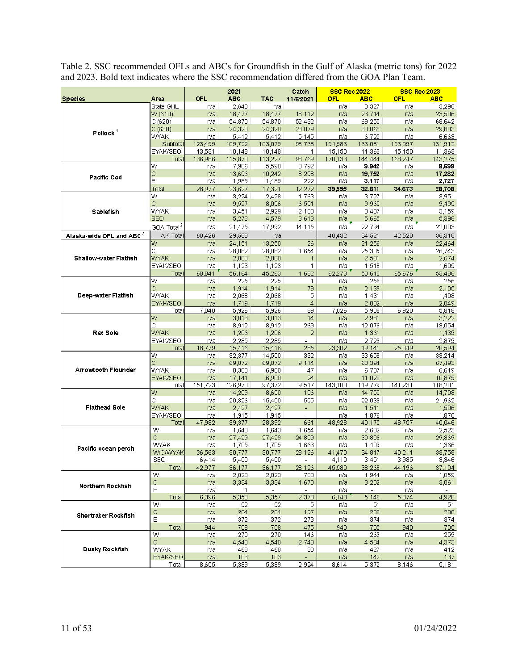Table 2. SSC recommended OFLs and ABCs for Groundfish in the Gulf of Alaska (metric tons) for 2022 and 2023. Bold text indicates where the SSC recommendation differed from the GOA Plan Team.

|                               |                        |                | 2021             |                          | Catch                    | <b>SSC Rec 2022</b> |                  |                | <b>SSC Rec 2023</b> |
|-------------------------------|------------------------|----------------|------------------|--------------------------|--------------------------|---------------------|------------------|----------------|---------------------|
| <b>Species</b>                | Area                   | OFL            | <b>ABC</b>       | <b>TAC</b>               | 11/6/2021                | OFL                 | <b>ABC</b>       | <b>OFL</b>     | <b>ABC</b>          |
|                               | State GHL              | rva            | 2,643            | n/a                      |                          | n/a                 | 3,327            | n/a            | 3,298               |
| Pollock $1$                   | W (610)                | n/a            | 18,477           | 18,477                   | 18,112                   | n/a                 | 23,714           | n/a            | 23,506              |
|                               | C (620)                | n/a            | 54,870           | 54,870                   | 52,432                   | n/a                 | 69,250           | n/a            | 68,642              |
|                               | C(630)                 | n/a            | 24,320           | 24,320                   | 23,079                   | n/a                 | 30,068           | n/a            | 29,803              |
|                               | <u>WYAK</u>            | n/a            | 5,412            | 5,412                    | 5,145                    | rva                 | 6,722            | n/a            | 6,663               |
|                               | Subtotal               | 123,455        | 105.722          | 103,079                  | 98,768                   | 154,983             | 133,081          | 153,097        | 131,912             |
|                               | <b>EYAK/SEO</b>        | 13,531         | 10,148           | 10,148                   | 1                        | 15,150              | 11,363           | 15,150         | 11,363              |
|                               | Total<br>W             | 136,986<br>n/a | 115,870<br>7,986 | 113,227<br>5,590         | 98,769<br>3,792          | 170,133<br>rva      | 144,444<br>9,942 | 168,247<br>n/a | 143,275<br>8,699    |
|                               | С                      | n/a            | 13,656           | 10,242                   | 8,258                    | n/a                 | 19,752           | n/a            | 17,282              |
| <b>Pacific Cod</b>            | E                      | rva            | 1,985            | 1,489                    | 222                      | n/a                 | 3,117            | n/a            | 2,727               |
|                               | Total                  | 28,977         | 23,627           | 17,321                   | 12.272                   | 39,555              | 32,811           | 34,673         | 28,708              |
|                               | W                      | n/a            | 3,224            | 2,428                    | 1,763                    | n/a                 | 3,727            | n/a            | 3,951               |
|                               | C                      | n/a            | 9,527            | 8,056                    | 6,551                    | n/a                 | 9,965            | n/a            | 9,495               |
| <b>Sablefish</b>              | WYAK                   | rva            | 3,451            | 2,929                    | 2,188                    | r/a                 | 3,437            | n/a            | 3,159               |
|                               | <b>SEO</b>             | n/a            | 5,273            | 4,579                    | 3,613                    | n/a                 | 5,665            | n/a            | 5,398               |
|                               | GOA Total <sup>2</sup> | rva            | 21,475           | 17,992                   | 14,115                   | n/a                 | 22,794           | n/a            | 22,003              |
| Alaska-wide OFL and ABC 3     | AK Total               | 60,426         | 29,588           | n/a                      |                          | 40,432              | 34,521           | 42,520         | 36,318              |
|                               |                        |                | 24,151           | 13,250                   | 26                       |                     | 21,256           | n/a            |                     |
|                               | W<br>C                 | n/a<br>rva     | 28,082           | 28,082                   | 1,654                    | n/a<br>n/a          | 25,305           | n/a            | 22,464<br>26,743    |
| <b>Shallow-water Flatfish</b> | <b>WYAK</b>            | n/a            | 2,808            | 2,808                    | 1                        | n/a                 | 2,531            | n/a            | 2,674               |
|                               | <b>EYAK/SEO</b>        | n/a            | 1,123            | 1,123                    | 1                        | r/a                 | 1,518            | n/a            | 1,605               |
|                               | Total                  | 68,841         | 56,164           | 45,263                   | 1,682                    | 62,273              | 50,610           | 65,676         | 53,486              |
|                               | W                      | rva.           | 225              | 225                      | 1                        | n/a                 | 256              | r/a            | 256                 |
|                               | Ć                      | n/a            | 1,914            | 1,914                    | 79                       | n/a                 | 2,139            | n/a            | 2,105               |
| Deep-water Flatfish           | WYAK                   | n/a            | 2,068            | 2,068                    | 5                        | r/a                 | 1,431            | n/a            | 1,408               |
|                               | EYAK/SEO               | n/a            | 1,719            | 1,719                    | 4                        | n/a                 | 2,082            | n/a            | 2,049               |
|                               | Total                  | 7,040          | 5,926            | 5,926                    | 89                       | 7,026               | 5,908            | 6,920          | 5,818               |
|                               | W                      | n/a            | 3,013            | 3,013                    | 14                       | n/a                 | 2,981            | n/a            | 3,222               |
|                               | С                      | rva            | 8,912            | 8,912                    | 269                      | n/a                 | 12,076           | n/a            | 13,054              |
| <b>Rex Sole</b>               | <b>WYAK</b>            | n/a            | 1,206            | 1,206                    | $\overline{2}$           | n/a                 | 1,361            | n/a            | 1,439               |
|                               | <b>EYAK/SEO</b>        | n/a            | 2,285            | 2.285                    |                          | n/a                 | 2,723            | n/a            | 2,879               |
|                               | Total                  | 18,779         | 15,416           | 15,416                   | 285                      | 23.302              | 19.141           | 25.049         | 20,594              |
| <b>Arrowtooth Flounder</b>    | W                      | n/a            | 32,377           | 14,500                   | 332                      | n/a                 | 33,658           | n/a            | 33,214              |
|                               | Ċ                      | n/a            | 69,072           | 69,072                   | 9,114                    | n/a                 | 68,394           | n/a            | 67,493              |
|                               | WYAK                   | n/a            | 8,380            | 6,900                    | 47                       | rva                 | 6,707            | n/a            | 6,619               |
|                               | EYAK/SEO               | n/a            | 17,141           | 6,900                    | 24                       | n/a                 | 11,020           | n/a            | 10,875              |
|                               | Total                  | 151,723        | 126,970          | 97,372                   | 9,517                    | 143,100             | 119,779          | 141,231        | 118,201             |
|                               | W                      | n/a            | 14,209           | 8,650                    | 106                      | n/a                 | 14,755           | n/a            | 14,708              |
|                               | с                      | n/a            | 20,826           | 15,400                   | 555                      | n/a                 | 22,033           | n/a            | 21,962              |
| <b>Flathead Sole</b>          | <b>WYAK</b>            | n/a            | 2,427            | 2,427                    | ÷.                       | n/a                 | 1,511            | n/a            | 1,506               |
|                               | EYAK/SEO<br>Total      | n/a<br>47,982  | 1,915<br>39,377  | 1,915<br>28,392          | ÷.<br>661                | n/a<br>48.928       | 1,876<br>40,175  | n/a<br>48,757  | 1,870<br>40,046     |
|                               | W                      | rva            | 1,643            | 1,643                    | 1,654                    | n/a                 | 2,602            | n/a            | 2,523               |
|                               | Ć                      | n/a            | 27,429           | 27,429                   | 24,809                   | n/a                 | 30,806           | n/a            | 29,869              |
|                               | WYAK                   | n/a            | 1,705            | 1,705                    | 1,663                    | n/a                 | 1,409            | n/a            | 1,366               |
| Pacific ocean perch           | W/C/WYAK               | 36,563         | 30,777           | 30,777                   | 28,126                   | 41,470              | 34,817           | 40,211         | 33,758              |
|                               | SEO                    | 6,414          | 5,400            | 5,400                    |                          | 4,110               | 3,451            | 3,985          | 3,346               |
|                               | <u>Total</u>           | 42,977         | <u>36,177</u>    | <u>36,177</u>            | 28,126                   | <u>45,580</u>       | 38.268           | <u>44,196</u>  | <u>37,104 .</u>     |
|                               | W                      | n/a            | 2,023            | 2,023                    | 708                      | n/a                 | 1,944            | n/a            | 1,859               |
|                               | С                      | n/a            | 3,334            | 3,334                    | 1,670                    | n/a                 | 3,202            | n/a            | 3,061               |
| Northern Rockfish             | Ε                      | n/a            | 1                | $\overline{\phantom{a}}$ | $\sim$                   | n/a                 | $\sim$           | n/a            | $\sim$              |
|                               | Total                  | 6,396          | 5,358            | 5,357                    | 2,378                    | 6,143               | 5,146            | 5,874          | 4,920               |
|                               | W                      | n/a            | 52               | 52                       | 5                        | rva                 | 51               | n/a            | 51                  |
| Shortraker Rockfish           | С                      | n/a            | 284              | 284                      | 197                      | n/a                 | 280              | n/a            | 280                 |
|                               | E                      | n/a            | 372              | 372                      | 273                      | n/a                 | 374              | n/a            | 374                 |
|                               | Total                  | 944            | 708              | 708                      | 475                      | 940                 | 705              | 940            | 705                 |
|                               | W                      | n/a            | 270              | 270                      | 146                      | r/a                 | 269              | n/a            | 259                 |
|                               | Ć                      | n/a            | 4,548            | 4,548                    | 2,748                    | n/a                 | 4,534            | n/a            | 4,373               |
| Dusky Rockfish                | <b>WYAK</b>            | n/a            | 468              | 468                      | 30                       | n/a                 | 427              | n/a            | 412                 |
|                               | EYAK/SEO               | n/a            | 103              | 103                      | $\overline{\phantom{a}}$ | n/a                 | 142              | n/a            | 137                 |
|                               | Total                  | 8,655          | 5,389            | 5,389                    | 2,924                    | 8,614               | 5,372            | 8,146          | 5,181               |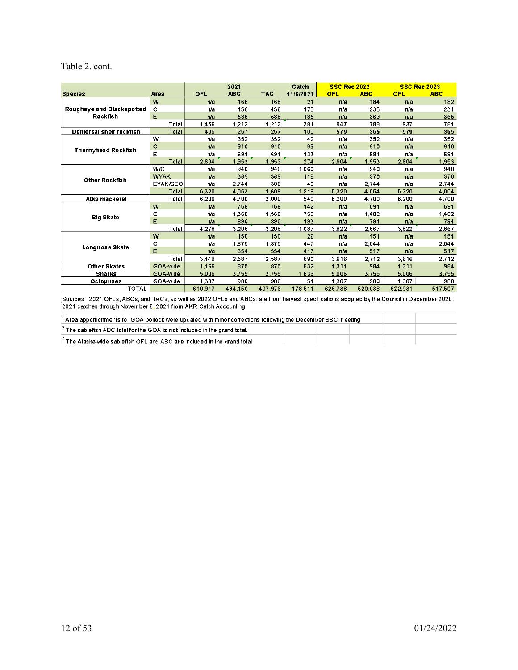### Table 2. cont.

|                                                                                                                     |              |            | 2021       |            | Catch     | <b>SSC Rec 2022</b> |            | <b>SSC Rec 2023</b> |            |
|---------------------------------------------------------------------------------------------------------------------|--------------|------------|------------|------------|-----------|---------------------|------------|---------------------|------------|
| <b>Species</b>                                                                                                      | Area         | <b>OFL</b> | <b>ABC</b> | <b>TAC</b> | 11/6/2021 | <b>OFL</b>          | <b>ABC</b> | <b>OFL</b>          | <b>ABC</b> |
|                                                                                                                     | w            | n/a        | 168        | 168        | 21        | n/a                 | 184        | n/a                 | 182        |
| Rougheye and Blackspotted                                                                                           | с            | n/a        | 456        | 456        | 175       | n/a                 | 235        | n/a                 | 234        |
| <b>Rockfish</b>                                                                                                     | E            | n/a        | 588        | 588        | 185       | n/a                 | 369        | n/a                 | 365        |
|                                                                                                                     | Total        | 1,456      | 1,212      | 1,212      | 381       | 947                 | 788        | 937                 | 781        |
| Demersal shelf rockfish                                                                                             | <b>Total</b> | 405        | 257        | 257        | 105       | 579                 | 365        | 579                 | 365        |
|                                                                                                                     | w            | n/a        | 352        | 352        | 42        | n/a                 | 352        | n/a                 | 352        |
| <b>Thornyhead Rockfish</b>                                                                                          | с            | n/a        | 910        | 910        | 99        | n/a                 | 910        | n/a                 | 910        |
|                                                                                                                     | E            | n/a        | 691        | 691        | 133       | n/a                 | 691        | n/a                 | 691        |
|                                                                                                                     | Total        | 2,604      | 1,953      | 1.953      | 274       | 2,604               | 1.953      | 2,604               | 1,953      |
|                                                                                                                     | W/C          | n/a        | 940        | 940        | 1.060     | n/a                 | 940        | n/a                 | 940        |
| <b>Other Rockfish</b>                                                                                               | <b>WYAK</b>  | n/a        | 369        | 369        | 119       | n/a                 | 370        | n/a                 | 370        |
|                                                                                                                     | EYAK/SEO     | n/a        | 2.744      | 300        | 40        | n/a                 | 2,744      | n/a                 | 2,744      |
|                                                                                                                     | <b>Total</b> | 5.320      | 4.053      | 1.609      | 1,219     | 5.320               | 4.054      | 5.320               | 4,054      |
| Atka mackerel                                                                                                       | Total        | 6,200      | 4,700      | 3,000      | 940       | 6,200               | 4,700      | 6,200               | 4,700      |
|                                                                                                                     | w            | n/a        | 758        | 758        | 142       | n/a                 | 591        | n/a                 | 591        |
| <b>Big Skate</b>                                                                                                    | c            | n/a        | 1,560      | 1,560      | 752       | n/a                 | 1,482      | n/a                 | 1,482      |
|                                                                                                                     | E            | n/a        | 890        | 890        | 193       | n/a                 | 794        | n/a                 | 794        |
|                                                                                                                     | Total        | 4,278      | 3,208      | 3,208      | 1,087     | 3,822               | 2,867      | 3,822               | 2,867      |
|                                                                                                                     | w            | n/a        | 158        | 158        | 26        | n/a                 | 151        | n/a                 | 151        |
| <b>Longnose Skate</b>                                                                                               | с            | n/a        | 1.875      | 1,875      | 447       | n/a                 | 2,044      | n/a                 | 2,044      |
|                                                                                                                     | E            | n/a        | 554        | 554        | 417       | n/a                 | 517        | n/a                 | 517        |
|                                                                                                                     | Total        | 3.449      | 2.587      | 2.587      | 890       | 3.616               | 2.712      | 3.616               | 2.712      |
| <b>Other Skates</b>                                                                                                 | GOA-wide     | 1.166      | 875        | 875        | 632       | 1.311               | 984        | 1.311               | 984        |
| <b>Sharks</b>                                                                                                       | GOA-wide     | 5.006      | 3,755      | 3.755      | 1,639     | 5,006               | 3,755      | 5,006               | 3,755      |
| <b>Octopuses</b>                                                                                                    | GOA-wide     | 1.307      | 980        | 980        | 51        | 1.307               | 980        | 1.307               | 980        |
| <b>TOTAL</b>                                                                                                        |              | 610,917    | 484.150    | 407.976    | 178,511   | 626.738             | 520.038    | 622.931             | 517,507    |
| and TAOs, as well as 2000 OFLs and ADOs, are from bounded and displayer adopted butter Osimell in Description 0000. |              |            |            |            |           |                     |            |                     |            |

Sources: 2021 OFLs, ABCs, and TACs, as well as 2022 OFLs and ABCs, are from harvest specifications adopted by the Council in December 2020.<br>2021 catches through November 6, 2021 from AKR Catch Accounting.

| Area apportionments for GOA pollock were updated with minor corrections following the December SSC meeting ' |  |  |  |
|--------------------------------------------------------------------------------------------------------------|--|--|--|
| $ ^2$ The sablefish ABC total for the GOA is not included in the grand total. $\parallel$                    |  |  |  |
| $^{3}$ The Alaska-wide sablefish OFL and ABC are included in the grand total.                                |  |  |  |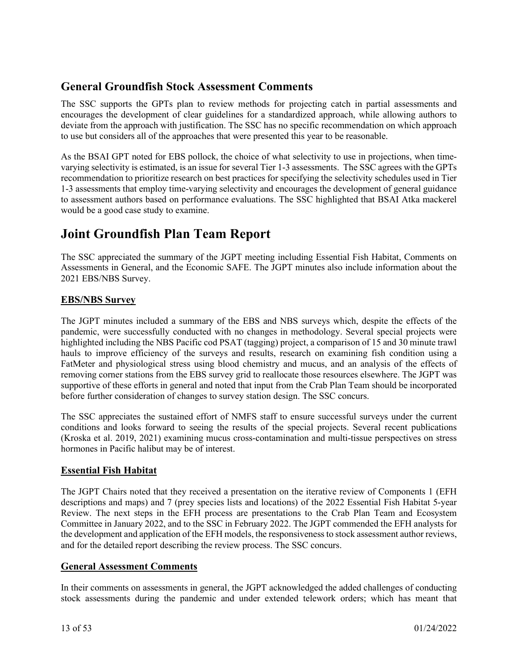# **General Groundfish Stock Assessment Comments**

The SSC supports the GPTs plan to review methods for projecting catch in partial assessments and encourages the development of clear guidelines for a standardized approach, while allowing authors to deviate from the approach with justification. The SSC has no specific recommendation on which approach to use but considers all of the approaches that were presented this year to be reasonable.

As the BSAI GPT noted for EBS pollock, the choice of what selectivity to use in projections, when timevarying selectivity is estimated, is an issue for several Tier 1-3 assessments. The SSC agrees with the GPTs recommendation to prioritize research on best practices for specifying the selectivity schedules used in Tier 1-3 assessments that employ time-varying selectivity and encourages the development of general guidance to assessment authors based on performance evaluations. The SSC highlighted that BSAI Atka mackerel would be a good case study to examine.

# **Joint Groundfish Plan Team Report**

The SSC appreciated the summary of the JGPT meeting including Essential Fish Habitat, Comments on Assessments in General, and the Economic SAFE. The JGPT minutes also include information about the 2021 EBS/NBS Survey.

## **EBS/NBS Survey**

The JGPT minutes included a summary of the EBS and NBS surveys which, despite the effects of the pandemic, were successfully conducted with no changes in methodology. Several special projects were highlighted including the NBS Pacific cod PSAT (tagging) project, a comparison of 15 and 30 minute trawl hauls to improve efficiency of the surveys and results, research on examining fish condition using a FatMeter and physiological stress using blood chemistry and mucus, and an analysis of the effects of removing corner stations from the EBS survey grid to reallocate those resources elsewhere. The JGPT was supportive of these efforts in general and noted that input from the Crab Plan Team should be incorporated before further consideration of changes to survey station design. The SSC concurs.

The SSC appreciates the sustained effort of NMFS staff to ensure successful surveys under the current conditions and looks forward to seeing the results of the special projects. Several recent publications (Kroska et al. 2019, 2021) examining mucus cross-contamination and multi-tissue perspectives on stress hormones in Pacific halibut may be of interest.

## **Essential Fish Habitat**

The JGPT Chairs noted that they received a presentation on the iterative review of Components 1 (EFH descriptions and maps) and 7 (prey species lists and locations) of the 2022 Essential Fish Habitat 5-year Review. The next steps in the EFH process are presentations to the Crab Plan Team and Ecosystem Committee in January 2022, and to the SSC in February 2022. The JGPT commended the EFH analysts for the development and application of the EFH models, the responsiveness to stock assessment author reviews, and for the detailed report describing the review process. The SSC concurs.

#### **General Assessment Comments**

In their comments on assessments in general, the JGPT acknowledged the added challenges of conducting stock assessments during the pandemic and under extended telework orders; which has meant that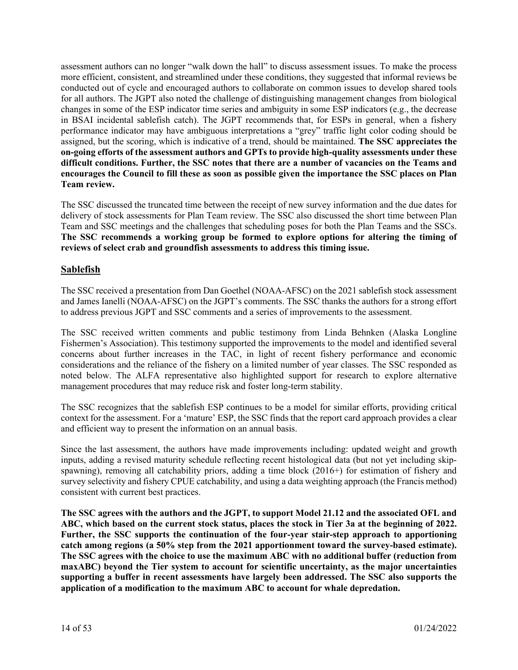assessment authors can no longer "walk down the hall" to discuss assessment issues. To make the process more efficient, consistent, and streamlined under these conditions, they suggested that informal reviews be conducted out of cycle and encouraged authors to collaborate on common issues to develop shared tools for all authors. The JGPT also noted the challenge of distinguishing management changes from biological changes in some of the ESP indicator time series and ambiguity in some ESP indicators (e.g., the decrease in BSAI incidental sablefish catch). The JGPT recommends that, for ESPs in general, when a fishery performance indicator may have ambiguous interpretations a "grey" traffic light color coding should be assigned, but the scoring, which is indicative of a trend, should be maintained. **The SSC appreciates the on-going efforts of the assessment authors and GPTs to provide high-quality assessments under these difficult conditions. Further, the SSC notes that there are a number of vacancies on the Teams and encourages the Council to fill these as soon as possible given the importance the SSC places on Plan Team review.** 

The SSC discussed the truncated time between the receipt of new survey information and the due dates for delivery of stock assessments for Plan Team review. The SSC also discussed the short time between Plan Team and SSC meetings and the challenges that scheduling poses for both the Plan Teams and the SSCs. **The SSC recommends a working group be formed to explore options for altering the timing of reviews of select crab and groundfish assessments to address this timing issue.** 

## **Sablefish**

The SSC received a presentation from Dan Goethel (NOAA-AFSC) on the 2021 sablefish stock assessment and James Ianelli (NOAA-AFSC) on the JGPT's comments. The SSC thanks the authors for a strong effort to address previous JGPT and SSC comments and a series of improvements to the assessment.

The SSC received written comments and public testimony from Linda Behnken (Alaska Longline Fishermen's Association). This testimony supported the improvements to the model and identified several concerns about further increases in the TAC, in light of recent fishery performance and economic considerations and the reliance of the fishery on a limited number of year classes. The SSC responded as noted below. The ALFA representative also highlighted support for research to explore alternative management procedures that may reduce risk and foster long-term stability.

The SSC recognizes that the sablefish ESP continues to be a model for similar efforts, providing critical context for the assessment. For a 'mature' ESP, the SSC finds that the report card approach provides a clear and efficient way to present the information on an annual basis.

Since the last assessment, the authors have made improvements including: updated weight and growth inputs, adding a revised maturity schedule reflecting recent histological data (but not yet including skipspawning), removing all catchability priors, adding a time block (2016+) for estimation of fishery and survey selectivity and fishery CPUE catchability, and using a data weighting approach (the Francis method) consistent with current best practices.

**The SSC agrees with the authors and the JGPT, to support Model 21.12 and the associated OFL and ABC, which based on the current stock status, places the stock in Tier 3a at the beginning of 2022. Further, the SSC supports the continuation of the four-year stair-step approach to apportioning catch among regions (a 50% step from the 2021 apportionment toward the survey-based estimate). The SSC agrees with the choice to use the maximum ABC with no additional buffer (reduction from maxABC) beyond the Tier system to account for scientific uncertainty, as the major uncertainties supporting a buffer in recent assessments have largely been addressed. The SSC also supports the application of a modification to the maximum ABC to account for whale depredation.**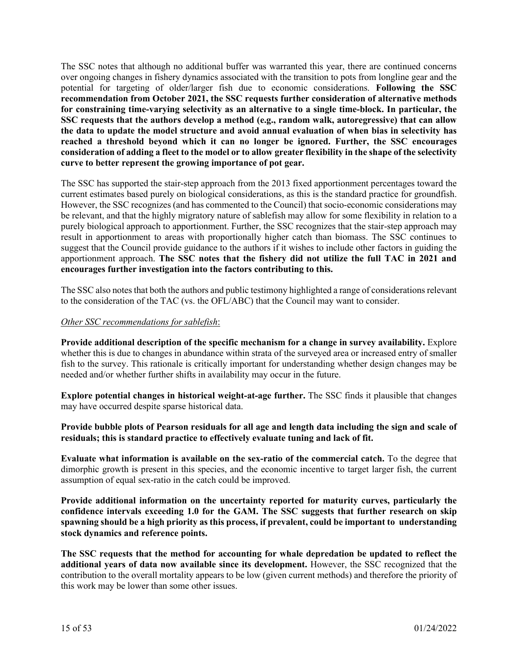The SSC notes that although no additional buffer was warranted this year, there are continued concerns over ongoing changes in fishery dynamics associated with the transition to pots from longline gear and the potential for targeting of older/larger fish due to economic considerations. **Following the SSC recommendation from October 2021, the SSC requests further consideration of alternative methods for constraining time-varying selectivity as an alternative to a single time-block. In particular, the SSC requests that the authors develop a method (e.g., random walk, autoregressive) that can allow the data to update the model structure and avoid annual evaluation of when bias in selectivity has reached a threshold beyond which it can no longer be ignored. Further, the SSC encourages consideration of adding a fleet to the model or to allow greater flexibility in the shape of the selectivity curve to better represent the growing importance of pot gear.**

The SSC has supported the stair-step approach from the 2013 fixed apportionment percentages toward the current estimates based purely on biological considerations, as this is the standard practice for groundfish. However, the SSC recognizes (and has commented to the Council) that socio-economic considerations may be relevant, and that the highly migratory nature of sablefish may allow for some flexibility in relation to a purely biological approach to apportionment. Further, the SSC recognizes that the stair-step approach may result in apportionment to areas with proportionally higher catch than biomass. The SSC continues to suggest that the Council provide guidance to the authors if it wishes to include other factors in guiding the apportionment approach. **The SSC notes that the fishery did not utilize the full TAC in 2021 and encourages further investigation into the factors contributing to this.**

The SSC also notes that both the authors and public testimony highlighted a range of considerations relevant to the consideration of the TAC (vs. the OFL/ABC) that the Council may want to consider.

#### *Other SSC recommendations for sablefish*:

**Provide additional description of the specific mechanism for a change in survey availability.** Explore whether this is due to changes in abundance within strata of the surveyed area or increased entry of smaller fish to the survey. This rationale is critically important for understanding whether design changes may be needed and/or whether further shifts in availability may occur in the future.

**Explore potential changes in historical weight-at-age further.** The SSC finds it plausible that changes may have occurred despite sparse historical data.

**Provide bubble plots of Pearson residuals for all age and length data including the sign and scale of residuals; this is standard practice to effectively evaluate tuning and lack of fit.**

**Evaluate what information is available on the sex-ratio of the commercial catch.** To the degree that dimorphic growth is present in this species, and the economic incentive to target larger fish, the current assumption of equal sex-ratio in the catch could be improved.

**Provide additional information on the uncertainty reported for maturity curves, particularly the confidence intervals exceeding 1.0 for the GAM. The SSC suggests that further research on skip spawning should be a high priority as this process, if prevalent, could be important to understanding stock dynamics and reference points.**

**The SSC requests that the method for accounting for whale depredation be updated to reflect the additional years of data now available since its development.** However, the SSC recognized that the contribution to the overall mortality appears to be low (given current methods) and therefore the priority of this work may be lower than some other issues.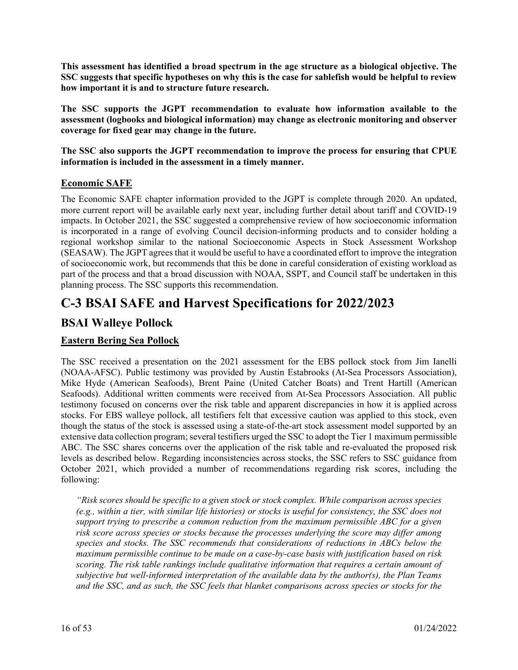**This assessment has identified a broad spectrum in the age structure as a biological objective. The SSC suggests that specific hypotheses on why this is the case for sablefish would be helpful to review how important it is and to structure future research.**

**The SSC supports the JGPT recommendation to evaluate how information available to the assessment (logbooks and biological information) may change as electronic monitoring and observer coverage for fixed gear may change in the future.**

**The SSC also supports the JGPT recommendation to improve the process for ensuring that CPUE information is included in the assessment in a timely manner.**

## **Economic SAFE**

The Economic SAFE chapter information provided to the JGPT is complete through 2020. An updated, more current report will be available early next year, including further detail about tariff and COVID-19 impacts. In October 2021, the SSC suggested a comprehensive review of how socioeconomic information is incorporated in a range of evolving Council decision-informing products and to consider holding a regional workshop similar to the national Socioeconomic Aspects in Stock Assessment Workshop (SEASAW). The JGPT agrees that it would be useful to have a coordinated effort to improve the integration of socioeconomic work, but recommends that this be done in careful consideration of existing workload as part of the process and that a broad discussion with NOAA, SSPT, and Council staff be undertaken in this planning process. The SSC supports this recommendation.

# **C-3 BSAI SAFE and Harvest Specifications for 2022/2023**

# **BSAI Walleye Pollock**

## **Eastern Bering Sea Pollock**

The SSC received a presentation on the 2021 assessment for the EBS pollock stock from Jim Ianelli (NOAA-AFSC). Public testimony was provided by Austin Estabrooks (At-Sea Processors Association), Mike Hyde (American Seafoods), Brent Paine (United Catcher Boats) and Trent Hartill (American Seafoods). Additional written comments were received from At-Sea Processors Association. All public testimony focused on concerns over the risk table and apparent discrepancies in how it is applied across stocks. For EBS walleye pollock, all testifiers felt that excessive caution was applied to this stock, even though the status of the stock is assessed using a state-of-the-art stock assessment model supported by an extensive data collection program; several testifiers urged the SSC to adopt the Tier 1 maximum permissible ABC. The SSC shares concerns over the application of the risk table and re-evaluated the proposed risk levels as described below. Regarding inconsistencies across stocks, the SSC refers to SSC guidance from October 2021, which provided a number of recommendations regarding risk scores, including the following:

*"Risk scores should be specific to a given stock or stock complex. While comparison across species (e.g., within a tier, with similar life histories) or stocks is useful for consistency, the SSC does not support trying to prescribe a common reduction from the maximum permissible ABC for a given risk score across species or stocks because the processes underlying the score may differ among species and stocks. The SSC recommends that considerations of reductions in ABCs below the maximum permissible continue to be made on a case-by-case basis with justification based on risk scoring. The risk table rankings include qualitative information that requires a certain amount of subjective but well-informed interpretation of the available data by the author(s), the Plan Teams and the SSC, and as such, the SSC feels that blanket comparisons across species or stocks for the*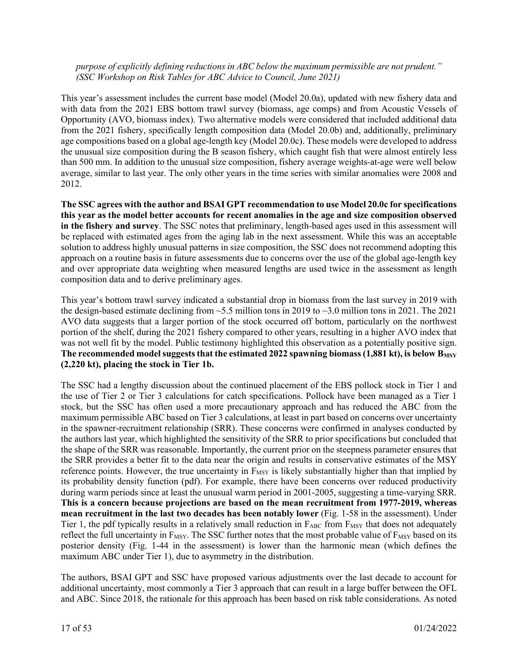#### *purpose of explicitly defining reductions in ABC below the maximum permissible are not prudent." (SSC Workshop on Risk Tables for ABC Advice to Council, June 2021)*

This year's assessment includes the current base model (Model 20.0a), updated with new fishery data and with data from the 2021 EBS bottom trawl survey (biomass, age comps) and from Acoustic Vessels of Opportunity (AVO, biomass index). Two alternative models were considered that included additional data from the 2021 fishery, specifically length composition data (Model 20.0b) and, additionally, preliminary age compositions based on a global age-length key (Model 20.0c). These models were developed to address the unusual size composition during the B season fishery, which caught fish that were almost entirely less than 500 mm. In addition to the unusual size composition, fishery average weights-at-age were well below average, similar to last year. The only other years in the time series with similar anomalies were 2008 and 2012.

**The SSC agrees with the author and BSAI GPT recommendation to use Model 20.0c for specifications this year as the model better accounts for recent anomalies in the age and size composition observed in the fishery and survey**. The SSC notes that preliminary, length-based ages used in this assessment will be replaced with estimated ages from the aging lab in the next assessment. While this was an acceptable solution to address highly unusual patterns in size composition, the SSC does not recommend adopting this approach on a routine basis in future assessments due to concerns over the use of the global age-length key and over appropriate data weighting when measured lengths are used twice in the assessment as length composition data and to derive preliminary ages.

This year's bottom trawl survey indicated a substantial drop in biomass from the last survey in 2019 with the design-based estimate declining from  $\sim$  5.5 million tons in 2019 to  $\sim$  3.0 million tons in 2021. The 2021 AVO data suggests that a larger portion of the stock occurred off bottom, particularly on the northwest portion of the shelf, during the 2021 fishery compared to other years, resulting in a higher AVO index that was not well fit by the model. Public testimony highlighted this observation as a potentially positive sign. The recommended model suggests that the estimated 2022 spawning biomass (1,881 kt), is below B<sub>MSY</sub> **(2,220 kt), placing the stock in Tier 1b.**

The SSC had a lengthy discussion about the continued placement of the EBS pollock stock in Tier 1 and the use of Tier 2 or Tier 3 calculations for catch specifications. Pollock have been managed as a Tier 1 stock, but the SSC has often used a more precautionary approach and has reduced the ABC from the maximum permissible ABC based on Tier 3 calculations, at least in part based on concerns over uncertainty in the spawner-recruitment relationship (SRR). These concerns were confirmed in analyses conducted by the authors last year, which highlighted the sensitivity of the SRR to prior specifications but concluded that the shape of the SRR was reasonable. Importantly, the current prior on the steepness parameter ensures that the SRR provides a better fit to the data near the origin and results in conservative estimates of the MSY reference points. However, the true uncertainty in  $F_{MSY}$  is likely substantially higher than that implied by its probability density function (pdf). For example, there have been concerns over reduced productivity during warm periods since at least the unusual warm period in 2001-2005, suggesting a time-varying SRR. **This is a concern because projections are based on the mean recruitment from 1977-2019, whereas mean recruitment in the last two decades has been notably lower** (Fig. 1-58 in the assessment). Under Tier 1, the pdf typically results in a relatively small reduction in  $F_{ABC}$  from  $F_{MSY}$  that does not adequately reflect the full uncertainty in  $F_{MSY}$ . The SSC further notes that the most probable value of  $F_{MSY}$  based on its posterior density (Fig. 1-44 in the assessment) is lower than the harmonic mean (which defines the maximum ABC under Tier 1), due to asymmetry in the distribution.

The authors, BSAI GPT and SSC have proposed various adjustments over the last decade to account for additional uncertainty, most commonly a Tier 3 approach that can result in a large buffer between the OFL and ABC. Since 2018, the rationale for this approach has been based on risk table considerations. As noted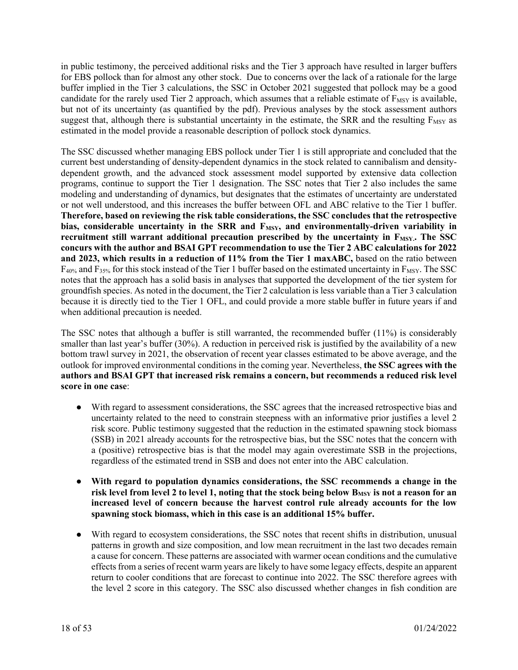in public testimony, the perceived additional risks and the Tier 3 approach have resulted in larger buffers for EBS pollock than for almost any other stock. Due to concerns over the lack of a rationale for the large buffer implied in the Tier 3 calculations, the SSC in October 2021 suggested that pollock may be a good candidate for the rarely used Tier 2 approach, which assumes that a reliable estimate of  $F_{MSY}$  is available, but not of its uncertainty (as quantified by the pdf). Previous analyses by the stock assessment authors suggest that, although there is substantial uncertainty in the estimate, the SRR and the resulting F<sub>MSY</sub> as estimated in the model provide a reasonable description of pollock stock dynamics.

The SSC discussed whether managing EBS pollock under Tier 1 is still appropriate and concluded that the current best understanding of density-dependent dynamics in the stock related to cannibalism and densitydependent growth, and the advanced stock assessment model supported by extensive data collection programs, continue to support the Tier 1 designation. The SSC notes that Tier 2 also includes the same modeling and understanding of dynamics, but designates that the estimates of uncertainty are understated or not well understood, and this increases the buffer between OFL and ABC relative to the Tier 1 buffer. **Therefore, based on reviewing the risk table considerations, the SSC concludes that the retrospective**  bias, considerable uncertainty in the SRR and F<sub>MSY</sub>, and environmentally-driven variability in recruitment still warrant additional precaution prescribed by the uncertainty in F<sub>MSY</sub>. The SSC **concurs with the author and BSAI GPT recommendation to use the Tier 2 ABC calculations for 2022 and 2023, which results in a reduction of 11% from the Tier 1 maxABC,** based on the ratio between  $F_{40\%}$  and  $F_{35\%}$  for this stock instead of the Tier 1 buffer based on the estimated uncertainty in  $F_{MSY}$ . The SSC notes that the approach has a solid basis in analyses that supported the development of the tier system for groundfish species. As noted in the document, the Tier 2 calculation is less variable than a Tier 3 calculation because it is directly tied to the Tier 1 OFL, and could provide a more stable buffer in future years if and when additional precaution is needed.

The SSC notes that although a buffer is still warranted, the recommended buffer (11%) is considerably smaller than last year's buffer (30%). A reduction in perceived risk is justified by the availability of a new bottom trawl survey in 2021, the observation of recent year classes estimated to be above average, and the outlook for improved environmental conditions in the coming year. Nevertheless, **the SSC agrees with the authors and BSAI GPT that increased risk remains a concern, but recommends a reduced risk level score in one case**:

- With regard to assessment considerations, the SSC agrees that the increased retrospective bias and uncertainty related to the need to constrain steepness with an informative prior justifies a level 2 risk score. Public testimony suggested that the reduction in the estimated spawning stock biomass (SSB) in 2021 already accounts for the retrospective bias, but the SSC notes that the concern with a (positive) retrospective bias is that the model may again overestimate SSB in the projections, regardless of the estimated trend in SSB and does not enter into the ABC calculation.
- **With regard to population dynamics considerations, the SSC recommends a change in the**  risk level from level 2 to level 1, noting that the stock being below B<sub>MSY</sub> is not a reason for an **increased level of concern because the harvest control rule already accounts for the low spawning stock biomass, which in this case is an additional 15% buffer.**
- With regard to ecosystem considerations, the SSC notes that recent shifts in distribution, unusual patterns in growth and size composition, and low mean recruitment in the last two decades remain a cause for concern. These patterns are associated with warmer ocean conditions and the cumulative effects from a series of recent warm years are likely to have some legacy effects, despite an apparent return to cooler conditions that are forecast to continue into 2022. The SSC therefore agrees with the level 2 score in this category. The SSC also discussed whether changes in fish condition are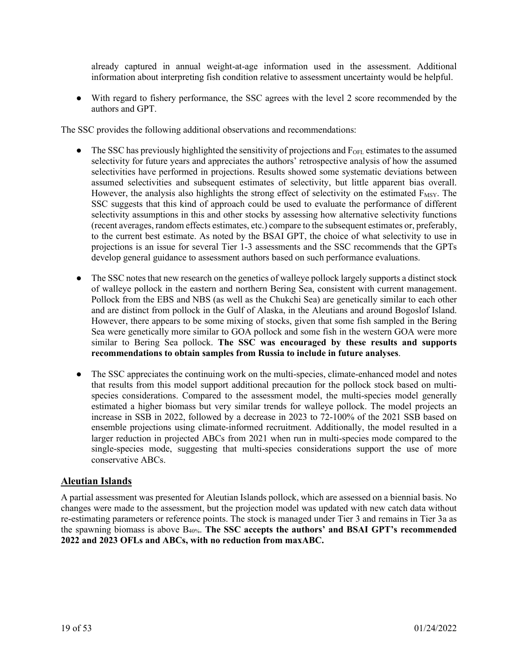already captured in annual weight-at-age information used in the assessment. Additional information about interpreting fish condition relative to assessment uncertainty would be helpful.

● With regard to fishery performance, the SSC agrees with the level 2 score recommended by the authors and GPT.

The SSC provides the following additional observations and recommendations:

- $\bullet$  The SSC has previously highlighted the sensitivity of projections and  $F<sub>OFL</sub>$  estimates to the assumed selectivity for future years and appreciates the authors' retrospective analysis of how the assumed selectivities have performed in projections. Results showed some systematic deviations between assumed selectivities and subsequent estimates of selectivity, but little apparent bias overall. However, the analysis also highlights the strong effect of selectivity on the estimated F<sub>MSY</sub>. The SSC suggests that this kind of approach could be used to evaluate the performance of different selectivity assumptions in this and other stocks by assessing how alternative selectivity functions (recent averages, random effects estimates, etc.) compare to the subsequent estimates or, preferably, to the current best estimate. As noted by the BSAI GPT, the choice of what selectivity to use in projections is an issue for several Tier 1-3 assessments and the SSC recommends that the GPTs develop general guidance to assessment authors based on such performance evaluations.
- The SSC notes that new research on the genetics of walleye pollock largely supports a distinct stock of walleye pollock in the eastern and northern Bering Sea, consistent with current management. Pollock from the EBS and NBS (as well as the Chukchi Sea) are genetically similar to each other and are distinct from pollock in the Gulf of Alaska, in the Aleutians and around Bogoslof Island. However, there appears to be some mixing of stocks, given that some fish sampled in the Bering Sea were genetically more similar to GOA pollock and some fish in the western GOA were more similar to Bering Sea pollock. **The SSC was encouraged by these results and supports recommendations to obtain samples from Russia to include in future analyses**.
- The SSC appreciates the continuing work on the multi-species, climate-enhanced model and notes that results from this model support additional precaution for the pollock stock based on multispecies considerations. Compared to the assessment model, the multi-species model generally estimated a higher biomass but very similar trends for walleye pollock. The model projects an increase in SSB in 2022, followed by a decrease in 2023 to 72-100% of the 2021 SSB based on ensemble projections using climate-informed recruitment. Additionally, the model resulted in a larger reduction in projected ABCs from 2021 when run in multi-species mode compared to the single-species mode, suggesting that multi-species considerations support the use of more conservative ABCs.

#### **Aleutian Islands**

A partial assessment was presented for Aleutian Islands pollock, which are assessed on a biennial basis. No changes were made to the assessment, but the projection model was updated with new catch data without re-estimating parameters or reference points. The stock is managed under Tier 3 and remains in Tier 3a as the spawning biomass is above B40%. **The SSC accepts the authors' and BSAI GPT's recommended 2022 and 2023 OFLs and ABCs, with no reduction from maxABC.**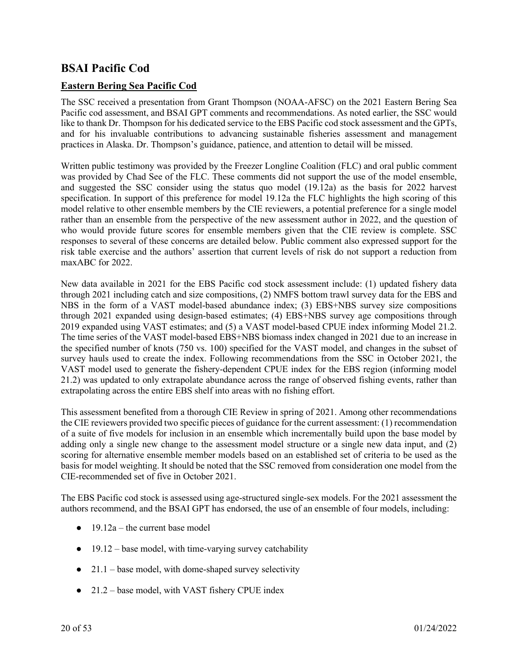# **BSAI Pacific Cod**

## **Eastern Bering Sea Pacific Cod**

The SSC received a presentation from Grant Thompson (NOAA-AFSC) on the 2021 Eastern Bering Sea Pacific cod assessment, and BSAI GPT comments and recommendations. As noted earlier, the SSC would like to thank Dr. Thompson for his dedicated service to the EBS Pacific cod stock assessment and the GPTs, and for his invaluable contributions to advancing sustainable fisheries assessment and management practices in Alaska. Dr. Thompson's guidance, patience, and attention to detail will be missed.

Written public testimony was provided by the Freezer Longline Coalition (FLC) and oral public comment was provided by Chad See of the FLC. These comments did not support the use of the model ensemble, and suggested the SSC consider using the status quo model (19.12a) as the basis for 2022 harvest specification. In support of this preference for model 19.12a the FLC highlights the high scoring of this model relative to other ensemble members by the CIE reviewers, a potential preference for a single model rather than an ensemble from the perspective of the new assessment author in 2022, and the question of who would provide future scores for ensemble members given that the CIE review is complete. SSC responses to several of these concerns are detailed below. Public comment also expressed support for the risk table exercise and the authors' assertion that current levels of risk do not support a reduction from maxABC for 2022.

New data available in 2021 for the EBS Pacific cod stock assessment include: (1) updated fishery data through 2021 including catch and size compositions, (2) NMFS bottom trawl survey data for the EBS and NBS in the form of a VAST model-based abundance index; (3) EBS+NBS survey size compositions through 2021 expanded using design-based estimates; (4) EBS+NBS survey age compositions through 2019 expanded using VAST estimates; and (5) a VAST model-based CPUE index informing Model 21.2. The time series of the VAST model-based EBS+NBS biomass index changed in 2021 due to an increase in the specified number of knots (750 vs. 100) specified for the VAST model, and changes in the subset of survey hauls used to create the index. Following recommendations from the SSC in October 2021, the VAST model used to generate the fishery-dependent CPUE index for the EBS region (informing model 21.2) was updated to only extrapolate abundance across the range of observed fishing events, rather than extrapolating across the entire EBS shelf into areas with no fishing effort.

This assessment benefited from a thorough CIE Review in spring of 2021. Among other recommendations the CIE reviewers provided two specific pieces of guidance for the current assessment: (1) recommendation of a suite of five models for inclusion in an ensemble which incrementally build upon the base model by adding only a single new change to the assessment model structure or a single new data input, and (2) scoring for alternative ensemble member models based on an established set of criteria to be used as the basis for model weighting. It should be noted that the SSC removed from consideration one model from the CIE-recommended set of five in October 2021.

The EBS Pacific cod stock is assessed using age-structured single-sex models. For the 2021 assessment the authors recommend, and the BSAI GPT has endorsed, the use of an ensemble of four models, including:

- $\bullet$  19.12a the current base model
- $\bullet$  19.12 base model, with time-varying survey catchability
- $\bullet$  21.1 base model, with dome-shaped survey selectivity
- 21.2 base model, with VAST fishery CPUE index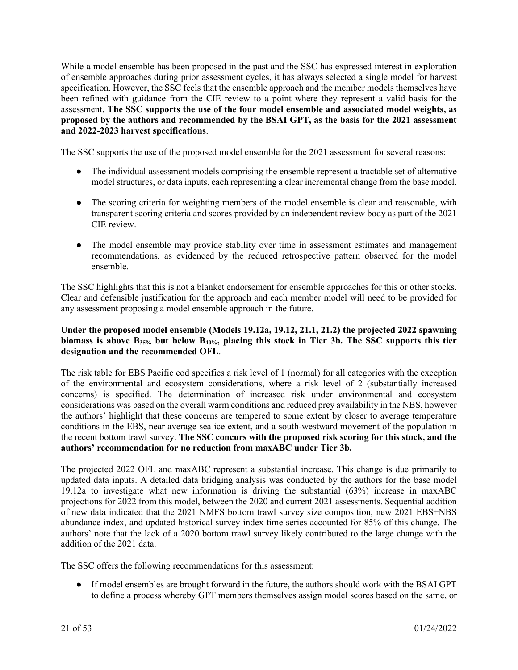While a model ensemble has been proposed in the past and the SSC has expressed interest in exploration of ensemble approaches during prior assessment cycles, it has always selected a single model for harvest specification. However, the SSC feels that the ensemble approach and the member models themselves have been refined with guidance from the CIE review to a point where they represent a valid basis for the assessment. **The SSC supports the use of the four model ensemble and associated model weights, as proposed by the authors and recommended by the BSAI GPT, as the basis for the 2021 assessment and 2022-2023 harvest specifications**.

The SSC supports the use of the proposed model ensemble for the 2021 assessment for several reasons:

- The individual assessment models comprising the ensemble represent a tractable set of alternative model structures, or data inputs, each representing a clear incremental change from the base model.
- The scoring criteria for weighting members of the model ensemble is clear and reasonable, with transparent scoring criteria and scores provided by an independent review body as part of the 2021 CIE review.
- The model ensemble may provide stability over time in assessment estimates and management recommendations, as evidenced by the reduced retrospective pattern observed for the model ensemble.

The SSC highlights that this is not a blanket endorsement for ensemble approaches for this or other stocks. Clear and defensible justification for the approach and each member model will need to be provided for any assessment proposing a model ensemble approach in the future.

#### **Under the proposed model ensemble (Models 19.12a, 19.12, 21.1, 21.2) the projected 2022 spawning biomass is above B35% but below B40%, placing this stock in Tier 3b. The SSC supports this tier designation and the recommended OFL**.

The risk table for EBS Pacific cod specifies a risk level of 1 (normal) for all categories with the exception of the environmental and ecosystem considerations, where a risk level of 2 (substantially increased concerns) is specified. The determination of increased risk under environmental and ecosystem considerations was based on the overall warm conditions and reduced prey availability in the NBS, however the authors' highlight that these concerns are tempered to some extent by closer to average temperature conditions in the EBS, near average sea ice extent, and a south-westward movement of the population in the recent bottom trawl survey. **The SSC concurs with the proposed risk scoring for this stock, and the authors' recommendation for no reduction from maxABC under Tier 3b.**

The projected 2022 OFL and maxABC represent a substantial increase. This change is due primarily to updated data inputs. A detailed data bridging analysis was conducted by the authors for the base model 19.12a to investigate what new information is driving the substantial (63%) increase in maxABC projections for 2022 from this model, between the 2020 and current 2021 assessments. Sequential addition of new data indicated that the 2021 NMFS bottom trawl survey size composition, new 2021 EBS+NBS abundance index, and updated historical survey index time series accounted for 85% of this change. The authors' note that the lack of a 2020 bottom trawl survey likely contributed to the large change with the addition of the 2021 data.

The SSC offers the following recommendations for this assessment:

● If model ensembles are brought forward in the future, the authors should work with the BSAI GPT to define a process whereby GPT members themselves assign model scores based on the same, or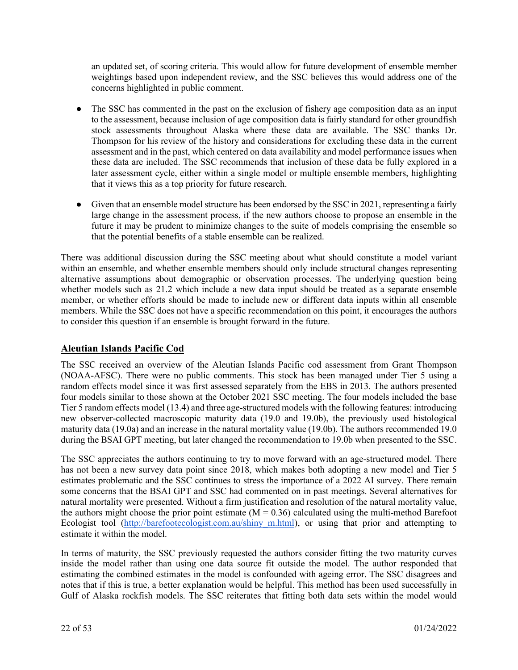an updated set, of scoring criteria. This would allow for future development of ensemble member weightings based upon independent review, and the SSC believes this would address one of the concerns highlighted in public comment.

- The SSC has commented in the past on the exclusion of fishery age composition data as an input to the assessment, because inclusion of age composition data is fairly standard for other groundfish stock assessments throughout Alaska where these data are available. The SSC thanks Dr. Thompson for his review of the history and considerations for excluding these data in the current assessment and in the past, which centered on data availability and model performance issues when these data are included. The SSC recommends that inclusion of these data be fully explored in a later assessment cycle, either within a single model or multiple ensemble members, highlighting that it views this as a top priority for future research.
- Given that an ensemble model structure has been endorsed by the SSC in 2021, representing a fairly large change in the assessment process, if the new authors choose to propose an ensemble in the future it may be prudent to minimize changes to the suite of models comprising the ensemble so that the potential benefits of a stable ensemble can be realized.

There was additional discussion during the SSC meeting about what should constitute a model variant within an ensemble, and whether ensemble members should only include structural changes representing alternative assumptions about demographic or observation processes. The underlying question being whether models such as 21.2 which include a new data input should be treated as a separate ensemble member, or whether efforts should be made to include new or different data inputs within all ensemble members. While the SSC does not have a specific recommendation on this point, it encourages the authors to consider this question if an ensemble is brought forward in the future.

## **Aleutian Islands Pacific Cod**

The SSC received an overview of the Aleutian Islands Pacific cod assessment from Grant Thompson (NOAA-AFSC). There were no public comments. This stock has been managed under Tier 5 using a random effects model since it was first assessed separately from the EBS in 2013. The authors presented four models similar to those shown at the October 2021 SSC meeting. The four models included the base Tier 5 random effects model (13.4) and three age-structured models with the following features: introducing new observer-collected macroscopic maturity data (19.0 and 19.0b), the previously used histological maturity data (19.0a) and an increase in the natural mortality value (19.0b). The authors recommended 19.0 during the BSAI GPT meeting, but later changed the recommendation to 19.0b when presented to the SSC.

The SSC appreciates the authors continuing to try to move forward with an age-structured model. There has not been a new survey data point since 2018, which makes both adopting a new model and Tier 5 estimates problematic and the SSC continues to stress the importance of a 2022 AI survey. There remain some concerns that the BSAI GPT and SSC had commented on in past meetings. Several alternatives for natural mortality were presented. Without a firm justification and resolution of the natural mortality value, the authors might choose the prior point estimate  $(M = 0.36)$  calculated using the multi-method Barefoot Ecologist tool (http://barefootecologist.com.au/shiny m.html), or using that prior and attempting to estimate it within the model.

In terms of maturity, the SSC previously requested the authors consider fitting the two maturity curves inside the model rather than using one data source fit outside the model. The author responded that estimating the combined estimates in the model is confounded with ageing error. The SSC disagrees and notes that if this is true, a better explanation would be helpful. This method has been used successfully in Gulf of Alaska rockfish models. The SSC reiterates that fitting both data sets within the model would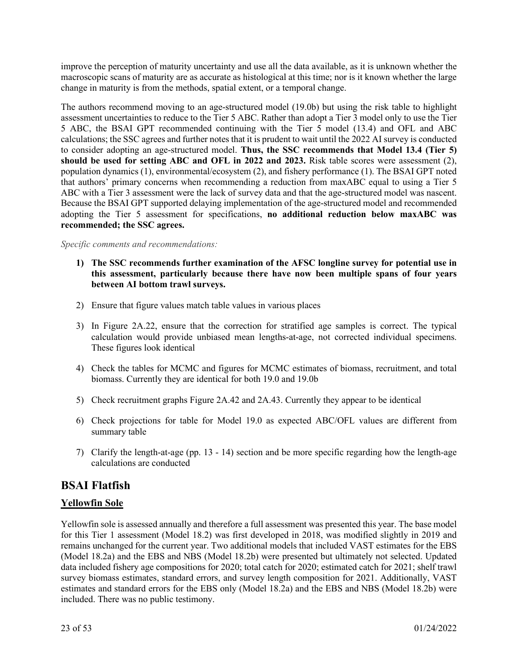improve the perception of maturity uncertainty and use all the data available, as it is unknown whether the macroscopic scans of maturity are as accurate as histological at this time; nor is it known whether the large change in maturity is from the methods, spatial extent, or a temporal change.

The authors recommend moving to an age-structured model (19.0b) but using the risk table to highlight assessment uncertainties to reduce to the Tier 5 ABC. Rather than adopt a Tier 3 model only to use the Tier 5 ABC, the BSAI GPT recommended continuing with the Tier 5 model (13.4) and OFL and ABC calculations; the SSC agrees and further notes that it is prudent to wait until the 2022 AI survey is conducted to consider adopting an age-structured model. **Thus, the SSC recommends that Model 13.4 (Tier 5) should be used for setting ABC and OFL in 2022 and 2023.** Risk table scores were assessment (2), population dynamics (1), environmental/ecosystem (2), and fishery performance (1). The BSAI GPT noted that authors' primary concerns when recommending a reduction from maxABC equal to using a Tier 5 ABC with a Tier 3 assessment were the lack of survey data and that the age-structured model was nascent. Because the BSAI GPT supported delaying implementation of the age-structured model and recommended adopting the Tier 5 assessment for specifications, **no additional reduction below maxABC was recommended; the SSC agrees.**

*Specific comments and recommendations:*

- **1) The SSC recommends further examination of the AFSC longline survey for potential use in this assessment, particularly because there have now been multiple spans of four years between AI bottom trawl surveys.**
- 2) Ensure that figure values match table values in various places
- 3) In Figure 2A.22, ensure that the correction for stratified age samples is correct. The typical calculation would provide unbiased mean lengths-at-age, not corrected individual specimens. These figures look identical
- 4) Check the tables for MCMC and figures for MCMC estimates of biomass, recruitment, and total biomass. Currently they are identical for both 19.0 and 19.0b
- 5) Check recruitment graphs Figure 2A.42 and 2A.43. Currently they appear to be identical
- 6) Check projections for table for Model 19.0 as expected ABC/OFL values are different from summary table
- 7) Clarify the length-at-age (pp. 13 14) section and be more specific regarding how the length-age calculations are conducted

# **BSAI Flatfish**

## **Yellowfin Sole**

Yellowfin sole is assessed annually and therefore a full assessment was presented this year. The base model for this Tier 1 assessment (Model 18.2) was first developed in 2018, was modified slightly in 2019 and remains unchanged for the current year. Two additional models that included VAST estimates for the EBS (Model 18.2a) and the EBS and NBS (Model 18.2b) were presented but ultimately not selected. Updated data included fishery age compositions for 2020; total catch for 2020; estimated catch for 2021; shelf trawl survey biomass estimates, standard errors, and survey length composition for 2021. Additionally, VAST estimates and standard errors for the EBS only (Model 18.2a) and the EBS and NBS (Model 18.2b) were included. There was no public testimony.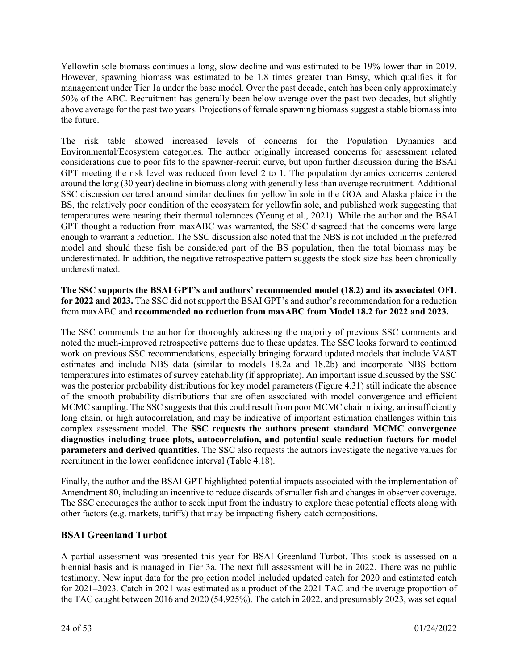Yellowfin sole biomass continues a long, slow decline and was estimated to be 19% lower than in 2019. However, spawning biomass was estimated to be 1.8 times greater than Bmsy, which qualifies it for management under Tier 1a under the base model. Over the past decade, catch has been only approximately 50% of the ABC. Recruitment has generally been below average over the past two decades, but slightly above average for the past two years. Projections of female spawning biomass suggest a stable biomass into the future.

The risk table showed increased levels of concerns for the Population Dynamics and Environmental/Ecosystem categories. The author originally increased concerns for assessment related considerations due to poor fits to the spawner-recruit curve, but upon further discussion during the BSAI GPT meeting the risk level was reduced from level 2 to 1. The population dynamics concerns centered around the long (30 year) decline in biomass along with generally less than average recruitment. Additional SSC discussion centered around similar declines for yellowfin sole in the GOA and Alaska plaice in the BS, the relatively poor condition of the ecosystem for yellowfin sole, and published work suggesting that temperatures were nearing their thermal tolerances (Yeung et al., 2021). While the author and the BSAI GPT thought a reduction from maxABC was warranted, the SSC disagreed that the concerns were large enough to warrant a reduction. The SSC discussion also noted that the NBS is not included in the preferred model and should these fish be considered part of the BS population, then the total biomass may be underestimated. In addition, the negative retrospective pattern suggests the stock size has been chronically underestimated.

**The SSC supports the BSAI GPT's and authors' recommended model (18.2) and its associated OFL for 2022 and 2023.** The SSC did not support the BSAI GPT's and author's recommendation for a reduction from maxABC and **recommended no reduction from maxABC from Model 18.2 for 2022 and 2023.**

The SSC commends the author for thoroughly addressing the majority of previous SSC comments and noted the much-improved retrospective patterns due to these updates. The SSC looks forward to continued work on previous SSC recommendations, especially bringing forward updated models that include VAST estimates and include NBS data (similar to models 18.2a and 18.2b) and incorporate NBS bottom temperatures into estimates of survey catchability (if appropriate). An important issue discussed by the SSC was the posterior probability distributions for key model parameters (Figure 4.31) still indicate the absence of the smooth probability distributions that are often associated with model convergence and efficient MCMC sampling. The SSC suggests that this could result from poor MCMC chain mixing, an insufficiently long chain, or high autocorrelation, and may be indicative of important estimation challenges within this complex assessment model. **The SSC requests the authors present standard MCMC convergence diagnostics including trace plots, autocorrelation, and potential scale reduction factors for model parameters and derived quantities.** The SSC also requests the authors investigate the negative values for recruitment in the lower confidence interval (Table 4.18).

Finally, the author and the BSAI GPT highlighted potential impacts associated with the implementation of Amendment 80, including an incentive to reduce discards of smaller fish and changes in observer coverage. The SSC encourages the author to seek input from the industry to explore these potential effects along with other factors (e.g. markets, tariffs) that may be impacting fishery catch compositions.

#### **BSAI Greenland Turbot**

A partial assessment was presented this year for BSAI Greenland Turbot. This stock is assessed on a biennial basis and is managed in Tier 3a. The next full assessment will be in 2022. There was no public testimony. New input data for the projection model included updated catch for 2020 and estimated catch for 2021–2023. Catch in 2021 was estimated as a product of the 2021 TAC and the average proportion of the TAC caught between 2016 and 2020 (54.925%). The catch in 2022, and presumably 2023, was set equal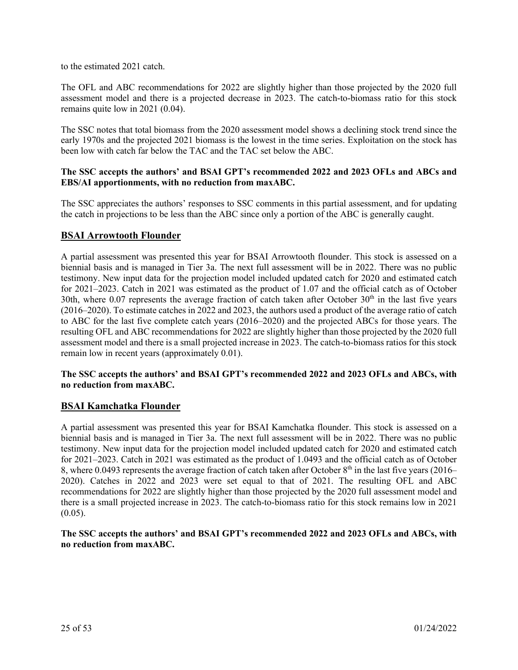to the estimated 2021 catch.

The OFL and ABC recommendations for 2022 are slightly higher than those projected by the 2020 full assessment model and there is a projected decrease in 2023. The catch-to-biomass ratio for this stock remains quite low in 2021 (0.04).

The SSC notes that total biomass from the 2020 assessment model shows a declining stock trend since the early 1970s and the projected 2021 biomass is the lowest in the time series. Exploitation on the stock has been low with catch far below the TAC and the TAC set below the ABC.

#### **The SSC accepts the authors' and BSAI GPT's recommended 2022 and 2023 OFLs and ABCs and EBS/AI apportionments, with no reduction from maxABC.**

The SSC appreciates the authors' responses to SSC comments in this partial assessment, and for updating the catch in projections to be less than the ABC since only a portion of the ABC is generally caught.

#### **BSAI Arrowtooth Flounder**

A partial assessment was presented this year for BSAI Arrowtooth flounder. This stock is assessed on a biennial basis and is managed in Tier 3a. The next full assessment will be in 2022. There was no public testimony. New input data for the projection model included updated catch for 2020 and estimated catch for 2021–2023. Catch in 2021 was estimated as the product of 1.07 and the official catch as of October 30th, where  $0.07$  represents the average fraction of catch taken after October  $30<sup>th</sup>$  in the last five years (2016–2020). To estimate catches in 2022 and 2023, the authors used a product of the average ratio of catch to ABC for the last five complete catch years (2016–2020) and the projected ABCs for those years. The resulting OFL and ABC recommendations for 2022 are slightly higher than those projected by the 2020 full assessment model and there is a small projected increase in 2023. The catch-to-biomass ratios for this stock remain low in recent years (approximately 0.01).

#### **The SSC accepts the authors' and BSAI GPT's recommended 2022 and 2023 OFLs and ABCs, with no reduction from maxABC.**

#### **BSAI Kamchatka Flounder**

A partial assessment was presented this year for BSAI Kamchatka flounder. This stock is assessed on a biennial basis and is managed in Tier 3a. The next full assessment will be in 2022. There was no public testimony. New input data for the projection model included updated catch for 2020 and estimated catch for 2021–2023. Catch in 2021 was estimated as the product of 1.0493 and the official catch as of October 8, where 0.0493 represents the average fraction of catch taken after October 8<sup>th</sup> in the last five years (2016– 2020). Catches in 2022 and 2023 were set equal to that of 2021. The resulting OFL and ABC recommendations for 2022 are slightly higher than those projected by the 2020 full assessment model and there is a small projected increase in 2023. The catch-to-biomass ratio for this stock remains low in 2021  $(0.05)$ .

**The SSC accepts the authors' and BSAI GPT's recommended 2022 and 2023 OFLs and ABCs, with no reduction from maxABC.**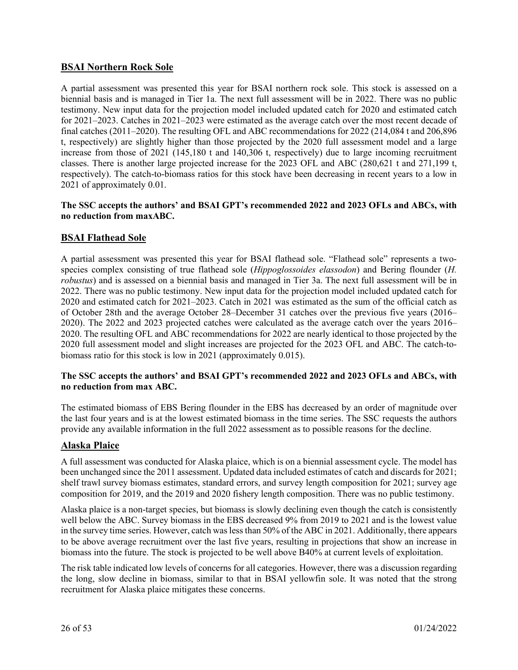## **BSAI Northern Rock Sole**

A partial assessment was presented this year for BSAI northern rock sole. This stock is assessed on a biennial basis and is managed in Tier 1a. The next full assessment will be in 2022. There was no public testimony. New input data for the projection model included updated catch for 2020 and estimated catch for 2021–2023. Catches in 2021–2023 were estimated as the average catch over the most recent decade of final catches (2011–2020). The resulting OFL and ABC recommendations for 2022 (214,084 t and 206,896 t, respectively) are slightly higher than those projected by the 2020 full assessment model and a large increase from those of 2021 (145,180 t and 140,306 t, respectively) due to large incoming recruitment classes. There is another large projected increase for the 2023 OFL and ABC (280,621 t and 271,199 t, respectively). The catch-to-biomass ratios for this stock have been decreasing in recent years to a low in 2021 of approximately 0.01.

#### **The SSC accepts the authors' and BSAI GPT's recommended 2022 and 2023 OFLs and ABCs, with no reduction from maxABC.**

#### **BSAI Flathead Sole**

A partial assessment was presented this year for BSAI flathead sole. "Flathead sole" represents a twospecies complex consisting of true flathead sole (*Hippoglossoides elassodon*) and Bering flounder (*H. robustus*) and is assessed on a biennial basis and managed in Tier 3a. The next full assessment will be in 2022. There was no public testimony. New input data for the projection model included updated catch for 2020 and estimated catch for 2021–2023. Catch in 2021 was estimated as the sum of the official catch as of October 28th and the average October 28–December 31 catches over the previous five years (2016– 2020). The 2022 and 2023 projected catches were calculated as the average catch over the years 2016– 2020. The resulting OFL and ABC recommendations for 2022 are nearly identical to those projected by the 2020 full assessment model and slight increases are projected for the 2023 OFL and ABC. The catch-tobiomass ratio for this stock is low in 2021 (approximately 0.015).

#### **The SSC accepts the authors' and BSAI GPT's recommended 2022 and 2023 OFLs and ABCs, with no reduction from max ABC.**

The estimated biomass of EBS Bering flounder in the EBS has decreased by an order of magnitude over the last four years and is at the lowest estimated biomass in the time series. The SSC requests the authors provide any available information in the full 2022 assessment as to possible reasons for the decline.

#### **Alaska Plaice**

A full assessment was conducted for Alaska plaice, which is on a biennial assessment cycle. The model has been unchanged since the 2011 assessment. Updated data included estimates of catch and discards for 2021; shelf trawl survey biomass estimates, standard errors, and survey length composition for 2021; survey age composition for 2019, and the 2019 and 2020 fishery length composition. There was no public testimony.

Alaska plaice is a non-target species, but biomass is slowly declining even though the catch is consistently well below the ABC. Survey biomass in the EBS decreased 9% from 2019 to 2021 and is the lowest value in the survey time series. However, catch was less than 50% of the ABC in 2021. Additionally, there appears to be above average recruitment over the last five years, resulting in projections that show an increase in biomass into the future. The stock is projected to be well above B40% at current levels of exploitation.

The risk table indicated low levels of concerns for all categories. However, there was a discussion regarding the long, slow decline in biomass, similar to that in BSAI yellowfin sole. It was noted that the strong recruitment for Alaska plaice mitigates these concerns.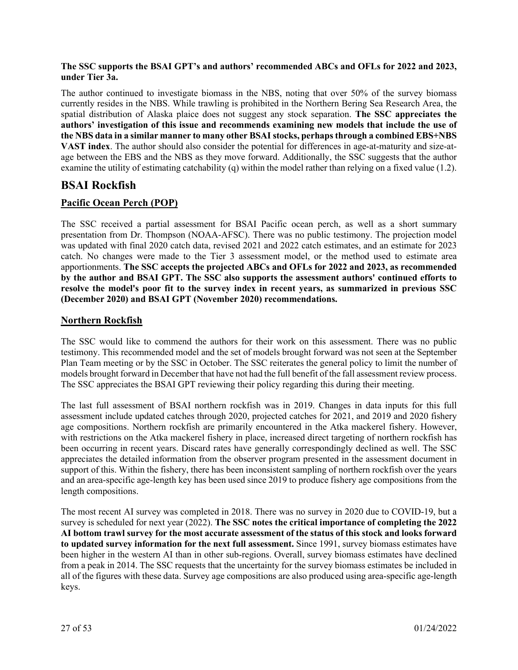#### **The SSC supports the BSAI GPT's and authors' recommended ABCs and OFLs for 2022 and 2023, under Tier 3a.**

The author continued to investigate biomass in the NBS, noting that over 50% of the survey biomass currently resides in the NBS. While trawling is prohibited in the Northern Bering Sea Research Area, the spatial distribution of Alaska plaice does not suggest any stock separation. **The SSC appreciates the authors' investigation of this issue and recommends examining new models that include the use of the NBS data in a similar manner to many other BSAI stocks, perhaps through a combined EBS+NBS VAST index**. The author should also consider the potential for differences in age-at-maturity and size-atage between the EBS and the NBS as they move forward. Additionally, the SSC suggests that the author examine the utility of estimating catchability (q) within the model rather than relying on a fixed value (1.2).

# **BSAI Rockfish**

## **Pacific Ocean Perch (POP)**

The SSC received a partial assessment for BSAI Pacific ocean perch, as well as a short summary presentation from Dr. Thompson (NOAA-AFSC). There was no public testimony. The projection model was updated with final 2020 catch data, revised 2021 and 2022 catch estimates, and an estimate for 2023 catch. No changes were made to the Tier 3 assessment model, or the method used to estimate area apportionments. **The SSC accepts the projected ABCs and OFLs for 2022 and 2023, as recommended by the author and BSAI GPT. The SSC also supports the assessment authors' continued efforts to resolve the model's poor fit to the survey index in recent years, as summarized in previous SSC (December 2020) and BSAI GPT (November 2020) recommendations.**

## **Northern Rockfish**

The SSC would like to commend the authors for their work on this assessment. There was no public testimony. This recommended model and the set of models brought forward was not seen at the September Plan Team meeting or by the SSC in October. The SSC reiterates the general policy to limit the number of models brought forward in December that have not had the full benefit of the fall assessment review process. The SSC appreciates the BSAI GPT reviewing their policy regarding this during their meeting.

The last full assessment of BSAI northern rockfish was in 2019. Changes in data inputs for this full assessment include updated catches through 2020, projected catches for 2021, and 2019 and 2020 fishery age compositions. Northern rockfish are primarily encountered in the Atka mackerel fishery. However, with restrictions on the Atka mackerel fishery in place, increased direct targeting of northern rockfish has been occurring in recent years. Discard rates have generally correspondingly declined as well. The SSC appreciates the detailed information from the observer program presented in the assessment document in support of this. Within the fishery, there has been inconsistent sampling of northern rockfish over the years and an area-specific age-length key has been used since 2019 to produce fishery age compositions from the length compositions.

The most recent AI survey was completed in 2018. There was no survey in 2020 due to COVID-19, but a survey is scheduled for next year (2022). **The SSC notes the critical importance of completing the 2022 AI bottom trawl survey for the most accurate assessment of the status of this stock and looks forward to updated survey information for the next full assessment.** Since 1991, survey biomass estimates have been higher in the western AI than in other sub-regions. Overall, survey biomass estimates have declined from a peak in 2014. The SSC requests that the uncertainty for the survey biomass estimates be included in all of the figures with these data. Survey age compositions are also produced using area-specific age-length keys.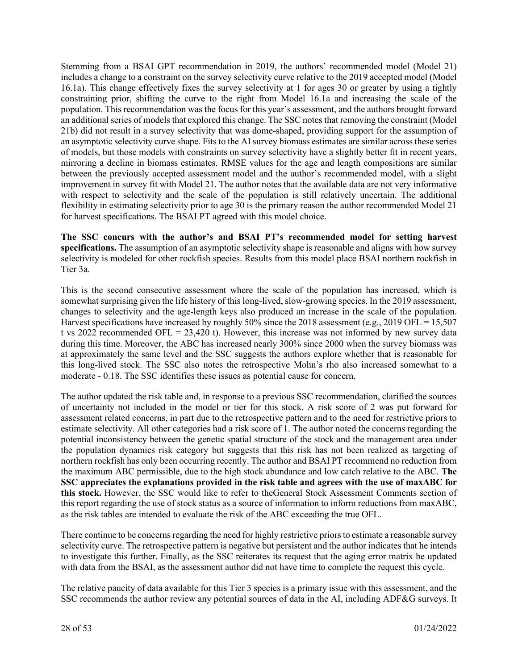Stemming from a BSAI GPT recommendation in 2019, the authors' recommended model (Model 21) includes a change to a constraint on the survey selectivity curve relative to the 2019 accepted model (Model 16.1a). This change effectively fixes the survey selectivity at 1 for ages 30 or greater by using a tightly constraining prior, shifting the curve to the right from Model 16.1a and increasing the scale of the population. This recommendation was the focus for this year's assessment, and the authors brought forward an additional series of models that explored this change. The SSC notes that removing the constraint (Model 21b) did not result in a survey selectivity that was dome-shaped, providing support for the assumption of an asymptotic selectivity curve shape. Fits to the AI survey biomass estimates are similar across these series of models, but those models with constraints on survey selectivity have a slightly better fit in recent years, mirroring a decline in biomass estimates. RMSE values for the age and length compositions are similar between the previously accepted assessment model and the author's recommended model, with a slight improvement in survey fit with Model 21. The author notes that the available data are not very informative with respect to selectivity and the scale of the population is still relatively uncertain. The additional flexibility in estimating selectivity prior to age 30 is the primary reason the author recommended Model 21 for harvest specifications. The BSAI PT agreed with this model choice.

**The SSC concurs with the author's and BSAI PT's recommended model for setting harvest specifications.** The assumption of an asymptotic selectivity shape is reasonable and aligns with how survey selectivity is modeled for other rockfish species. Results from this model place BSAI northern rockfish in Tier 3a.

This is the second consecutive assessment where the scale of the population has increased, which is somewhat surprising given the life history of this long-lived, slow-growing species. In the 2019 assessment, changes to selectivity and the age-length keys also produced an increase in the scale of the population. Harvest specifications have increased by roughly 50% since the 2018 assessment (e.g., 2019 OFL = 15,507) t vs 2022 recommended OFL = 23,420 t). However, this increase was not informed by new survey data during this time. Moreover, the ABC has increased nearly 300% since 2000 when the survey biomass was at approximately the same level and the SSC suggests the authors explore whether that is reasonable for this long-lived stock. The SSC also notes the retrospective Mohn's rho also increased somewhat to a moderate - 0.18. The SSC identifies these issues as potential cause for concern.

The author updated the risk table and, in response to a previous SSC recommendation, clarified the sources of uncertainty not included in the model or tier for this stock. A risk score of 2 was put forward for assessment related concerns, in part due to the retrospective pattern and to the need for restrictive priors to estimate selectivity. All other categories had a risk score of 1. The author noted the concerns regarding the potential inconsistency between the genetic spatial structure of the stock and the management area under the population dynamics risk category but suggests that this risk has not been realized as targeting of northern rockfish has only been occurring recently. The author and BSAI PT recommend no reduction from the maximum ABC permissible, due to the high stock abundance and low catch relative to the ABC. **The SSC appreciates the explanations provided in the risk table and agrees with the use of maxABC for this stock.** However, the SSC would like to refer to theGeneral Stock Assessment Comments section of this report regarding the use of stock status as a source of information to inform reductions from maxABC, as the risk tables are intended to evaluate the risk of the ABC exceeding the true OFL.

There continue to be concerns regarding the need for highly restrictive priors to estimate a reasonable survey selectivity curve. The retrospective pattern is negative but persistent and the author indicates that he intends to investigate this further. Finally, as the SSC reiterates its request that the aging error matrix be updated with data from the BSAI, as the assessment author did not have time to complete the request this cycle.

The relative paucity of data available for this Tier 3 species is a primary issue with this assessment, and the SSC recommends the author review any potential sources of data in the AI, including ADF&G surveys. It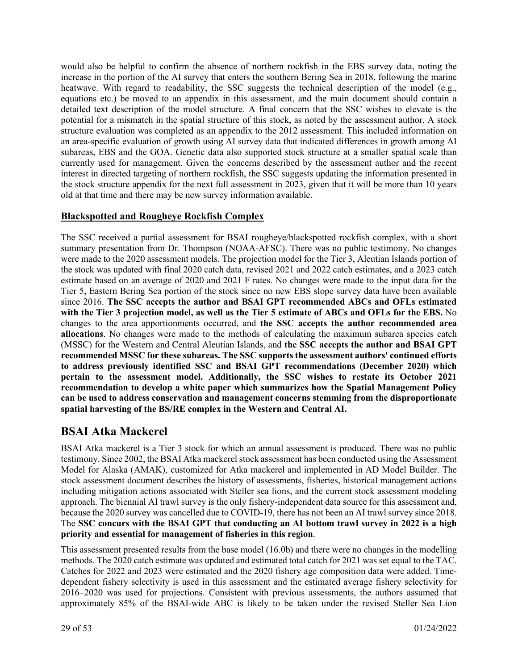would also be helpful to confirm the absence of northern rockfish in the EBS survey data, noting the increase in the portion of the AI survey that enters the southern Bering Sea in 2018, following the marine heatwave. With regard to readability, the SSC suggests the technical description of the model (e.g., equations etc.) be moved to an appendix in this assessment, and the main document should contain a detailed text description of the model structure. A final concern that the SSC wishes to elevate is the potential for a mismatch in the spatial structure of this stock, as noted by the assessment author. A stock structure evaluation was completed as an appendix to the 2012 assessment. This included information on an area-specific evaluation of growth using AI survey data that indicated differences in growth among AI subareas, EBS and the GOA. Genetic data also supported stock structure at a smaller spatial scale than currently used for management. Given the concerns described by the assessment author and the recent interest in directed targeting of northern rockfish, the SSC suggests updating the information presented in the stock structure appendix for the next full assessment in 2023, given that it will be more than 10 years old at that time and there may be new survey information available.

## **Blackspotted and Rougheye Rockfish Complex**

The SSC received a partial assessment for BSAI rougheye/blackspotted rockfish complex, with a short summary presentation from Dr. Thompson (NOAA-AFSC). There was no public testimony. No changes were made to the 2020 assessment models. The projection model for the Tier 3, Aleutian Islands portion of the stock was updated with final 2020 catch data, revised 2021 and 2022 catch estimates, and a 2023 catch estimate based on an average of 2020 and 2021 F rates. No changes were made to the input data for the Tier 5, Eastern Bering Sea portion of the stock since no new EBS slope survey data have been available since 2016. **The SSC accepts the author and BSAI GPT recommended ABCs and OFLs estimated with the Tier 3 projection model, as well as the Tier 5 estimate of ABCs and OFLs for the EBS.** No changes to the area apportionments occurred, and **the SSC accepts the author recommended area allocations**. No changes were made to the methods of calculating the maximum subarea species catch (MSSC) for the Western and Central Aleutian Islands, and **the SSC accepts the author and BSAI GPT recommended MSSC for these subareas. The SSC supports the assessment authors' continued efforts to address previously identified SSC and BSAI GPT recommendations (December 2020) which pertain to the assessment model. Additionally, the SSC wishes to restate its October 2021 recommendation to develop a white paper which summarizes how the Spatial Management Policy can be used to address conservation and management concerns stemming from the disproportionate spatial harvesting of the BS/RE complex in the Western and Central AI.**

# **BSAI Atka Mackerel**

BSAI Atka mackerel is a Tier 3 stock for which an annual assessment is produced. There was no public testimony. Since 2002, the BSAI Atka mackerel stock assessment has been conducted using the Assessment Model for Alaska (AMAK), customized for Atka mackerel and implemented in AD Model Builder. The stock assessment document describes the history of assessments, fisheries, historical management actions including mitigation actions associated with Steller sea lions, and the current stock assessment modeling approach. The biennial AI trawl survey is the only fishery-independent data source for this assessment and, because the 2020 survey was cancelled due to COVID-19, there has not been an AI trawl survey since 2018. The **SSC concurs with the BSAI GPT that conducting an AI bottom trawl survey in 2022 is a high priority and essential for management of fisheries in this region**.

This assessment presented results from the base model (16.0b) and there were no changes in the modelling methods. The 2020 catch estimate was updated and estimated total catch for 2021 was set equal to the TAC. Catches for 2022 and 2023 were estimated and the 2020 fishery age composition data were added. Timedependent fishery selectivity is used in this assessment and the estimated average fishery selectivity for 2016–2020 was used for projections. Consistent with previous assessments, the authors assumed that approximately 85% of the BSAI-wide ABC is likely to be taken under the revised Steller Sea Lion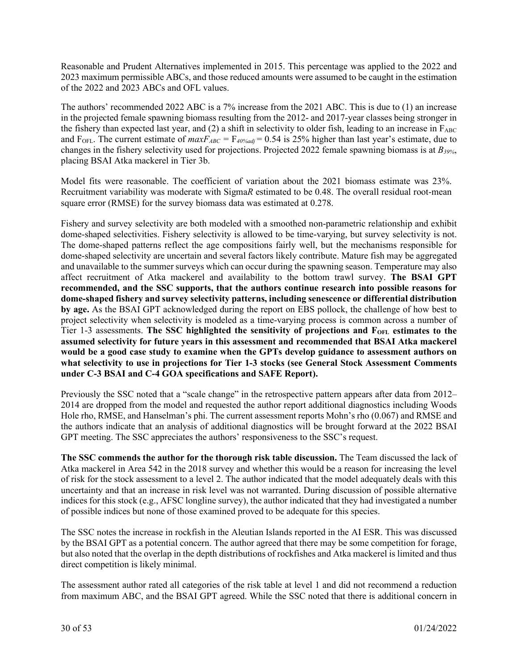Reasonable and Prudent Alternatives implemented in 2015. This percentage was applied to the 2022 and 2023 maximum permissible ABCs, and those reduced amounts were assumed to be caught in the estimation of the 2022 and 2023 ABCs and OFL values.

The authors' recommended 2022 ABC is a 7% increase from the 2021 ABC. This is due to (1) an increase in the projected female spawning biomass resulting from the 2012- and 2017-year classes being stronger in the fishery than expected last year, and (2) a shift in selectivity to older fish, leading to an increase in  $F_{ABC}$ and  $F_{\text{OFL}}$ . The current estimate of  $maxF_{ABC} = F_{40\%adj} = 0.54$  is 25% higher than last year's estimate, due to changes in the fishery selectivity used for projections. Projected 2022 female spawning biomass is at *B39%*, placing BSAI Atka mackerel in Tier 3b.

Model fits were reasonable. The coefficient of variation about the 2021 biomass estimate was 23%. Recruitment variability was moderate with Sigma*R* estimated to be 0.48. The overall residual root-mean square error (RMSE) for the survey biomass data was estimated at 0.278.

Fishery and survey selectivity are both modeled with a smoothed non-parametric relationship and exhibit dome-shaped selectivities. Fishery selectivity is allowed to be time-varying, but survey selectivity is not. The dome-shaped patterns reflect the age compositions fairly well, but the mechanisms responsible for dome-shaped selectivity are uncertain and several factors likely contribute. Mature fish may be aggregated and unavailable to the summer surveys which can occur during the spawning season. Temperature may also affect recruitment of Atka mackerel and availability to the bottom trawl survey. **The BSAI GPT recommended, and the SSC supports, that the authors continue research into possible reasons for dome-shaped fishery and survey selectivity patterns, including senescence or differential distribution by age.** As the BSAI GPT acknowledged during the report on EBS pollock, the challenge of how best to project selectivity when selectivity is modeled as a time-varying process is common across a number of Tier 1-3 assessments. **The SSC highlighted the sensitivity of projections and FOFL estimates to the assumed selectivity for future years in this assessment and recommended that BSAI Atka mackerel would be a good case study to examine when the GPTs develop guidance to assessment authors on what selectivity to use in projections for Tier 1-3 stocks (see General Stock Assessment Comments under C-3 BSAI and C-4 GOA specifications and SAFE Report).**

Previously the SSC noted that a "scale change" in the retrospective pattern appears after data from 2012– 2014 are dropped from the model and requested the author report additional diagnostics including Woods Hole rho, RMSE, and Hanselman's phi. The current assessment reports Mohn's rho (0.067) and RMSE and the authors indicate that an analysis of additional diagnostics will be brought forward at the 2022 BSAI GPT meeting. The SSC appreciates the authors' responsiveness to the SSC's request.

**The SSC commends the author for the thorough risk table discussion.** The Team discussed the lack of Atka mackerel in Area 542 in the 2018 survey and whether this would be a reason for increasing the level of risk for the stock assessment to a level 2. The author indicated that the model adequately deals with this uncertainty and that an increase in risk level was not warranted. During discussion of possible alternative indices for this stock (e.g., AFSC longline survey), the author indicated that they had investigated a number of possible indices but none of those examined proved to be adequate for this species.

The SSC notes the increase in rockfish in the Aleutian Islands reported in the AI ESR. This was discussed by the BSAI GPT as a potential concern. The author agreed that there may be some competition for forage, but also noted that the overlap in the depth distributions of rockfishes and Atka mackerel is limited and thus direct competition is likely minimal.

The assessment author rated all categories of the risk table at level 1 and did not recommend a reduction from maximum ABC, and the BSAI GPT agreed. While the SSC noted that there is additional concern in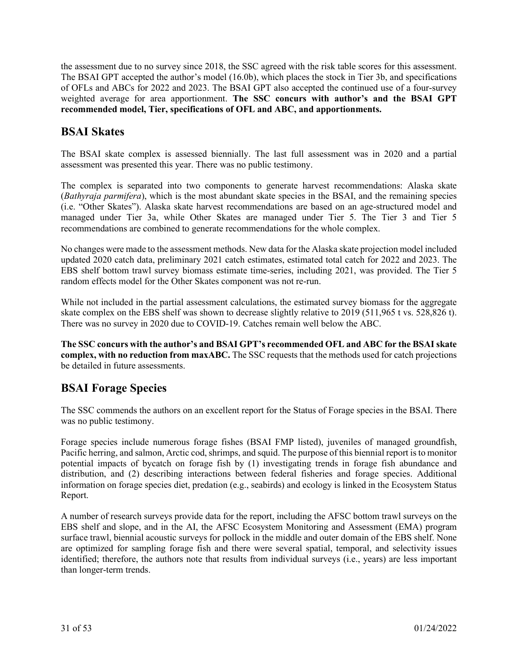the assessment due to no survey since 2018, the SSC agreed with the risk table scores for this assessment. The BSAI GPT accepted the author's model (16.0b), which places the stock in Tier 3b, and specifications of OFLs and ABCs for 2022 and 2023. The BSAI GPT also accepted the continued use of a four-survey weighted average for area apportionment. **The SSC concurs with author's and the BSAI GPT recommended model, Tier, specifications of OFL and ABC, and apportionments.** 

# **BSAI Skates**

The BSAI skate complex is assessed biennially. The last full assessment was in 2020 and a partial assessment was presented this year. There was no public testimony.

The complex is separated into two components to generate harvest recommendations: Alaska skate (*Bathyraja parmifera*), which is the most abundant skate species in the BSAI, and the remaining species (i.e. "Other Skates"). Alaska skate harvest recommendations are based on an age-structured model and managed under Tier 3a, while Other Skates are managed under Tier 5. The Tier 3 and Tier 5 recommendations are combined to generate recommendations for the whole complex.

No changes were made to the assessment methods. New data for the Alaska skate projection model included updated 2020 catch data, preliminary 2021 catch estimates, estimated total catch for 2022 and 2023. The EBS shelf bottom trawl survey biomass estimate time-series, including 2021, was provided. The Tier 5 random effects model for the Other Skates component was not re-run.

While not included in the partial assessment calculations, the estimated survey biomass for the aggregate skate complex on the EBS shelf was shown to decrease slightly relative to 2019 (511,965 t vs. 528,826 t). There was no survey in 2020 due to COVID-19. Catches remain well below the ABC.

**The SSC concurs with the author's and BSAI GPT's recommended OFL and ABC for the BSAI skate complex, with no reduction from maxABC.** The SSC requests that the methods used for catch projections be detailed in future assessments.

# **BSAI Forage Species**

The SSC commends the authors on an excellent report for the Status of Forage species in the BSAI. There was no public testimony.

Forage species include numerous forage fishes (BSAI FMP listed), juveniles of managed groundfish, Pacific herring, and salmon, Arctic cod, shrimps, and squid. The purpose of this biennial report is to monitor potential impacts of bycatch on forage fish by (1) investigating trends in forage fish abundance and distribution, and (2) describing interactions between federal fisheries and forage species. Additional information on forage species diet, predation (e.g., seabirds) and ecology is linked in the Ecosystem Status Report.

A number of research surveys provide data for the report, including the AFSC bottom trawl surveys on the EBS shelf and slope, and in the AI, the AFSC Ecosystem Monitoring and Assessment (EMA) program surface trawl, biennial acoustic surveys for pollock in the middle and outer domain of the EBS shelf. None are optimized for sampling forage fish and there were several spatial, temporal, and selectivity issues identified; therefore, the authors note that results from individual surveys (i.e., years) are less important than longer-term trends.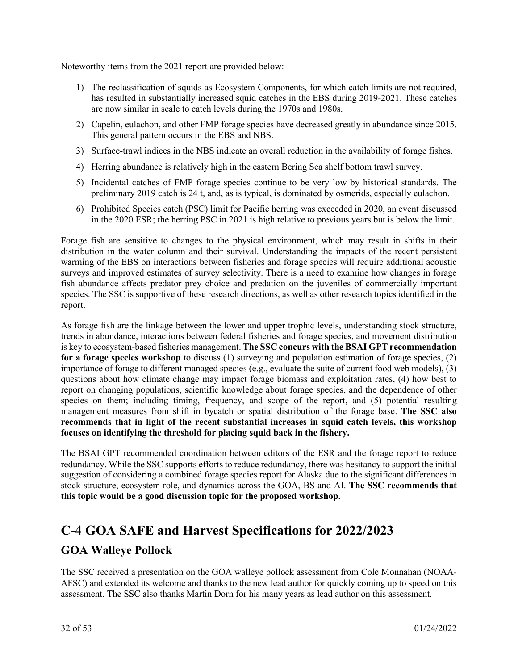Noteworthy items from the 2021 report are provided below:

- 1) The reclassification of squids as Ecosystem Components, for which catch limits are not required, has resulted in substantially increased squid catches in the EBS during 2019-2021. These catches are now similar in scale to catch levels during the 1970s and 1980s.
- 2) Capelin, eulachon, and other FMP forage species have decreased greatly in abundance since 2015. This general pattern occurs in the EBS and NBS.
- 3) Surface-trawl indices in the NBS indicate an overall reduction in the availability of forage fishes.
- 4) Herring abundance is relatively high in the eastern Bering Sea shelf bottom trawl survey.
- 5) Incidental catches of FMP forage species continue to be very low by historical standards. The preliminary 2019 catch is 24 t, and, as is typical, is dominated by osmerids, especially eulachon.
- 6) Prohibited Species catch (PSC) limit for Pacific herring was exceeded in 2020, an event discussed in the 2020 ESR; the herring PSC in 2021 is high relative to previous years but is below the limit.

Forage fish are sensitive to changes to the physical environment, which may result in shifts in their distribution in the water column and their survival. Understanding the impacts of the recent persistent warming of the EBS on interactions between fisheries and forage species will require additional acoustic surveys and improved estimates of survey selectivity. There is a need to examine how changes in forage fish abundance affects predator prey choice and predation on the juveniles of commercially important species. The SSC is supportive of these research directions, as well as other research topics identified in the report.

As forage fish are the linkage between the lower and upper trophic levels, understanding stock structure, trends in abundance, interactions between federal fisheries and forage species, and movement distribution is key to ecosystem-based fisheries management. **The SSC concurs with the BSAI GPT recommendation for a forage species workshop** to discuss (1) surveying and population estimation of forage species, (2) importance of forage to different managed species (e.g., evaluate the suite of current food web models), (3) questions about how climate change may impact forage biomass and exploitation rates, (4) how best to report on changing populations, scientific knowledge about forage species, and the dependence of other species on them; including timing, frequency, and scope of the report, and (5) potential resulting management measures from shift in bycatch or spatial distribution of the forage base. **The SSC also recommends that in light of the recent substantial increases in squid catch levels, this workshop focuses on identifying the threshold for placing squid back in the fishery.**

The BSAI GPT recommended coordination between editors of the ESR and the forage report to reduce redundancy. While the SSC supports efforts to reduce redundancy, there was hesitancy to support the initial suggestion of considering a combined forage species report for Alaska due to the significant differences in stock structure, ecosystem role, and dynamics across the GOA, BS and AI. **The SSC recommends that this topic would be a good discussion topic for the proposed workshop.** 

# **C-4 GOA SAFE and Harvest Specifications for 2022/2023**

# **GOA Walleye Pollock**

The SSC received a presentation on the GOA walleye pollock assessment from Cole Monnahan (NOAA-AFSC) and extended its welcome and thanks to the new lead author for quickly coming up to speed on this assessment. The SSC also thanks Martin Dorn for his many years as lead author on this assessment.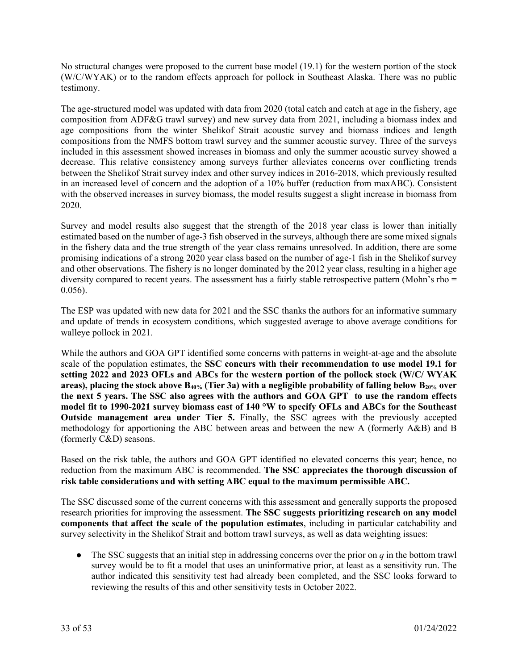No structural changes were proposed to the current base model (19.1) for the western portion of the stock (W/C/WYAK) or to the random effects approach for pollock in Southeast Alaska. There was no public testimony.

The age-structured model was updated with data from 2020 (total catch and catch at age in the fishery, age composition from ADF&G trawl survey) and new survey data from 2021, including a biomass index and age compositions from the winter Shelikof Strait acoustic survey and biomass indices and length compositions from the NMFS bottom trawl survey and the summer acoustic survey. Three of the surveys included in this assessment showed increases in biomass and only the summer acoustic survey showed a decrease. This relative consistency among surveys further alleviates concerns over conflicting trends between the Shelikof Strait survey index and other survey indices in 2016-2018, which previously resulted in an increased level of concern and the adoption of a 10% buffer (reduction from maxABC). Consistent with the observed increases in survey biomass, the model results suggest a slight increase in biomass from 2020.

Survey and model results also suggest that the strength of the 2018 year class is lower than initially estimated based on the number of age-3 fish observed in the surveys, although there are some mixed signals in the fishery data and the true strength of the year class remains unresolved. In addition, there are some promising indications of a strong 2020 year class based on the number of age-1 fish in the Shelikof survey and other observations. The fishery is no longer dominated by the 2012 year class, resulting in a higher age diversity compared to recent years. The assessment has a fairly stable retrospective pattern (Mohn's rho = 0.056).

The ESP was updated with new data for 2021 and the SSC thanks the authors for an informative summary and update of trends in ecosystem conditions, which suggested average to above average conditions for walleye pollock in 2021.

While the authors and GOA GPT identified some concerns with patterns in weight-at-age and the absolute scale of the population estimates, the **SSC concurs with their recommendation to use model 19.1 for setting 2022 and 2023 OFLs and ABCs for the western portion of the pollock stock (W/C/ WYAK**  areas), placing the stock above B<sub>40%</sub> (Tier 3a) with a negligible probability of falling below B<sub>20%</sub> over **the next 5 years. The SSC also agrees with the authors and GOA GPT to use the random effects model fit to 1990-2021 survey biomass east of 140 °W to specify OFLs and ABCs for the Southeast Outside management area under Tier 5.** Finally, the SSC agrees with the previously accepted methodology for apportioning the ABC between areas and between the new A (formerly A&B) and B (formerly C&D) seasons.

Based on the risk table, the authors and GOA GPT identified no elevated concerns this year; hence, no reduction from the maximum ABC is recommended. **The SSC appreciates the thorough discussion of risk table considerations and with setting ABC equal to the maximum permissible ABC.**

The SSC discussed some of the current concerns with this assessment and generally supports the proposed research priorities for improving the assessment. **The SSC suggests prioritizing research on any model components that affect the scale of the population estimates**, including in particular catchability and survey selectivity in the Shelikof Strait and bottom trawl surveys, as well as data weighting issues:

• The SSC suggests that an initial step in addressing concerns over the prior on  $q$  in the bottom trawl survey would be to fit a model that uses an uninformative prior, at least as a sensitivity run. The author indicated this sensitivity test had already been completed, and the SSC looks forward to reviewing the results of this and other sensitivity tests in October 2022.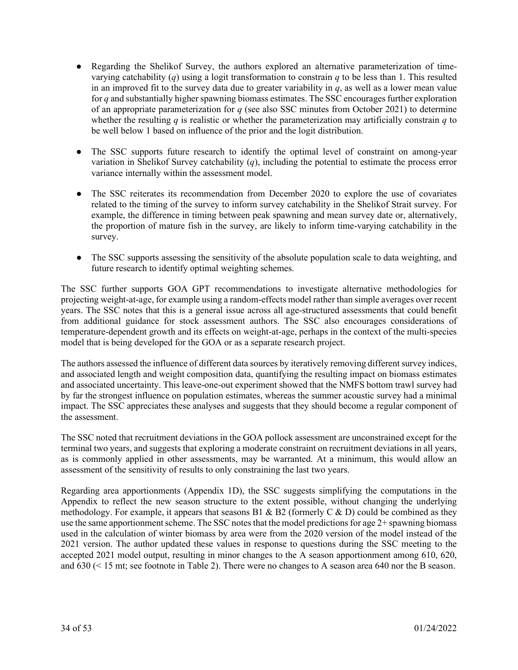- Regarding the Shelikof Survey, the authors explored an alternative parameterization of timevarying catchability (*q*) using a logit transformation to constrain *q* to be less than 1. This resulted in an improved fit to the survey data due to greater variability in  $q$ , as well as a lower mean value for *q* and substantially higher spawning biomass estimates. The SSC encourages further exploration of an appropriate parameterization for *q* (see also SSC minutes from October 2021) to determine whether the resulting *q* is realistic or whether the parameterization may artificially constrain *q* to be well below 1 based on influence of the prior and the logit distribution.
- The SSC supports future research to identify the optimal level of constraint on among-year variation in Shelikof Survey catchability (*q*), including the potential to estimate the process error variance internally within the assessment model.
- The SSC reiterates its recommendation from December 2020 to explore the use of covariates related to the timing of the survey to inform survey catchability in the Shelikof Strait survey. For example, the difference in timing between peak spawning and mean survey date or, alternatively, the proportion of mature fish in the survey, are likely to inform time-varying catchability in the survey.
- The SSC supports assessing the sensitivity of the absolute population scale to data weighting, and future research to identify optimal weighting schemes.

The SSC further supports GOA GPT recommendations to investigate alternative methodologies for projecting weight-at-age, for example using a random-effects model rather than simple averages over recent years. The SSC notes that this is a general issue across all age-structured assessments that could benefit from additional guidance for stock assessment authors. The SSC also encourages considerations of temperature-dependent growth and its effects on weight-at-age, perhaps in the context of the multi-species model that is being developed for the GOA or as a separate research project.

The authors assessed the influence of different data sources by iteratively removing different survey indices, and associated length and weight composition data, quantifying the resulting impact on biomass estimates and associated uncertainty. This leave-one-out experiment showed that the NMFS bottom trawl survey had by far the strongest influence on population estimates, whereas the summer acoustic survey had a minimal impact. The SSC appreciates these analyses and suggests that they should become a regular component of the assessment.

The SSC noted that recruitment deviations in the GOA pollock assessment are unconstrained except for the terminal two years, and suggests that exploring a moderate constraint on recruitment deviations in all years, as is commonly applied in other assessments, may be warranted. At a minimum, this would allow an assessment of the sensitivity of results to only constraining the last two years.

Regarding area apportionments (Appendix 1D), the SSC suggests simplifying the computations in the Appendix to reflect the new season structure to the extent possible, without changing the underlying methodology. For example, it appears that seasons B1 & B2 (formerly C & D) could be combined as they use the same apportionment scheme. The SSC notes that the model predictions for age 2+ spawning biomass used in the calculation of winter biomass by area were from the 2020 version of the model instead of the 2021 version. The author updated these values in response to questions during the SSC meeting to the accepted 2021 model output, resulting in minor changes to the A season apportionment among 610, 620, and 630 (< 15 mt; see footnote in Table 2). There were no changes to A season area 640 nor the B season.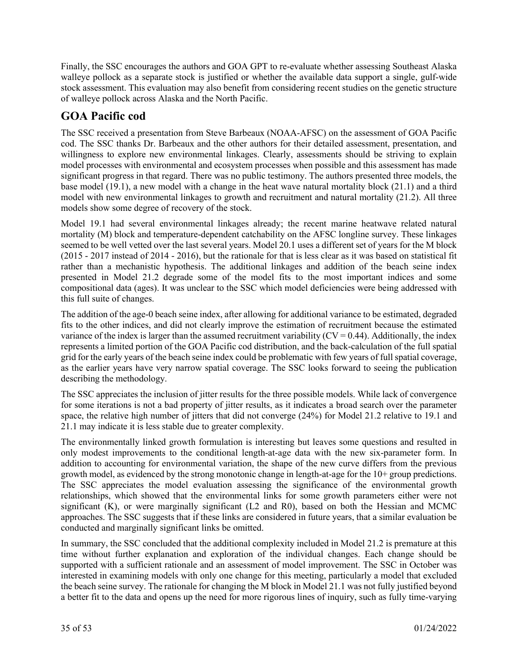Finally, the SSC encourages the authors and GOA GPT to re-evaluate whether assessing Southeast Alaska walleye pollock as a separate stock is justified or whether the available data support a single, gulf-wide stock assessment. This evaluation may also benefit from considering recent studies on the genetic structure of walleye pollock across Alaska and the North Pacific.

# **GOA Pacific cod**

The SSC received a presentation from Steve Barbeaux (NOAA-AFSC) on the assessment of GOA Pacific cod. The SSC thanks Dr. Barbeaux and the other authors for their detailed assessment, presentation, and willingness to explore new environmental linkages. Clearly, assessments should be striving to explain model processes with environmental and ecosystem processes when possible and this assessment has made significant progress in that regard. There was no public testimony. The authors presented three models, the base model (19.1), a new model with a change in the heat wave natural mortality block (21.1) and a third model with new environmental linkages to growth and recruitment and natural mortality (21.2). All three models show some degree of recovery of the stock.

Model 19.1 had several environmental linkages already; the recent marine heatwave related natural mortality (M) block and temperature-dependent catchability on the AFSC longline survey. These linkages seemed to be well vetted over the last several years. Model 20.1 uses a different set of years for the M block (2015 - 2017 instead of 2014 - 2016), but the rationale for that is less clear as it was based on statistical fit rather than a mechanistic hypothesis. The additional linkages and addition of the beach seine index presented in Model 21.2 degrade some of the model fits to the most important indices and some compositional data (ages). It was unclear to the SSC which model deficiencies were being addressed with this full suite of changes.

The addition of the age-0 beach seine index, after allowing for additional variance to be estimated, degraded fits to the other indices, and did not clearly improve the estimation of recruitment because the estimated variance of the index is larger than the assumed recruitment variability  $(CV = 0.44)$ . Additionally, the index represents a limited portion of the GOA Pacific cod distribution, and the back-calculation of the full spatial grid for the early years of the beach seine index could be problematic with few years of full spatial coverage, as the earlier years have very narrow spatial coverage. The SSC looks forward to seeing the publication describing the methodology.

The SSC appreciates the inclusion of jitter results for the three possible models. While lack of convergence for some iterations is not a bad property of jitter results, as it indicates a broad search over the parameter space, the relative high number of jitters that did not converge (24%) for Model 21.2 relative to 19.1 and 21.1 may indicate it is less stable due to greater complexity.

The environmentally linked growth formulation is interesting but leaves some questions and resulted in only modest improvements to the conditional length-at-age data with the new six-parameter form. In addition to accounting for environmental variation, the shape of the new curve differs from the previous growth model, as evidenced by the strong monotonic change in length-at-age for the 10+ group predictions. The SSC appreciates the model evaluation assessing the significance of the environmental growth relationships, which showed that the environmental links for some growth parameters either were not significant (K), or were marginally significant (L2 and R0), based on both the Hessian and MCMC approaches. The SSC suggests that if these links are considered in future years, that a similar evaluation be conducted and marginally significant links be omitted.

In summary, the SSC concluded that the additional complexity included in Model 21.2 is premature at this time without further explanation and exploration of the individual changes. Each change should be supported with a sufficient rationale and an assessment of model improvement. The SSC in October was interested in examining models with only one change for this meeting, particularly a model that excluded the beach seine survey. The rationale for changing the M block in Model 21.1 was not fully justified beyond a better fit to the data and opens up the need for more rigorous lines of inquiry, such as fully time-varying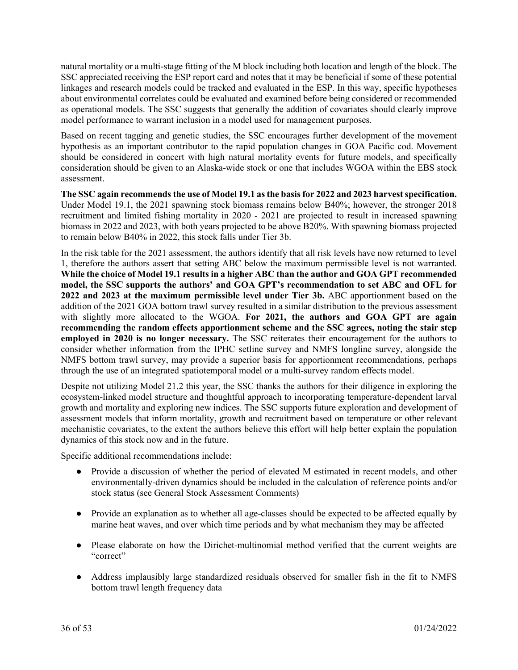natural mortality or a multi-stage fitting of the M block including both location and length of the block. The SSC appreciated receiving the ESP report card and notes that it may be beneficial if some of these potential linkages and research models could be tracked and evaluated in the ESP. In this way, specific hypotheses about environmental correlates could be evaluated and examined before being considered or recommended as operational models. The SSC suggests that generally the addition of covariates should clearly improve model performance to warrant inclusion in a model used for management purposes.

Based on recent tagging and genetic studies, the SSC encourages further development of the movement hypothesis as an important contributor to the rapid population changes in GOA Pacific cod. Movement should be considered in concert with high natural mortality events for future models, and specifically consideration should be given to an Alaska-wide stock or one that includes WGOA within the EBS stock assessment.

**The SSC again recommends the use of Model 19.1 as the basis for 2022 and 2023 harvest specification.**  Under Model 19.1, the 2021 spawning stock biomass remains below B40%; however, the stronger 2018 recruitment and limited fishing mortality in 2020 - 2021 are projected to result in increased spawning biomass in 2022 and 2023, with both years projected to be above B20%. With spawning biomass projected to remain below B40% in 2022, this stock falls under Tier 3b.

In the risk table for the 2021 assessment, the authors identify that all risk levels have now returned to level 1, therefore the authors assert that setting ABC below the maximum permissible level is not warranted. **While the choice of Model 19.1 results in a higher ABC than the author and GOA GPT recommended model, the SSC supports the authors' and GOA GPT's recommendation to set ABC and OFL for 2022 and 2023 at the maximum permissible level under Tier 3b.** ABC apportionment based on the addition of the 2021 GOA bottom trawl survey resulted in a similar distribution to the previous assessment with slightly more allocated to the WGOA. **For 2021, the authors and GOA GPT are again recommending the random effects apportionment scheme and the SSC agrees, noting the stair step employed in 2020 is no longer necessary.** The SSC reiterates their encouragement for the authors to consider whether information from the IPHC setline survey and NMFS longline survey, alongside the NMFS bottom trawl survey, may provide a superior basis for apportionment recommendations, perhaps through the use of an integrated spatiotemporal model or a multi-survey random effects model.

Despite not utilizing Model 21.2 this year, the SSC thanks the authors for their diligence in exploring the ecosystem-linked model structure and thoughtful approach to incorporating temperature-dependent larval growth and mortality and exploring new indices. The SSC supports future exploration and development of assessment models that inform mortality, growth and recruitment based on temperature or other relevant mechanistic covariates, to the extent the authors believe this effort will help better explain the population dynamics of this stock now and in the future.

Specific additional recommendations include:

- Provide a discussion of whether the period of elevated M estimated in recent models, and other environmentally-driven dynamics should be included in the calculation of reference points and/or stock status (see General Stock Assessment Comments)
- Provide an explanation as to whether all age-classes should be expected to be affected equally by marine heat waves, and over which time periods and by what mechanism they may be affected
- Please elaborate on how the Dirichet-multinomial method verified that the current weights are "correct"
- Address implausibly large standardized residuals observed for smaller fish in the fit to NMFS bottom trawl length frequency data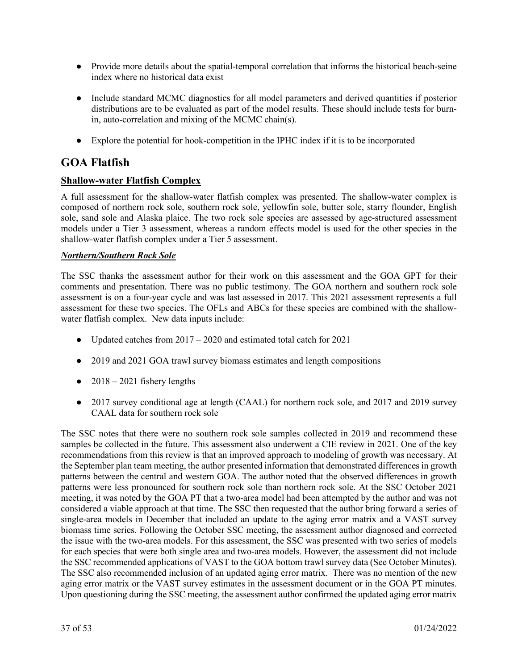- Provide more details about the spatial-temporal correlation that informs the historical beach-seine index where no historical data exist
- Include standard MCMC diagnostics for all model parameters and derived quantities if posterior distributions are to be evaluated as part of the model results. These should include tests for burnin, auto-correlation and mixing of the MCMC chain(s).
- Explore the potential for hook-competition in the IPHC index if it is to be incorporated

# **GOA Flatfish**

## **Shallow-water Flatfish Complex**

A full assessment for the shallow-water flatfish complex was presented. The shallow-water complex is composed of northern rock sole, southern rock sole, yellowfin sole, butter sole, starry flounder, English sole, sand sole and Alaska plaice. The two rock sole species are assessed by age-structured assessment models under a Tier 3 assessment, whereas a random effects model is used for the other species in the shallow-water flatfish complex under a Tier 5 assessment.

#### *Northern/Southern Rock Sole*

The SSC thanks the assessment author for their work on this assessment and the GOA GPT for their comments and presentation. There was no public testimony. The GOA northern and southern rock sole assessment is on a four-year cycle and was last assessed in 2017. This 2021 assessment represents a full assessment for these two species. The OFLs and ABCs for these species are combined with the shallowwater flatfish complex. New data inputs include:

- Updated catches from  $2017 2020$  and estimated total catch for  $2021$
- 2019 and 2021 GOA trawl survey biomass estimates and length compositions
- $\bullet$  2018 2021 fishery lengths
- 2017 survey conditional age at length (CAAL) for northern rock sole, and 2017 and 2019 survey CAAL data for southern rock sole

The SSC notes that there were no southern rock sole samples collected in 2019 and recommend these samples be collected in the future. This assessment also underwent a CIE review in 2021. One of the key recommendations from this review is that an improved approach to modeling of growth was necessary. At the September plan team meeting, the author presented information that demonstrated differences in growth patterns between the central and western GOA. The author noted that the observed differences in growth patterns were less pronounced for southern rock sole than northern rock sole. At the SSC October 2021 meeting, it was noted by the GOA PT that a two-area model had been attempted by the author and was not considered a viable approach at that time. The SSC then requested that the author bring forward a series of single-area models in December that included an update to the aging error matrix and a VAST survey biomass time series. Following the October SSC meeting, the assessment author diagnosed and corrected the issue with the two-area models. For this assessment, the SSC was presented with two series of models for each species that were both single area and two-area models. However, the assessment did not include the SSC recommended applications of VAST to the GOA bottom trawl survey data (See October Minutes). The SSC also recommended inclusion of an updated aging error matrix. There was no mention of the new aging error matrix or the VAST survey estimates in the assessment document or in the GOA PT minutes. Upon questioning during the SSC meeting, the assessment author confirmed the updated aging error matrix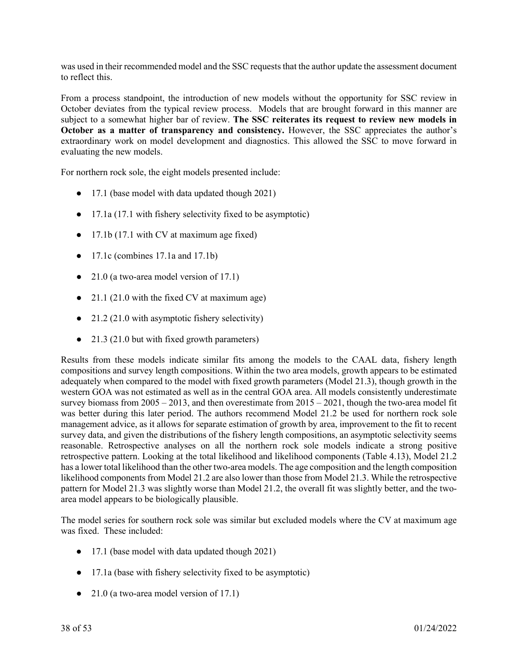was used in their recommended model and the SSC requests that the author update the assessment document to reflect this.

From a process standpoint, the introduction of new models without the opportunity for SSC review in October deviates from the typical review process. Models that are brought forward in this manner are subject to a somewhat higher bar of review. **The SSC reiterates its request to review new models in October as a matter of transparency and consistency.** However, the SSC appreciates the author's extraordinary work on model development and diagnostics. This allowed the SSC to move forward in evaluating the new models.

For northern rock sole, the eight models presented include:

- 17.1 (base model with data updated though 2021)
- 17.1a (17.1 with fishery selectivity fixed to be asymptotic)
- 17.1b (17.1 with CV at maximum age fixed)
- 17.1c (combines 17.1a and 17.1b)
- 21.0 (a two-area model version of 17.1)
- 21.1 (21.0 with the fixed CV at maximum age)
- 21.2 (21.0 with asymptotic fishery selectivity)
- 21.3 (21.0 but with fixed growth parameters)

Results from these models indicate similar fits among the models to the CAAL data, fishery length compositions and survey length compositions. Within the two area models, growth appears to be estimated adequately when compared to the model with fixed growth parameters (Model 21.3), though growth in the western GOA was not estimated as well as in the central GOA area. All models consistently underestimate survey biomass from  $2005 - 2013$ , and then overestimate from  $2015 - 2021$ , though the two-area model fit was better during this later period. The authors recommend Model 21.2 be used for northern rock sole management advice, as it allows for separate estimation of growth by area, improvement to the fit to recent survey data, and given the distributions of the fishery length compositions, an asymptotic selectivity seems reasonable. Retrospective analyses on all the northern rock sole models indicate a strong positive retrospective pattern. Looking at the total likelihood and likelihood components (Table 4.13), Model 21.2 has a lower total likelihood than the other two-area models. The age composition and the length composition likelihood components from Model 21.2 are also lower than those from Model 21.3. While the retrospective pattern for Model 21.3 was slightly worse than Model 21.2, the overall fit was slightly better, and the twoarea model appears to be biologically plausible.

The model series for southern rock sole was similar but excluded models where the CV at maximum age was fixed. These included:

- 17.1 (base model with data updated though 2021)
- 17.1a (base with fishery selectivity fixed to be asymptotic)
- $\bullet$  21.0 (a two-area model version of 17.1)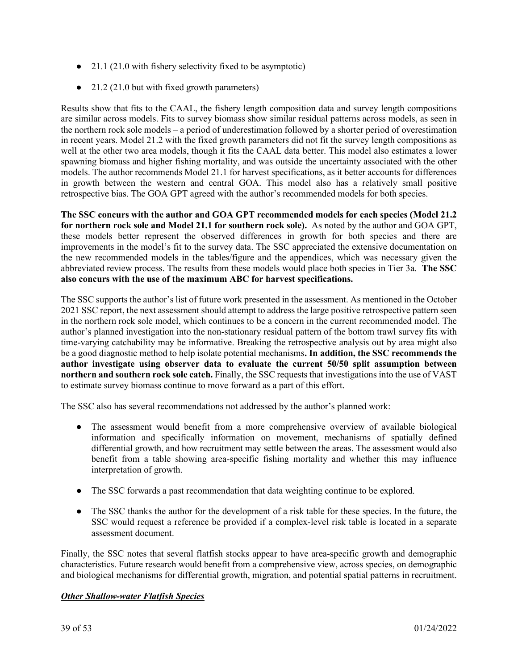- 21.1 (21.0 with fishery selectivity fixed to be asymptotic)
- 21.2 (21.0 but with fixed growth parameters)

Results show that fits to the CAAL, the fishery length composition data and survey length compositions are similar across models. Fits to survey biomass show similar residual patterns across models, as seen in the northern rock sole models – a period of underestimation followed by a shorter period of overestimation in recent years. Model 21.2 with the fixed growth parameters did not fit the survey length compositions as well at the other two area models, though it fits the CAAL data better. This model also estimates a lower spawning biomass and higher fishing mortality, and was outside the uncertainty associated with the other models. The author recommends Model 21.1 for harvest specifications, as it better accounts for differences in growth between the western and central GOA. This model also has a relatively small positive retrospective bias. The GOA GPT agreed with the author's recommended models for both species.

**The SSC concurs with the author and GOA GPT recommended models for each species (Model 21.2 for northern rock sole and Model 21.1 for southern rock sole).** As noted by the author and GOA GPT, these models better represent the observed differences in growth for both species and there are improvements in the model's fit to the survey data. The SSC appreciated the extensive documentation on the new recommended models in the tables/figure and the appendices, which was necessary given the abbreviated review process. The results from these models would place both species in Tier 3a. **The SSC also concurs with the use of the maximum ABC for harvest specifications.**

The SSC supports the author's list of future work presented in the assessment. As mentioned in the October 2021 SSC report, the next assessment should attempt to address the large positive retrospective pattern seen in the northern rock sole model, which continues to be a concern in the current recommended model. The author's planned investigation into the non-stationary residual pattern of the bottom trawl survey fits with time-varying catchability may be informative. Breaking the retrospective analysis out by area might also be a good diagnostic method to help isolate potential mechanisms**. In addition, the SSC recommends the author investigate using observer data to evaluate the current 50/50 split assumption between northern and southern rock sole catch.** Finally, the SSC requests that investigations into the use of VAST to estimate survey biomass continue to move forward as a part of this effort.

The SSC also has several recommendations not addressed by the author's planned work:

- The assessment would benefit from a more comprehensive overview of available biological information and specifically information on movement, mechanisms of spatially defined differential growth, and how recruitment may settle between the areas. The assessment would also benefit from a table showing area-specific fishing mortality and whether this may influence interpretation of growth.
- The SSC forwards a past recommendation that data weighting continue to be explored.
- The SSC thanks the author for the development of a risk table for these species. In the future, the SSC would request a reference be provided if a complex-level risk table is located in a separate assessment document.

Finally, the SSC notes that several flatfish stocks appear to have area-specific growth and demographic characteristics. Future research would benefit from a comprehensive view, across species, on demographic and biological mechanisms for differential growth, migration, and potential spatial patterns in recruitment.

#### *Other Shallow-water Flatfish Species*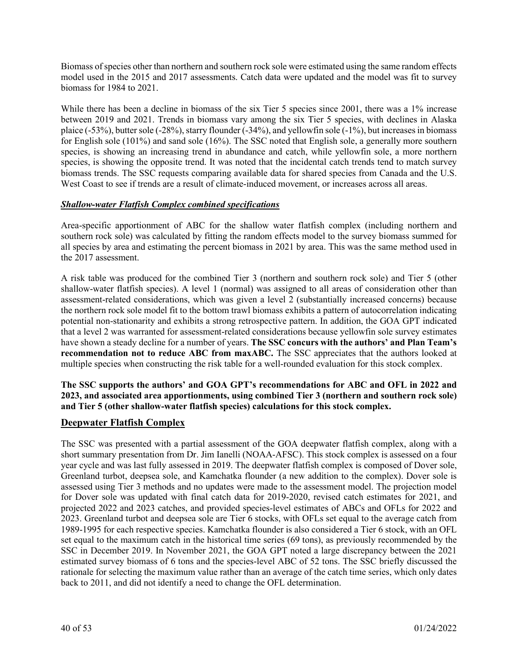Biomass of species other than northern and southern rock sole were estimated using the same random effects model used in the 2015 and 2017 assessments. Catch data were updated and the model was fit to survey biomass for 1984 to 2021.

While there has been a decline in biomass of the six Tier 5 species since 2001, there was a 1% increase between 2019 and 2021. Trends in biomass vary among the six Tier 5 species, with declines in Alaska plaice (-53%), butter sole (-28%), starry flounder (-34%), and yellowfin sole (-1%), but increases in biomass for English sole (101%) and sand sole (16%). The SSC noted that English sole, a generally more southern species, is showing an increasing trend in abundance and catch, while yellowfin sole, a more northern species, is showing the opposite trend. It was noted that the incidental catch trends tend to match survey biomass trends. The SSC requests comparing available data for shared species from Canada and the U.S. West Coast to see if trends are a result of climate-induced movement, or increases across all areas.

#### *Shallow-water Flatfish Complex combined specifications*

Area-specific apportionment of ABC for the shallow water flatfish complex (including northern and southern rock sole) was calculated by fitting the random effects model to the survey biomass summed for all species by area and estimating the percent biomass in 2021 by area. This was the same method used in the 2017 assessment.

A risk table was produced for the combined Tier 3 (northern and southern rock sole) and Tier 5 (other shallow-water flatfish species). A level 1 (normal) was assigned to all areas of consideration other than assessment-related considerations, which was given a level 2 (substantially increased concerns) because the northern rock sole model fit to the bottom trawl biomass exhibits a pattern of autocorrelation indicating potential non-stationarity and exhibits a strong retrospective pattern. In addition, the GOA GPT indicated that a level 2 was warranted for assessment-related considerations because yellowfin sole survey estimates have shown a steady decline for a number of years. **The SSC concurs with the authors' and Plan Team's recommendation not to reduce ABC from maxABC.** The SSC appreciates that the authors looked at multiple species when constructing the risk table for a well-rounded evaluation for this stock complex.

**The SSC supports the authors' and GOA GPT's recommendations for ABC and OFL in 2022 and 2023, and associated area apportionments, using combined Tier 3 (northern and southern rock sole) and Tier 5 (other shallow-water flatfish species) calculations for this stock complex.**

#### **Deepwater Flatfish Complex**

The SSC was presented with a partial assessment of the GOA deepwater flatfish complex, along with a short summary presentation from Dr. Jim Ianelli (NOAA-AFSC). This stock complex is assessed on a four year cycle and was last fully assessed in 2019. The deepwater flatfish complex is composed of Dover sole, Greenland turbot, deepsea sole, and Kamchatka flounder (a new addition to the complex). Dover sole is assessed using Tier 3 methods and no updates were made to the assessment model. The projection model for Dover sole was updated with final catch data for 2019-2020, revised catch estimates for 2021, and projected 2022 and 2023 catches, and provided species-level estimates of ABCs and OFLs for 2022 and 2023. Greenland turbot and deepsea sole are Tier 6 stocks, with OFLs set equal to the average catch from 1989-1995 for each respective species. Kamchatka flounder is also considered a Tier 6 stock, with an OFL set equal to the maximum catch in the historical time series (69 tons), as previously recommended by the SSC in December 2019. In November 2021, the GOA GPT noted a large discrepancy between the 2021 estimated survey biomass of 6 tons and the species-level ABC of 52 tons. The SSC briefly discussed the rationale for selecting the maximum value rather than an average of the catch time series, which only dates back to 2011, and did not identify a need to change the OFL determination.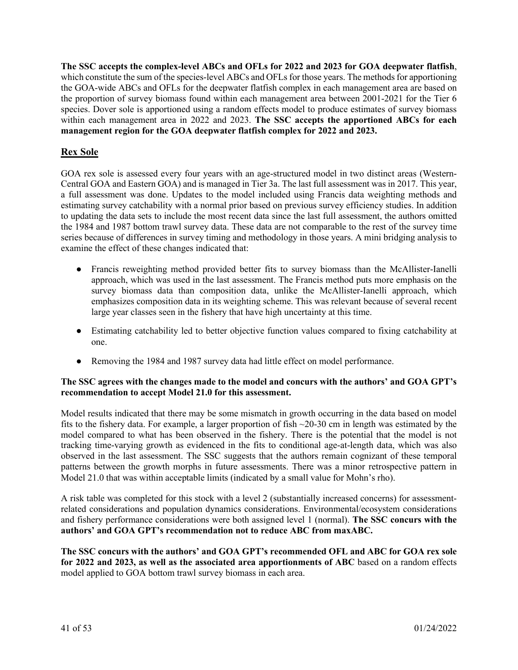**The SSC accepts the complex-level ABCs and OFLs for 2022 and 2023 for GOA deepwater flatfish**, which constitute the sum of the species-level ABCs and OFLs for those years. The methods for apportioning the GOA-wide ABCs and OFLs for the deepwater flatfish complex in each management area are based on the proportion of survey biomass found within each management area between 2001-2021 for the Tier 6 species. Dover sole is apportioned using a random effects model to produce estimates of survey biomass within each management area in 2022 and 2023. **The SSC accepts the apportioned ABCs for each management region for the GOA deepwater flatfish complex for 2022 and 2023.** 

# **Rex Sole**

GOA rex sole is assessed every four years with an age-structured model in two distinct areas (Western-Central GOA and Eastern GOA) and is managed in Tier 3a. The last full assessment was in 2017. This year, a full assessment was done. Updates to the model included using Francis data weighting methods and estimating survey catchability with a normal prior based on previous survey efficiency studies. In addition to updating the data sets to include the most recent data since the last full assessment, the authors omitted the 1984 and 1987 bottom trawl survey data. These data are not comparable to the rest of the survey time series because of differences in survey timing and methodology in those years. A mini bridging analysis to examine the effect of these changes indicated that:

- Francis reweighting method provided better fits to survey biomass than the McAllister-Ianelli approach, which was used in the last assessment. The Francis method puts more emphasis on the survey biomass data than composition data, unlike the McAllister-Ianelli approach, which emphasizes composition data in its weighting scheme. This was relevant because of several recent large year classes seen in the fishery that have high uncertainty at this time.
- Estimating catchability led to better objective function values compared to fixing catchability at one.
- Removing the 1984 and 1987 survey data had little effect on model performance.

#### **The SSC agrees with the changes made to the model and concurs with the authors' and GOA GPT's recommendation to accept Model 21.0 for this assessment.**

Model results indicated that there may be some mismatch in growth occurring in the data based on model fits to the fishery data. For example, a larger proportion of fish ~20-30 cm in length was estimated by the model compared to what has been observed in the fishery. There is the potential that the model is not tracking time-varying growth as evidenced in the fits to conditional age-at-length data, which was also observed in the last assessment. The SSC suggests that the authors remain cognizant of these temporal patterns between the growth morphs in future assessments. There was a minor retrospective pattern in Model 21.0 that was within acceptable limits (indicated by a small value for Mohn's rho).

A risk table was completed for this stock with a level 2 (substantially increased concerns) for assessmentrelated considerations and population dynamics considerations. Environmental/ecosystem considerations and fishery performance considerations were both assigned level 1 (normal). **The SSC concurs with the authors' and GOA GPT's recommendation not to reduce ABC from maxABC.**

**The SSC concurs with the authors' and GOA GPT's recommended OFL and ABC for GOA rex sole for 2022 and 2023, as well as the associated area apportionments of ABC** based on a random effects model applied to GOA bottom trawl survey biomass in each area.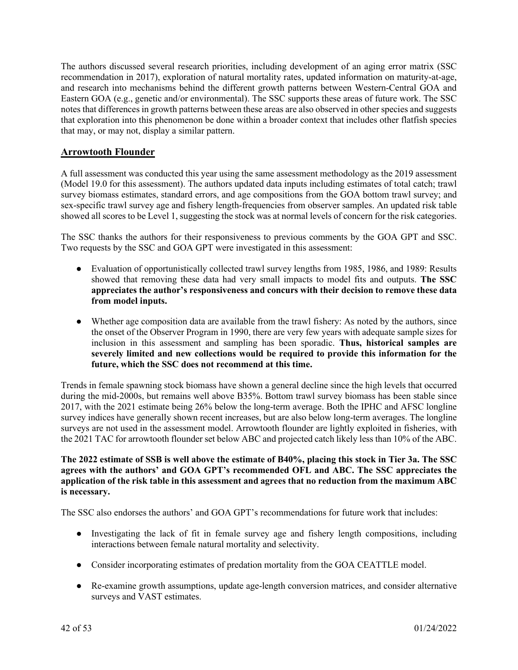The authors discussed several research priorities, including development of an aging error matrix (SSC recommendation in 2017), exploration of natural mortality rates, updated information on maturity-at-age, and research into mechanisms behind the different growth patterns between Western-Central GOA and Eastern GOA (e.g., genetic and/or environmental). The SSC supports these areas of future work. The SSC notes that differences in growth patterns between these areas are also observed in other species and suggests that exploration into this phenomenon be done within a broader context that includes other flatfish species that may, or may not, display a similar pattern.

### **Arrowtooth Flounder**

A full assessment was conducted this year using the same assessment methodology as the 2019 assessment (Model 19.0 for this assessment). The authors updated data inputs including estimates of total catch; trawl survey biomass estimates, standard errors, and age compositions from the GOA bottom trawl survey; and sex-specific trawl survey age and fishery length-frequencies from observer samples. An updated risk table showed all scores to be Level 1, suggesting the stock was at normal levels of concern for the risk categories.

The SSC thanks the authors for their responsiveness to previous comments by the GOA GPT and SSC. Two requests by the SSC and GOA GPT were investigated in this assessment:

- Evaluation of opportunistically collected trawl survey lengths from 1985, 1986, and 1989: Results showed that removing these data had very small impacts to model fits and outputs. **The SSC appreciates the author's responsiveness and concurs with their decision to remove these data from model inputs.**
- Whether age composition data are available from the trawl fishery: As noted by the authors, since the onset of the Observer Program in 1990, there are very few years with adequate sample sizes for inclusion in this assessment and sampling has been sporadic. **Thus, historical samples are severely limited and new collections would be required to provide this information for the future, which the SSC does not recommend at this time.**

Trends in female spawning stock biomass have shown a general decline since the high levels that occurred during the mid-2000s, but remains well above B35%. Bottom trawl survey biomass has been stable since 2017, with the 2021 estimate being 26% below the long-term average. Both the IPHC and AFSC longline survey indices have generally shown recent increases, but are also below long-term averages. The longline surveys are not used in the assessment model. Arrowtooth flounder are lightly exploited in fisheries, with the 2021 TAC for arrowtooth flounder set below ABC and projected catch likely less than 10% of the ABC.

#### **The 2022 estimate of SSB is well above the estimate of B40%, placing this stock in Tier 3a. The SSC agrees with the authors' and GOA GPT's recommended OFL and ABC. The SSC appreciates the application of the risk table in this assessment and agrees that no reduction from the maximum ABC is necessary.**

The SSC also endorses the authors' and GOA GPT's recommendations for future work that includes:

- Investigating the lack of fit in female survey age and fishery length compositions, including interactions between female natural mortality and selectivity.
- Consider incorporating estimates of predation mortality from the GOA CEATTLE model.
- Re-examine growth assumptions, update age-length conversion matrices, and consider alternative surveys and VAST estimates.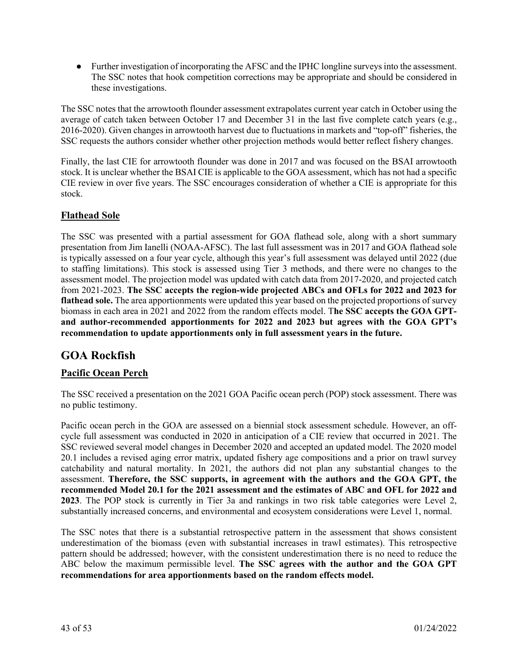● Further investigation of incorporating the AFSC and the IPHC longline surveys into the assessment. The SSC notes that hook competition corrections may be appropriate and should be considered in these investigations.

The SSC notes that the arrowtooth flounder assessment extrapolates current year catch in October using the average of catch taken between October 17 and December 31 in the last five complete catch years (e.g., 2016-2020). Given changes in arrowtooth harvest due to fluctuations in markets and "top-off" fisheries, the SSC requests the authors consider whether other projection methods would better reflect fishery changes.

Finally, the last CIE for arrowtooth flounder was done in 2017 and was focused on the BSAI arrowtooth stock. It is unclear whether the BSAI CIE is applicable to the GOA assessment, which has not had a specific CIE review in over five years. The SSC encourages consideration of whether a CIE is appropriate for this stock.

## **Flathead Sole**

The SSC was presented with a partial assessment for GOA flathead sole, along with a short summary presentation from Jim Ianelli (NOAA-AFSC). The last full assessment was in 2017 and GOA flathead sole is typically assessed on a four year cycle, although this year's full assessment was delayed until 2022 (due to staffing limitations). This stock is assessed using Tier 3 methods, and there were no changes to the assessment model. The projection model was updated with catch data from 2017-2020, and projected catch from 2021-2023. **The SSC accepts the region-wide projected ABCs and OFLs for 2022 and 2023 for flathead sole.** The area apportionments were updated this year based on the projected proportions of survey biomass in each area in 2021 and 2022 from the random effects model. T**he SSC accepts the GOA GPTand author-recommended apportionments for 2022 and 2023 but agrees with the GOA GPT's recommendation to update apportionments only in full assessment years in the future.**

# **GOA Rockfish**

## **Pacific Ocean Perch**

The SSC received a presentation on the 2021 GOA Pacific ocean perch (POP) stock assessment. There was no public testimony.

Pacific ocean perch in the GOA are assessed on a biennial stock assessment schedule. However, an offcycle full assessment was conducted in 2020 in anticipation of a CIE review that occurred in 2021. The SSC reviewed several model changes in December 2020 and accepted an updated model. The 2020 model 20.1 includes a revised aging error matrix, updated fishery age compositions and a prior on trawl survey catchability and natural mortality. In 2021, the authors did not plan any substantial changes to the assessment. **Therefore, the SSC supports, in agreement with the authors and the GOA GPT, the recommended Model 20.1 for the 2021 assessment and the estimates of ABC and OFL for 2022 and 2023**. The POP stock is currently in Tier 3a and rankings in two risk table categories were Level 2, substantially increased concerns, and environmental and ecosystem considerations were Level 1, normal.

The SSC notes that there is a substantial retrospective pattern in the assessment that shows consistent underestimation of the biomass (even with substantial increases in trawl estimates). This retrospective pattern should be addressed; however, with the consistent underestimation there is no need to reduce the ABC below the maximum permissible level. **The SSC agrees with the author and the GOA GPT recommendations for area apportionments based on the random effects model.**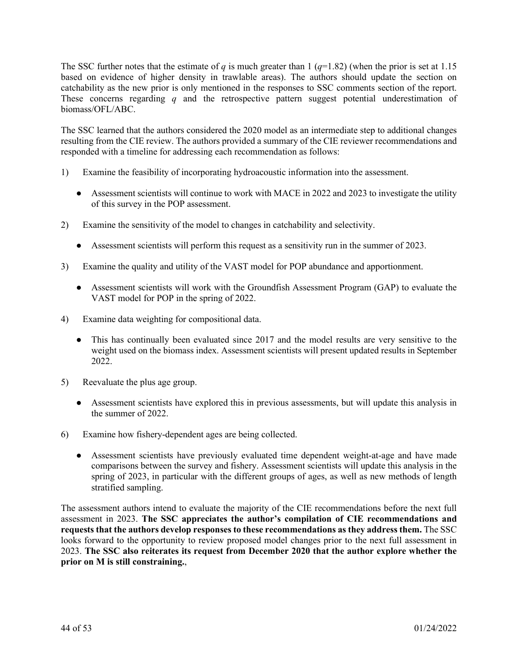The SSC further notes that the estimate of *q* is much greater than 1  $(q=1.82)$  (when the prior is set at 1.15 based on evidence of higher density in trawlable areas). The authors should update the section on catchability as the new prior is only mentioned in the responses to SSC comments section of the report. These concerns regarding *q* and the retrospective pattern suggest potential underestimation of biomass/OFL/ABC.

The SSC learned that the authors considered the 2020 model as an intermediate step to additional changes resulting from the CIE review. The authors provided a summary of the CIE reviewer recommendations and responded with a timeline for addressing each recommendation as follows:

- 1) Examine the feasibility of incorporating hydroacoustic information into the assessment.
	- Assessment scientists will continue to work with MACE in 2022 and 2023 to investigate the utility of this survey in the POP assessment.
- 2) Examine the sensitivity of the model to changes in catchability and selectivity.
	- Assessment scientists will perform this request as a sensitivity run in the summer of 2023.
- 3) Examine the quality and utility of the VAST model for POP abundance and apportionment.
	- Assessment scientists will work with the Groundfish Assessment Program (GAP) to evaluate the VAST model for POP in the spring of 2022.
- 4) Examine data weighting for compositional data.
	- This has continually been evaluated since 2017 and the model results are very sensitive to the weight used on the biomass index. Assessment scientists will present updated results in September 2022.
- 5) Reevaluate the plus age group.
	- Assessment scientists have explored this in previous assessments, but will update this analysis in the summer of 2022.
- 6) Examine how fishery-dependent ages are being collected.
	- Assessment scientists have previously evaluated time dependent weight-at-age and have made comparisons between the survey and fishery. Assessment scientists will update this analysis in the spring of 2023, in particular with the different groups of ages, as well as new methods of length stratified sampling.

The assessment authors intend to evaluate the majority of the CIE recommendations before the next full assessment in 2023. **The SSC appreciates the author's compilation of CIE recommendations and requests that the authors develop responses to these recommendations as they address them.** The SSC looks forward to the opportunity to review proposed model changes prior to the next full assessment in 2023. **The SSC also reiterates its request from December 2020 that the author explore whether the prior on M is still constraining.**,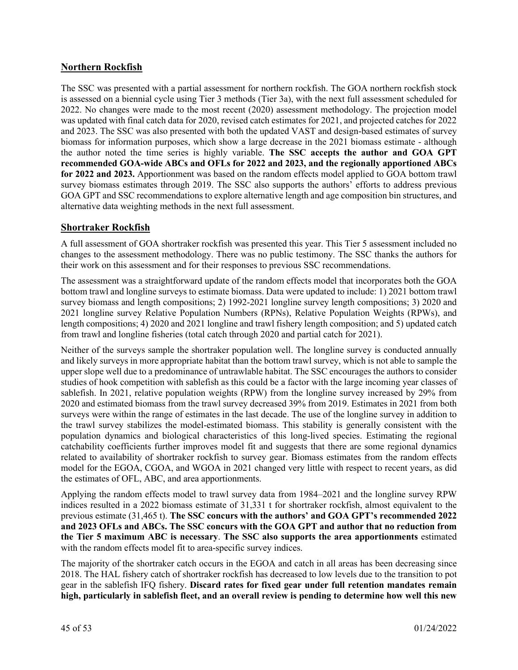## **Northern Rockfish**

The SSC was presented with a partial assessment for northern rockfish. The GOA northern rockfish stock is assessed on a biennial cycle using Tier 3 methods (Tier 3a), with the next full assessment scheduled for 2022. No changes were made to the most recent (2020) assessment methodology. The projection model was updated with final catch data for 2020, revised catch estimates for 2021, and projected catches for 2022 and 2023. The SSC was also presented with both the updated VAST and design-based estimates of survey biomass for information purposes, which show a large decrease in the 2021 biomass estimate - although the author noted the time series is highly variable. **The SSC accepts the author and GOA GPT recommended GOA-wide ABCs and OFLs for 2022 and 2023, and the regionally apportioned ABCs for 2022 and 2023.** Apportionment was based on the random effects model applied to GOA bottom trawl survey biomass estimates through 2019. The SSC also supports the authors' efforts to address previous GOA GPT and SSC recommendations to explore alternative length and age composition bin structures, and alternative data weighting methods in the next full assessment.

## **Shortraker Rockfish**

A full assessment of GOA shortraker rockfish was presented this year. This Tier 5 assessment included no changes to the assessment methodology. There was no public testimony. The SSC thanks the authors for their work on this assessment and for their responses to previous SSC recommendations.

The assessment was a straightforward update of the random effects model that incorporates both the GOA bottom trawl and longline surveys to estimate biomass. Data were updated to include: 1) 2021 bottom trawl survey biomass and length compositions; 2) 1992-2021 longline survey length compositions; 3) 2020 and 2021 longline survey Relative Population Numbers (RPNs), Relative Population Weights (RPWs), and length compositions; 4) 2020 and 2021 longline and trawl fishery length composition; and 5) updated catch from trawl and longline fisheries (total catch through 2020 and partial catch for 2021).

Neither of the surveys sample the shortraker population well. The longline survey is conducted annually and likely surveys in more appropriate habitat than the bottom trawl survey, which is not able to sample the upper slope well due to a predominance of untrawlable habitat. The SSC encourages the authors to consider studies of hook competition with sablefish as this could be a factor with the large incoming year classes of sablefish. In 2021, relative population weights (RPW) from the longline survey increased by 29% from 2020 and estimated biomass from the trawl survey decreased 39% from 2019. Estimates in 2021 from both surveys were within the range of estimates in the last decade. The use of the longline survey in addition to the trawl survey stabilizes the model-estimated biomass. This stability is generally consistent with the population dynamics and biological characteristics of this long-lived species. Estimating the regional catchability coefficients further improves model fit and suggests that there are some regional dynamics related to availability of shortraker rockfish to survey gear. Biomass estimates from the random effects model for the EGOA, CGOA, and WGOA in 2021 changed very little with respect to recent years, as did the estimates of OFL, ABC, and area apportionments.

Applying the random effects model to trawl survey data from 1984–2021 and the longline survey RPW indices resulted in a 2022 biomass estimate of 31,331 t for shortraker rockfish, almost equivalent to the previous estimate (31,465 t). **The SSC concurs with the authors' and GOA GPT's recommended 2022 and 2023 OFLs and ABCs. The SSC concurs with the GOA GPT and author that no reduction from the Tier 5 maximum ABC is necessary**. **The SSC also supports the area apportionments** estimated with the random effects model fit to area-specific survey indices.

The majority of the shortraker catch occurs in the EGOA and catch in all areas has been decreasing since 2018. The HAL fishery catch of shortraker rockfish has decreased to low levels due to the transition to pot gear in the sablefish IFQ fishery. **Discard rates for fixed gear under full retention mandates remain high, particularly in sablefish fleet, and an overall review is pending to determine how well this new**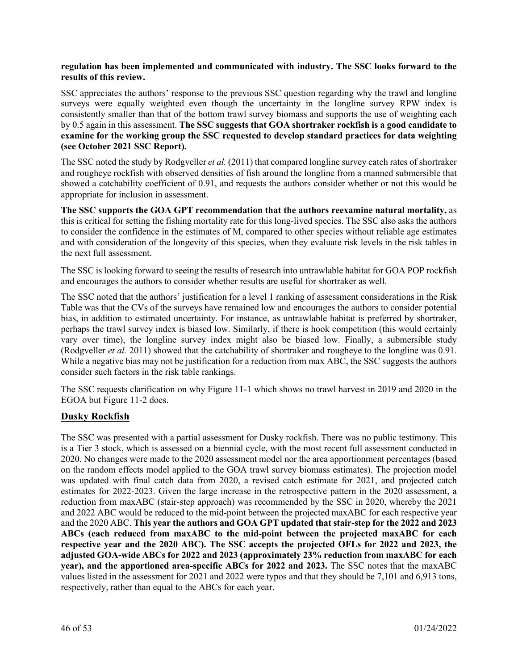#### **regulation has been implemented and communicated with industry. The SSC looks forward to the results of this review.**

SSC appreciates the authors' response to the previous SSC question regarding why the trawl and longline surveys were equally weighted even though the uncertainty in the longline survey RPW index is consistently smaller than that of the bottom trawl survey biomass and supports the use of weighting each by 0.5 again in this assessment. **The SSC suggests that GOA shortraker rockfish is a good candidate to examine for the working group the SSC requested to develop standard practices for data weighting (see October 2021 SSC Report).**

The SSC noted the study by Rodgveller *et al.* (2011) that compared longline survey catch rates of shortraker and rougheye rockfish with observed densities of fish around the longline from a manned submersible that showed a catchability coefficient of 0.91, and requests the authors consider whether or not this would be appropriate for inclusion in assessment.

**The SSC supports the GOA GPT recommendation that the authors reexamine natural mortality,** as this is critical for setting the fishing mortality rate for this long-lived species. The SSC also asks the authors to consider the confidence in the estimates of M, compared to other species without reliable age estimates and with consideration of the longevity of this species, when they evaluate risk levels in the risk tables in the next full assessment.

The SSC is looking forward to seeing the results of research into untrawlable habitat for GOA POP rockfish and encourages the authors to consider whether results are useful for shortraker as well.

The SSC noted that the authors' justification for a level 1 ranking of assessment considerations in the Risk Table was that the CVs of the surveys have remained low and encourages the authors to consider potential bias, in addition to estimated uncertainty. For instance, as untrawlable habitat is preferred by shortraker, perhaps the trawl survey index is biased low. Similarly, if there is hook competition (this would certainly vary over time), the longline survey index might also be biased low. Finally, a submersible study (Rodgveller *et al.* 2011) showed that the catchability of shortraker and rougheye to the longline was 0.91. While a negative bias may not be justification for a reduction from max ABC, the SSC suggests the authors consider such factors in the risk table rankings.

The SSC requests clarification on why Figure 11-1 which shows no trawl harvest in 2019 and 2020 in the EGOA but Figure 11-2 does.

## **Dusky Rockfish**

The SSC was presented with a partial assessment for Dusky rockfish. There was no public testimony. This is a Tier 3 stock, which is assessed on a biennial cycle, with the most recent full assessment conducted in 2020. No changes were made to the 2020 assessment model nor the area apportionment percentages (based on the random effects model applied to the GOA trawl survey biomass estimates). The projection model was updated with final catch data from 2020, a revised catch estimate for 2021, and projected catch estimates for 2022-2023. Given the large increase in the retrospective pattern in the 2020 assessment, a reduction from maxABC (stair-step approach) was recommended by the SSC in 2020, whereby the 2021 and 2022 ABC would be reduced to the mid-point between the projected maxABC for each respective year and the 2020 ABC. **This year the authors and GOA GPT updated that stair-step for the 2022 and 2023 ABCs (each reduced from maxABC to the mid-point between the projected maxABC for each respective year and the 2020 ABC). The SSC accepts the projected OFLs for 2022 and 2023, the adjusted GOA-wide ABCs for 2022 and 2023 (approximately 23% reduction from maxABC for each year), and the apportioned area-specific ABCs for 2022 and 2023.** The SSC notes that the maxABC values listed in the assessment for 2021 and 2022 were typos and that they should be 7,101 and 6,913 tons, respectively, rather than equal to the ABCs for each year.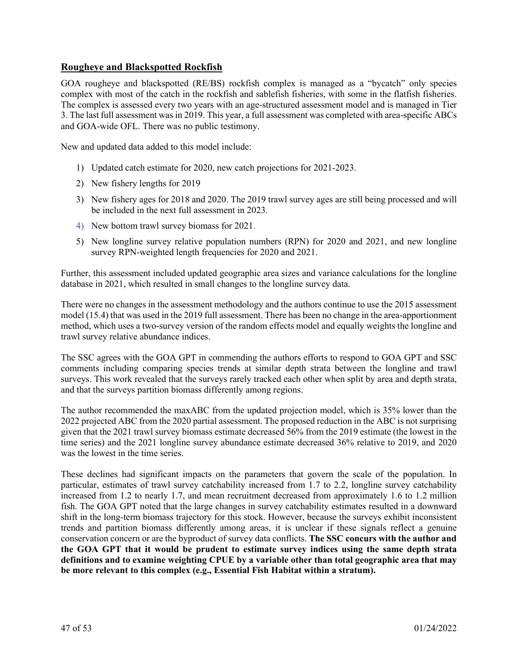## **Rougheye and Blackspotted Rockfish**

GOA rougheye and blackspotted (RE/BS) rockfish complex is managed as a "bycatch" only species complex with most of the catch in the rockfish and sablefish fisheries, with some in the flatfish fisheries. The complex is assessed every two years with an age-structured assessment model and is managed in Tier 3. The last full assessment was in 2019. This year, a full assessment was completed with area-specific ABCs and GOA-wide OFL. There was no public testimony.

New and updated data added to this model include:

- 1) Updated catch estimate for 2020, new catch projections for 2021-2023.
- 2) New fishery lengths for 2019
- 3) New fishery ages for 2018 and 2020. The 2019 trawl survey ages are still being processed and will be included in the next full assessment in 2023.
- 4) New bottom trawl survey biomass for 2021.
- 5) New longline survey relative population numbers (RPN) for 2020 and 2021, and new longline survey RPN-weighted length frequencies for 2020 and 2021.

Further, this assessment included updated geographic area sizes and variance calculations for the longline database in 2021, which resulted in small changes to the longline survey data.

There were no changes in the assessment methodology and the authors continue to use the 2015 assessment model (15.4) that was used in the 2019 full assessment. There has been no change in the area-apportionment method, which uses a two-survey version of the random effects model and equally weights the longline and trawl survey relative abundance indices.

The SSC agrees with the GOA GPT in commending the authors efforts to respond to GOA GPT and SSC comments including comparing species trends at similar depth strata between the longline and trawl surveys. This work revealed that the surveys rarely tracked each other when split by area and depth strata, and that the surveys partition biomass differently among regions.

The author recommended the maxABC from the updated projection model, which is 35% lower than the 2022 projected ABC from the 2020 partial assessment. The proposed reduction in the ABC is not surprising given that the 2021 trawl survey biomass estimate decreased 56% from the 2019 estimate (the lowest in the time series) and the 2021 longline survey abundance estimate decreased 36% relative to 2019, and 2020 was the lowest in the time series.

These declines had significant impacts on the parameters that govern the scale of the population. In particular, estimates of trawl survey catchability increased from 1.7 to 2.2, longline survey catchability increased from 1.2 to nearly 1.7, and mean recruitment decreased from approximately 1.6 to 1.2 million fish. The GOA GPT noted that the large changes in survey catchability estimates resulted in a downward shift in the long-term biomass trajectory for this stock. However, because the surveys exhibit inconsistent trends and partition biomass differently among areas, it is unclear if these signals reflect a genuine conservation concern or are the byproduct of survey data conflicts. **The SSC concurs with the author and the GOA GPT that it would be prudent to estimate survey indices using the same depth strata definitions and to examine weighting CPUE by a variable other than total geographic area that may be more relevant to this complex (e.g., Essential Fish Habitat within a stratum).**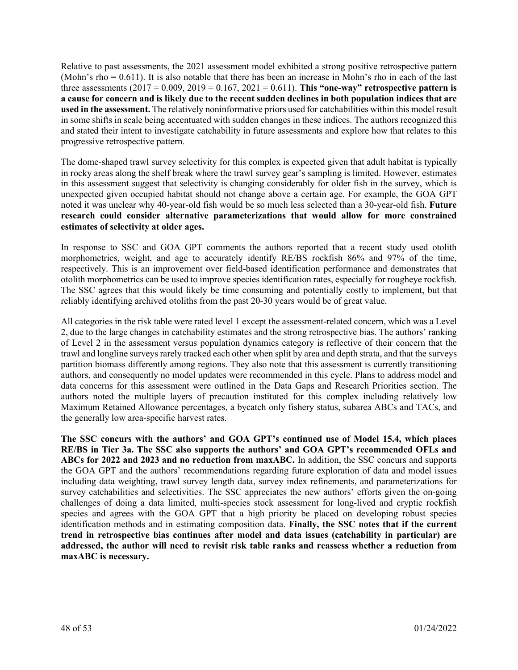Relative to past assessments, the 2021 assessment model exhibited a strong positive retrospective pattern (Mohn's rho = 0.611). It is also notable that there has been an increase in Mohn's rho in each of the last three assessments  $(2017 = 0.009, 2019 = 0.167, 2021 = 0.611)$ . This "one-way" retrospective pattern is **a cause for concern and is likely due to the recent sudden declines in both population indices that are used in the assessment.** The relatively noninformative priors used for catchabilities within this model result in some shifts in scale being accentuated with sudden changes in these indices. The authors recognized this and stated their intent to investigate catchability in future assessments and explore how that relates to this progressive retrospective pattern.

The dome-shaped trawl survey selectivity for this complex is expected given that adult habitat is typically in rocky areas along the shelf break where the trawl survey gear's sampling is limited. However, estimates in this assessment suggest that selectivity is changing considerably for older fish in the survey, which is unexpected given occupied habitat should not change above a certain age. For example, the GOA GPT noted it was unclear why 40-year-old fish would be so much less selected than a 30-year-old fish. **Future research could consider alternative parameterizations that would allow for more constrained estimates of selectivity at older ages.**

In response to SSC and GOA GPT comments the authors reported that a recent study used otolith morphometrics, weight, and age to accurately identify RE/BS rockfish 86% and 97% of the time, respectively. This is an improvement over field-based identification performance and demonstrates that otolith morphometrics can be used to improve species identification rates, especially for rougheye rockfish. The SSC agrees that this would likely be time consuming and potentially costly to implement, but that reliably identifying archived otoliths from the past 20-30 years would be of great value.

All categories in the risk table were rated level 1 except the assessment-related concern, which was a Level 2, due to the large changes in catchability estimates and the strong retrospective bias. The authors' ranking of Level 2 in the assessment versus population dynamics category is reflective of their concern that the trawl and longline surveys rarely tracked each other when split by area and depth strata, and that the surveys partition biomass differently among regions. They also note that this assessment is currently transitioning authors, and consequently no model updates were recommended in this cycle. Plans to address model and data concerns for this assessment were outlined in the Data Gaps and Research Priorities section. The authors noted the multiple layers of precaution instituted for this complex including relatively low Maximum Retained Allowance percentages, a bycatch only fishery status, subarea ABCs and TACs, and the generally low area-specific harvest rates.

**The SSC concurs with the authors' and GOA GPT's continued use of Model 15.4, which places RE/BS in Tier 3a. The SSC also supports the authors' and GOA GPT's recommended OFLs and ABCs for 2022 and 2023 and no reduction from maxABC.** In addition, the SSC concurs and supports the GOA GPT and the authors' recommendations regarding future exploration of data and model issues including data weighting, trawl survey length data, survey index refinements, and parameterizations for survey catchabilities and selectivities. The SSC appreciates the new authors' efforts given the on-going challenges of doing a data limited, multi-species stock assessment for long-lived and cryptic rockfish species and agrees with the GOA GPT that a high priority be placed on developing robust species identification methods and in estimating composition data. **Finally, the SSC notes that if the current trend in retrospective bias continues after model and data issues (catchability in particular) are addressed, the author will need to revisit risk table ranks and reassess whether a reduction from maxABC is necessary.**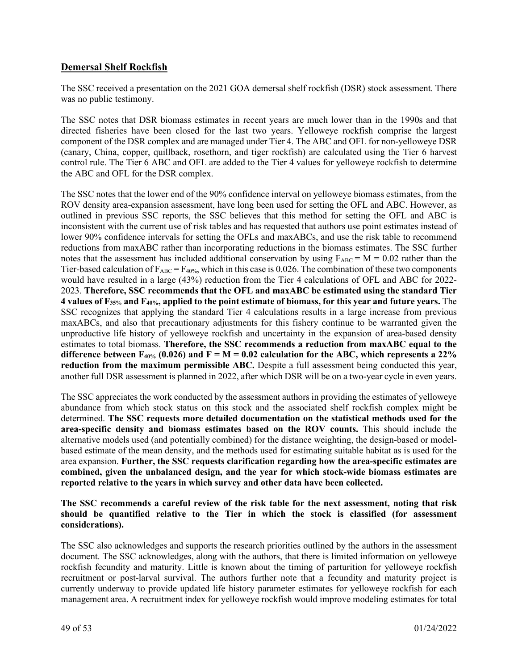## **Demersal Shelf Rockfish**

The SSC received a presentation on the 2021 GOA demersal shelf rockfish (DSR) stock assessment. There was no public testimony.

The SSC notes that DSR biomass estimates in recent years are much lower than in the 1990s and that directed fisheries have been closed for the last two years. Yelloweye rockfish comprise the largest component of the DSR complex and are managed under Tier 4. The ABC and OFL for non-yelloweye DSR (canary, China, copper, quillback, rosethorn, and tiger rockfish) are calculated using the Tier 6 harvest control rule. The Tier 6 ABC and OFL are added to the Tier 4 values for yelloweye rockfish to determine the ABC and OFL for the DSR complex.

The SSC notes that the lower end of the 90% confidence interval on yelloweye biomass estimates, from the ROV density area-expansion assessment, have long been used for setting the OFL and ABC. However, as outlined in previous SSC reports, the SSC believes that this method for setting the OFL and ABC is inconsistent with the current use of risk tables and has requested that authors use point estimates instead of lower 90% confidence intervals for setting the OFLs and maxABCs, and use the risk table to recommend reductions from maxABC rather than incorporating reductions in the biomass estimates. The SSC further notes that the assessment has included additional conservation by using  $F_{ABC} = M = 0.02$  rather than the Tier-based calculation of  $F_{ABC} = F_{40\%}$ , which in this case is 0.026. The combination of these two components would have resulted in a large (43%) reduction from the Tier 4 calculations of OFL and ABC for 2022- 2023. **Therefore, SSC recommends that the OFL and maxABC be estimated using the standard Tier 4 values of F35% and F40%, applied to the point estimate of biomass, for this year and future years.** The SSC recognizes that applying the standard Tier 4 calculations results in a large increase from previous maxABCs, and also that precautionary adjustments for this fishery continue to be warranted given the unproductive life history of yelloweye rockfish and uncertainty in the expansion of area-based density estimates to total biomass. **Therefore, the SSC recommends a reduction from maxABC equal to the**  difference between  $F_{40\%}$  (0.026) and  $F = M = 0.02$  calculation for the ABC, which represents a 22% **reduction from the maximum permissible ABC.** Despite a full assessment being conducted this year, another full DSR assessment is planned in 2022, after which DSR will be on a two-year cycle in even years.

The SSC appreciates the work conducted by the assessment authors in providing the estimates of yelloweye abundance from which stock status on this stock and the associated shelf rockfish complex might be determined. **The SSC requests more detailed documentation on the statistical methods used for the area-specific density and biomass estimates based on the ROV counts.** This should include the alternative models used (and potentially combined) for the distance weighting, the design-based or modelbased estimate of the mean density, and the methods used for estimating suitable habitat as is used for the area expansion. **Further, the SSC requests clarification regarding how the area-specific estimates are combined, given the unbalanced design, and the year for which stock-wide biomass estimates are reported relative to the years in which survey and other data have been collected.**

**The SSC recommends a careful review of the risk table for the next assessment, noting that risk should be quantified relative to the Tier in which the stock is classified (for assessment considerations).**

The SSC also acknowledges and supports the research priorities outlined by the authors in the assessment document. The SSC acknowledges, along with the authors, that there is limited information on yelloweye rockfish fecundity and maturity. Little is known about the timing of parturition for yelloweye rockfish recruitment or post-larval survival. The authors further note that a fecundity and maturity project is currently underway to provide updated life history parameter estimates for yelloweye rockfish for each management area. A recruitment index for yelloweye rockfish would improve modeling estimates for total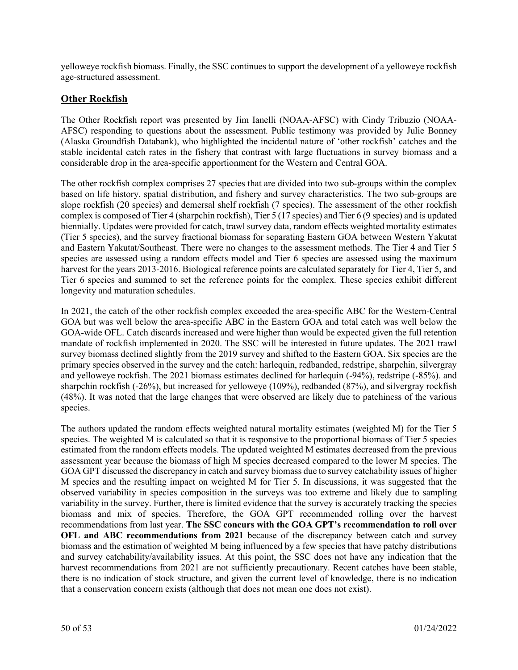yelloweye rockfish biomass. Finally, the SSC continues to support the development of a yelloweye rockfish age-structured assessment.

### **Other Rockfish**

The Other Rockfish report was presented by Jim Ianelli (NOAA-AFSC) with Cindy Tribuzio (NOAA-AFSC) responding to questions about the assessment. Public testimony was provided by Julie Bonney (Alaska Groundfish Databank), who highlighted the incidental nature of 'other rockfish' catches and the stable incidental catch rates in the fishery that contrast with large fluctuations in survey biomass and a considerable drop in the area-specific apportionment for the Western and Central GOA.

The other rockfish complex comprises 27 species that are divided into two sub-groups within the complex based on life history, spatial distribution, and fishery and survey characteristics. The two sub-groups are slope rockfish (20 species) and demersal shelf rockfish (7 species). The assessment of the other rockfish complex is composed of Tier 4 (sharpchin rockfish), Tier 5 (17 species) and Tier 6 (9 species) and is updated biennially. Updates were provided for catch, trawl survey data, random effects weighted mortality estimates (Tier 5 species), and the survey fractional biomass for separating Eastern GOA between Western Yakutat and Eastern Yakutat/Southeast. There were no changes to the assessment methods. The Tier 4 and Tier 5 species are assessed using a random effects model and Tier 6 species are assessed using the maximum harvest for the years 2013-2016. Biological reference points are calculated separately for Tier 4, Tier 5, and Tier 6 species and summed to set the reference points for the complex. These species exhibit different longevity and maturation schedules.

In 2021, the catch of the other rockfish complex exceeded the area-specific ABC for the Western-Central GOA but was well below the area-specific ABC in the Eastern GOA and total catch was well below the GOA-wide OFL. Catch discards increased and were higher than would be expected given the full retention mandate of rockfish implemented in 2020. The SSC will be interested in future updates. The 2021 trawl survey biomass declined slightly from the 2019 survey and shifted to the Eastern GOA. Six species are the primary species observed in the survey and the catch: harlequin, redbanded, redstripe, sharpchin, silvergray and yelloweye rockfish. The 2021 biomass estimates declined for harlequin (-94%), redstripe (-85%). and sharpchin rockfish (-26%), but increased for yelloweye (109%), redbanded (87%), and silvergray rockfish (48%). It was noted that the large changes that were observed are likely due to patchiness of the various species.

The authors updated the random effects weighted natural mortality estimates (weighted M) for the Tier 5 species. The weighted M is calculated so that it is responsive to the proportional biomass of Tier 5 species estimated from the random effects models. The updated weighted M estimates decreased from the previous assessment year because the biomass of high M species decreased compared to the lower M species. The GOA GPT discussed the discrepancy in catch and survey biomass due to survey catchability issues of higher M species and the resulting impact on weighted M for Tier 5. In discussions, it was suggested that the observed variability in species composition in the surveys was too extreme and likely due to sampling variability in the survey. Further, there is limited evidence that the survey is accurately tracking the species biomass and mix of species. Therefore, the GOA GPT recommended rolling over the harvest recommendations from last year. **The SSC concurs with the GOA GPT's recommendation to roll over OFL and ABC recommendations from 2021** because of the discrepancy between catch and survey biomass and the estimation of weighted M being influenced by a few species that have patchy distributions and survey catchability/availability issues. At this point, the SSC does not have any indication that the harvest recommendations from 2021 are not sufficiently precautionary. Recent catches have been stable, there is no indication of stock structure, and given the current level of knowledge, there is no indication that a conservation concern exists (although that does not mean one does not exist).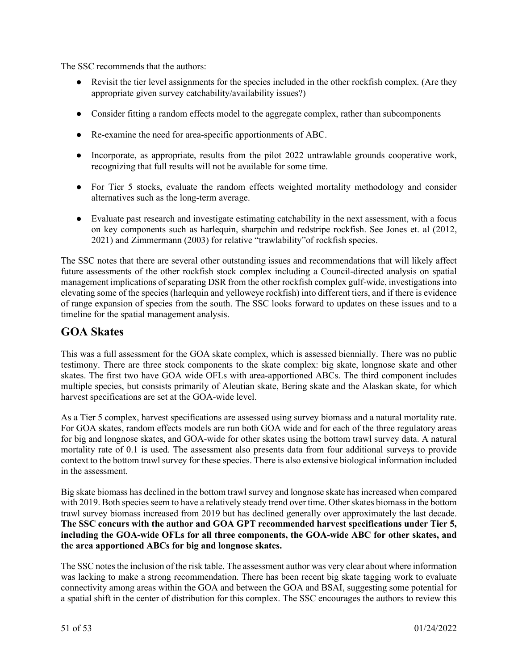The SSC recommends that the authors:

- Revisit the tier level assignments for the species included in the other rockfish complex. (Are they appropriate given survey catchability/availability issues?)
- Consider fitting a random effects model to the aggregate complex, rather than subcomponents
- Re-examine the need for area-specific apportionments of ABC.
- Incorporate, as appropriate, results from the pilot 2022 untrawlable grounds cooperative work, recognizing that full results will not be available for some time.
- For Tier 5 stocks, evaluate the random effects weighted mortality methodology and consider alternatives such as the long-term average.
- Evaluate past research and investigate estimating catchability in the next assessment, with a focus on key components such as harlequin, sharpchin and redstripe rockfish. See Jones et. al (2012, 2021) and Zimmermann (2003) for relative "trawlability"of rockfish species.

The SSC notes that there are several other outstanding issues and recommendations that will likely affect future assessments of the other rockfish stock complex including a Council-directed analysis on spatial management implications of separating DSR from the other rockfish complex gulf-wide, investigations into elevating some of the species (harlequin and yelloweye rockfish) into different tiers, and if there is evidence of range expansion of species from the south. The SSC looks forward to updates on these issues and to a timeline for the spatial management analysis.

# **GOA Skates**

This was a full assessment for the GOA skate complex, which is assessed biennially. There was no public testimony. There are three stock components to the skate complex: big skate, longnose skate and other skates. The first two have GOA wide OFLs with area-apportioned ABCs. The third component includes multiple species, but consists primarily of Aleutian skate, Bering skate and the Alaskan skate, for which harvest specifications are set at the GOA-wide level.

As a Tier 5 complex, harvest specifications are assessed using survey biomass and a natural mortality rate. For GOA skates, random effects models are run both GOA wide and for each of the three regulatory areas for big and longnose skates, and GOA-wide for other skates using the bottom trawl survey data. A natural mortality rate of 0.1 is used. The assessment also presents data from four additional surveys to provide context to the bottom trawl survey for these species. There is also extensive biological information included in the assessment.

Big skate biomass has declined in the bottom trawl survey and longnose skate has increased when compared with 2019. Both species seem to have a relatively steady trend over time. Other skates biomass in the bottom trawl survey biomass increased from 2019 but has declined generally over approximately the last decade. **The SSC concurs with the author and GOA GPT recommended harvest specifications under Tier 5, including the GOA-wide OFLs for all three components, the GOA-wide ABC for other skates, and the area apportioned ABCs for big and longnose skates.**

The SSC notes the inclusion of the risk table. The assessment author was very clear about where information was lacking to make a strong recommendation. There has been recent big skate tagging work to evaluate connectivity among areas within the GOA and between the GOA and BSAI, suggesting some potential for a spatial shift in the center of distribution for this complex. The SSC encourages the authors to review this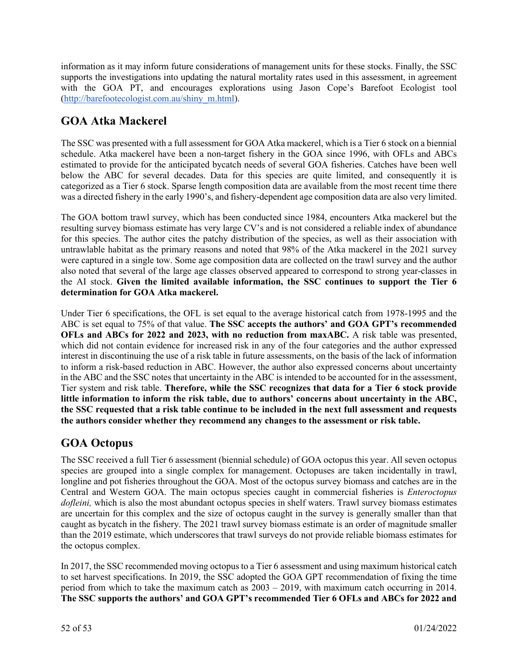information as it may inform future considerations of management units for these stocks. Finally, the SSC supports the investigations into updating the natural mortality rates used in this assessment, in agreement with the GOA PT, and encourages explorations using Jason Cope's Barefoot Ecologist tool [\(http://barefootecologist.com.au/shiny\\_m.html\)](http://barefootecologist.com.au/shiny_m.html).

# **GOA Atka Mackerel**

The SSC was presented with a full assessment for GOA Atka mackerel, which is a Tier 6 stock on a biennial schedule. Atka mackerel have been a non-target fishery in the GOA since 1996, with OFLs and ABCs estimated to provide for the anticipated bycatch needs of several GOA fisheries. Catches have been well below the ABC for several decades. Data for this species are quite limited, and consequently it is categorized as a Tier 6 stock. Sparse length composition data are available from the most recent time there was a directed fishery in the early 1990's, and fishery-dependent age composition data are also very limited.

The GOA bottom trawl survey, which has been conducted since 1984, encounters Atka mackerel but the resulting survey biomass estimate has very large CV's and is not considered a reliable index of abundance for this species. The author cites the patchy distribution of the species, as well as their association with untrawlable habitat as the primary reasons and noted that 98% of the Atka mackerel in the 2021 survey were captured in a single tow. Some age composition data are collected on the trawl survey and the author also noted that several of the large age classes observed appeared to correspond to strong year-classes in the AI stock. **Given the limited available information, the SSC continues to support the Tier 6 determination for GOA Atka mackerel.**

Under Tier 6 specifications, the OFL is set equal to the average historical catch from 1978-1995 and the ABC is set equal to 75% of that value. **The SSC accepts the authors' and GOA GPT's recommended OFLs and ABCs for 2022 and 2023, with no reduction from maxABC.** A risk table was presented, which did not contain evidence for increased risk in any of the four categories and the author expressed interest in discontinuing the use of a risk table in future assessments, on the basis of the lack of information to inform a risk-based reduction in ABC. However, the author also expressed concerns about uncertainty in the ABC and the SSC notes that uncertainty in the ABC is intended to be accounted for in the assessment, Tier system and risk table. **Therefore, while the SSC recognizes that data for a Tier 6 stock provide little information to inform the risk table, due to authors' concerns about uncertainty in the ABC, the SSC requested that a risk table continue to be included in the next full assessment and requests the authors consider whether they recommend any changes to the assessment or risk table.** 

# **GOA Octopus**

The SSC received a full Tier 6 assessment (biennial schedule) of GOA octopus this year. All seven octopus species are grouped into a single complex for management. Octopuses are taken incidentally in trawl, longline and pot fisheries throughout the GOA. Most of the octopus survey biomass and catches are in the Central and Western GOA. The main octopus species caught in commercial fisheries is *Enteroctopus dofleini,* which is also the most abundant octopus species in shelf waters. Trawl survey biomass estimates are uncertain for this complex and the size of octopus caught in the survey is generally smaller than that caught as bycatch in the fishery. The 2021 trawl survey biomass estimate is an order of magnitude smaller than the 2019 estimate, which underscores that trawl surveys do not provide reliable biomass estimates for the octopus complex.

In 2017, the SSC recommended moving octopus to a Tier 6 assessment and using maximum historical catch to set harvest specifications. In 2019, the SSC adopted the GOA GPT recommendation of fixing the time period from which to take the maximum catch as 2003 – 2019, with maximum catch occurring in 2014. **The SSC supports the authors' and GOA GPT's recommended Tier 6 OFLs and ABCs for 2022 and**